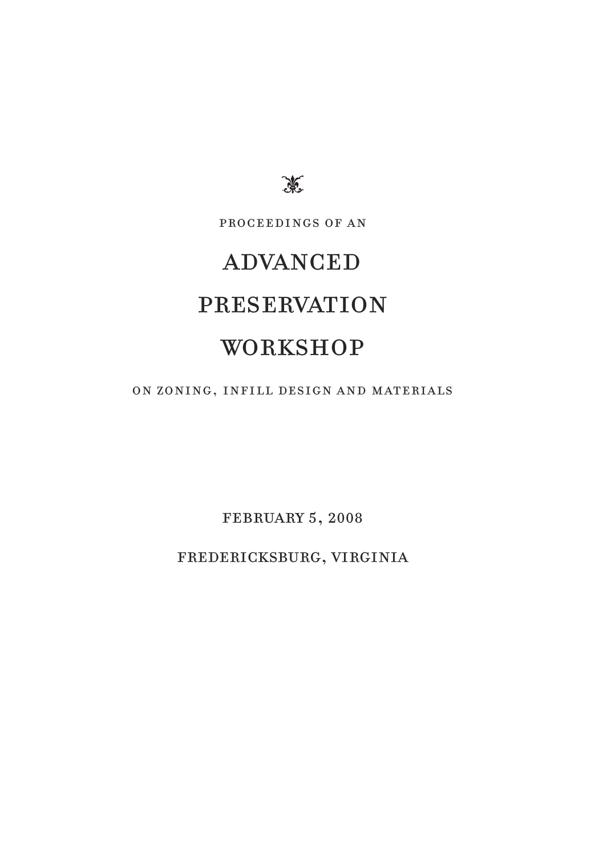

#### proceedings of an

## **ADVANCED PRESERVATION WORKSHOP**

on zoning, infill design and materials

FEBRUARY 5, 2008

fredericksburg, virginia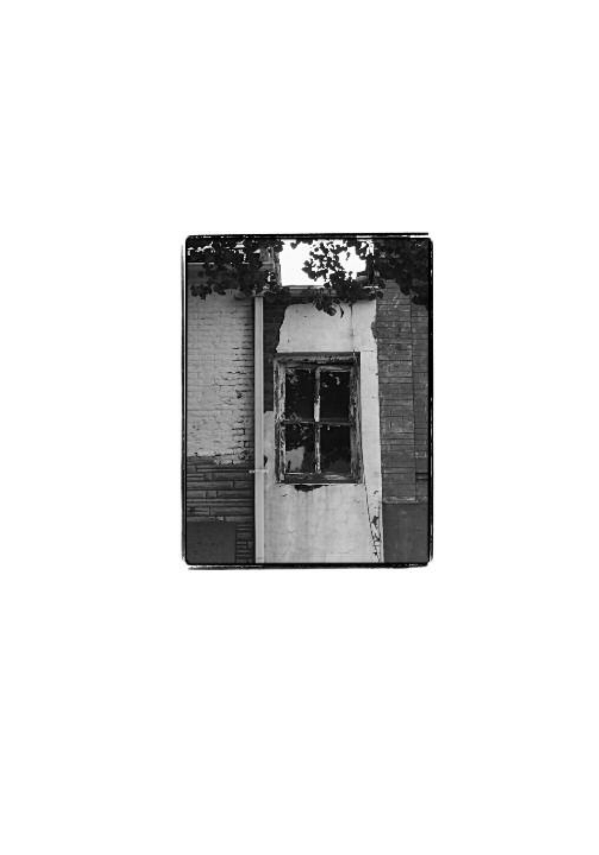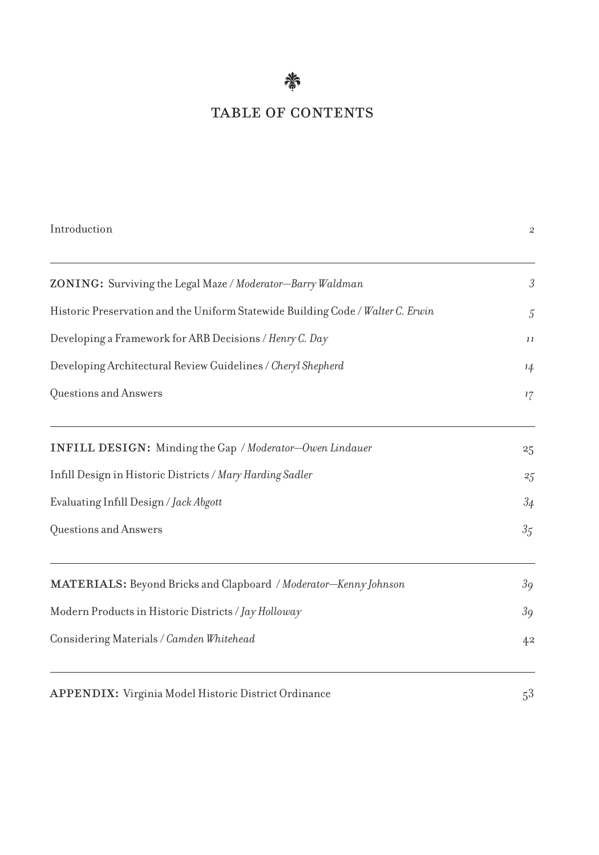## 蒂

#### TABLE OF CONTENTS

| Introduction                                                                    | $\overline{a}$ |
|---------------------------------------------------------------------------------|----------------|
| ZONING: Surviving the Legal Maze / Moderator-Barry Waldman                      | 3              |
| Historic Preservation and the Uniform Statewide Building Code / Walter C. Erwin | 5              |
| Developing a Framework for ARB Decisions / Henry C. Day                         | 11             |
| Developing Architectural Review Guidelines / Cheryl Shepherd                    | 14             |
| Questions and Answers                                                           | 17             |
| <b>INFILL DESIGN:</b> Minding the Gap / Moderator-Owen Lindauer                 | 25             |
| Infill Design in Historic Districts / Mary Harding Sadler                       | 25             |
| Evaluating Infill Design / Jack Abgott                                          | 34             |
| Questions and Answers                                                           | 3 <sub>5</sub> |
| MATERIALS: Beyond Bricks and Clapboard / Moderator-Kenny Johnson                | 3 <sub>9</sub> |
| Modern Products in Historic Districts / Jay Holloway                            | 3 <sub>9</sub> |
| Considering Materials / Camden Whitehead                                        | $4^2$          |
| <b>APPENDIX:</b> Virginia Model Historic District Ordinance                     | 5 <sup>3</sup> |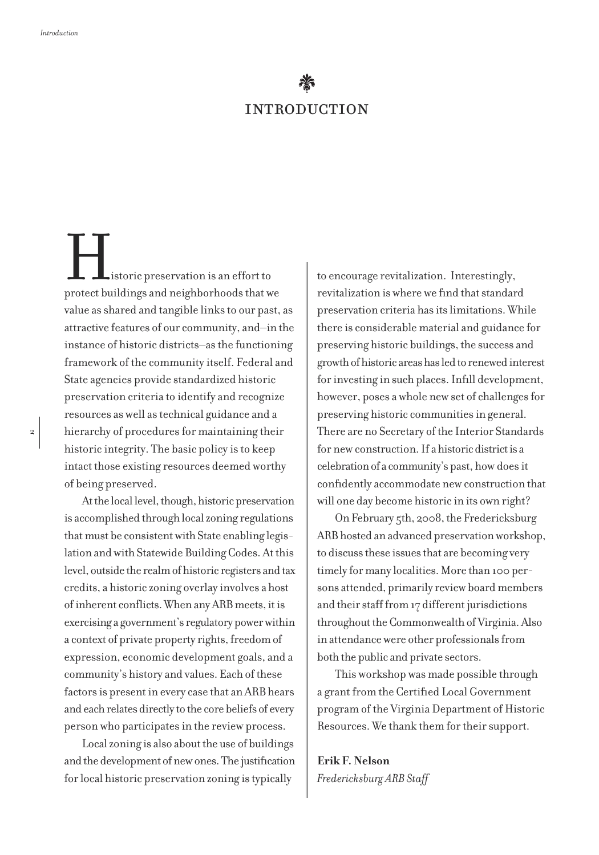# **INTRODUCTION**

istoric preservation is an effort to protect buildings and neighborhoodsthat we value asshared and tangible linksto our past, as attractive features of our community, and–in the instance of historic districts–asthe functioning framework of the community itself. Federal and State agencies provide standardized historic preservation criteria to identify and recognize resources as well astechnical guidance and a hierarchy of procedures for maintaining their historic integrity. The basic policy isto keep intact those existing resources deemed worthy of being preserved.

At the local level, though, historic preservation is accomplished through local zoning regulations that must be consistent with State enabling legislation and with Statewide Building Codes. At this level, outside the realm of historic registers and tax credits, a historic zoning overlay involves a host of inherent conflicts. When any ARB meets, it is exercising a government's regulatory power within a context of private property rights, freedom of expression, economic development goals, and a community's history and values. Each of these factors is present in every case that an ARB hears and each relates directly to the core beliefs of every person who participates in the review process.

Local zoning is also about the use of buildings and the development of new ones. The justification forlocal historic preservation zoning istypically

to encourage revitalization. Interestingly, revitalization is where we find that standard preservation criteria hasitslimitations.While there is considerablematerial and guidance for preserving historic buildings, the success and growth of historic areas has led to renewed interest for investing in such places. Infill development, however, poses a whole new set of challenges for preserving historic communities in general. There are no Secretary of the Interior Standards for new construction. If a historic district is a celebrationof a community's past, how doesit confidently accommodate new construction that will one day become historic in its own right?

On February 5th, 2008, the Fredericksburg ARB hosted an advanced preservation workshop, to discuss these issues that are becoming very timely formany localities. More than 100 persons attended, primarily review board members and their staff from 17 different jurisdictions throughout the Commonwealth of Virginia. Also in attendance were other professionals from both the public and private sectors.

This workshop was made possible through a grant from the Certified Local Government program of the Virginia Department of Historic Resources. We thank them for their support.

**Erik F. Nelson** *Fredericksburg ARB Staff*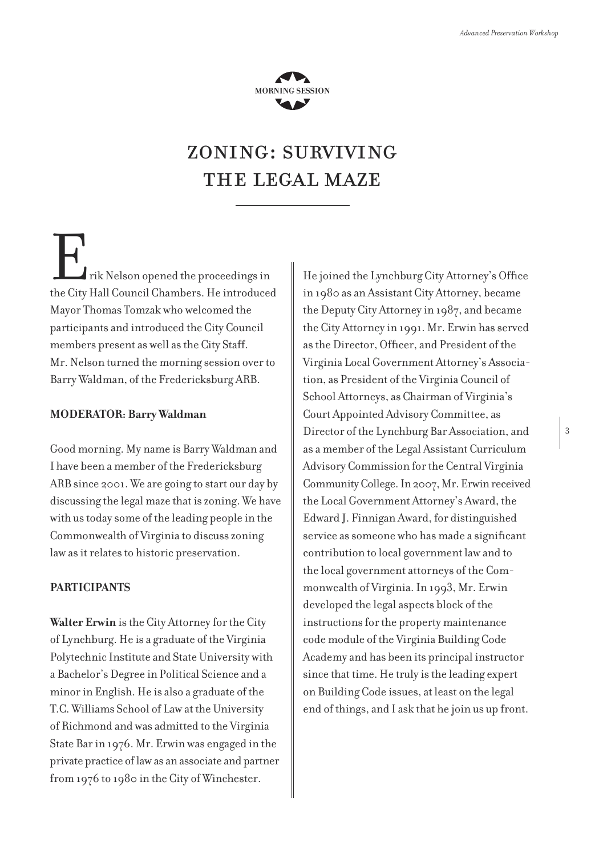

## zoning:surviving the legal maze

rik Nelson opened the proceedings in the City Hall Council Chambers. He introduced Mayor Thomas Tomzak who welcomed the participants and introduced the City Council members present as well asthe City Staff. Mr. Nelson turned the morning session over to Barry Waldman, of the Fredericksburg ARB.

#### **MODERATOR: Barry Waldman**

Good morning. My name is Barry Waldman and I have been a member of the Fredericksburg ARB since 2001. We are going to start our day by discussing the legal maze that iszoning. We have with ustoday some of the leading people in the Commonwealth of Virginia to discusszoning law as it relates to historic preservation.

#### **PARTICIPANTS**

**Walter Erwin** isthe City Attorney forthe City of Lynchburg.He is a graduate of the Virginia Polytechnic Institute and State University with a Bachelor'sDegree in Political Science and a minor in English. He is also a graduate of the T.C. Williams School of Law at the University of Richmond and was admitted to the Virginia State Barin 1976. Mr. Erwin was engaged in the private practice oflawas an associate and partner from 1976 to 1980 in the City of Winchester.

He joined the Lynchburg City Attorney's Office in 1980 as an Assistant City Attorney, became the Deputy City Attorney in 1987, and became the City Attorney in 1991. Mr. Erwin hasserved astheDirector, Officer, and President of the Virginia Local Government Attorney's Association, as President of the Virginia Council of School Attorneys, as Chairman of Virginia's Court Appointed Advisory Committee, as Director of the Lynchburg Bar Association, and as a member of the Legal Assistant Curriculum Advisory Commission forthe Central Virginia CommunityCollege.In2007,Mr.Erwinreceived the Local Government Attorney's Award, the Edward J. Finnigan Award, for distinguished service as someone who has made a significant contribution to local government law and to the local government attorneys of the Commonwealth of Virginia.In 1993, Mr. Erwin developed the legal aspects block of the instructions for the property maintenance code module of the Virginia Building Code Academy and has been its principal instructor since that time. He truly is the leading expert on Building Code issues, at least on the legal end of things, and I ask that he join us up front.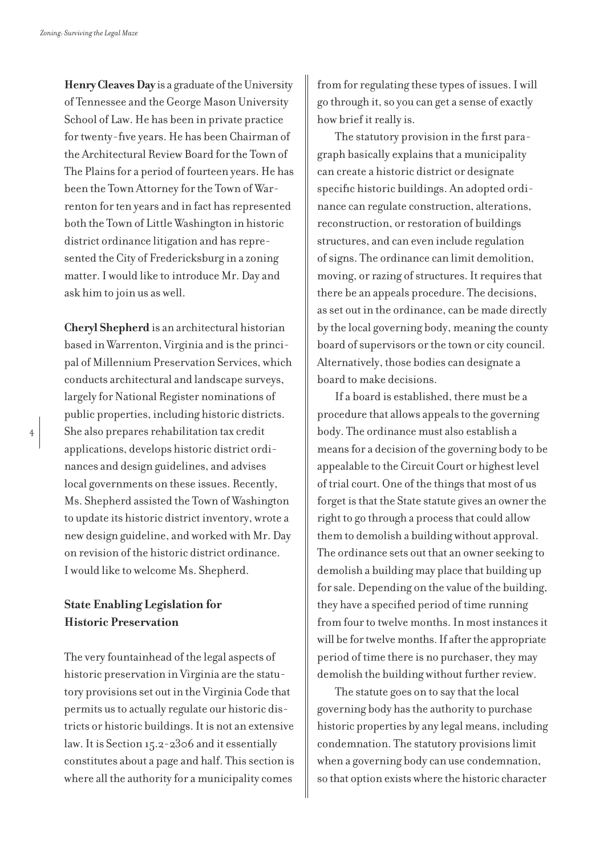**Henry Cleaves Day** is a graduate of the University of Tennessee and the George Mason University School of Law.He has been in private practice for twenty-five years. He has been Chairman of the Architectural Review Board forthe Town of The Plains for a period of fourteen years. He has been the Town Attorney for the Town of Warrenton for ten years and in fact has represented both the Town of Little Washington in historic district ordinance litigation and has represented the City of Fredericksburg in a zoning matter.I would like to introduce Mr.Day and ask him to join us as well.

**Cheryl Shepherd** is an architectural historian based in Warrenton, Virginia and isthe principal of Millennium Preservation Services, which conducts architectural and landscape surveys, largely for National Register nominations of public properties, including historic districts. She also prepares rehabilitation tax credit applications, develops historic district ordinances and design guidelines, and advises local governments on these issues. Recently, Ms. Shepherd assisted the Town of Washington to update its historic district inventory, wrote a new design guideline, and worked with Mr.Day on revision of the historic district ordinance. I would like to welcome Ms. Shepherd.

#### **State Enabling Legislation for Historic Preservation**

The very fountainhead of the legal aspects of historic preservation in Virginia are the statutory provisions set out in the Virginia Code that permits us to actually regulate our historic districts or historic buildings.It is not an extensive law.It is Section 15.2-2306 and it essentially constitutes about a page and half. This section is where all the authority for a municipality comes

from forregulating these types of issues.I will go through it, so you can get a sense of exactly how brief it really is.

The statutory provision in the first paragraph basically explainsthat a municipality can create a historic district or designate specific historic buildings. An adopted ordinance can regulate construction, alterations, reconstruction, or restoration of buildings structures, and can even include regulation of signs. The ordinance can limit demolition, moving, or razing of structures. It requires that there be an appeals procedure. The decisions, asset out in the ordinance, can be made directly by the local governing body, meaning the county board of supervisors or the town or city council. Alternatively, those bodies can designate a board to make decisions.

If a board is established, there must be a procedure that allows appeals to the governing body. The ordinance must also establish a meansfor a decision of the governing body to be appealable to the Circuit Court or highest level of trial court. One of the things that most of us forget is that the State statute gives an owner the right to go through a processthat could allow them to demolish a building without approval. The ordinance sets out that an owner seeking to demolish a building may place that building up forsale.Depending on the value of the building, they have a specified period of time running from four to twelve months. In most instances it will be for twelve months. If after the appropriate period of time there is no purchaser, they may demolish the building without further review.

The statute goes on to say that the local governing body hasthe authority to purchase historic properties by any legal means, including condemnation. The statutory provisions limit when a governing body can use condemnation, so that option exists where the historic character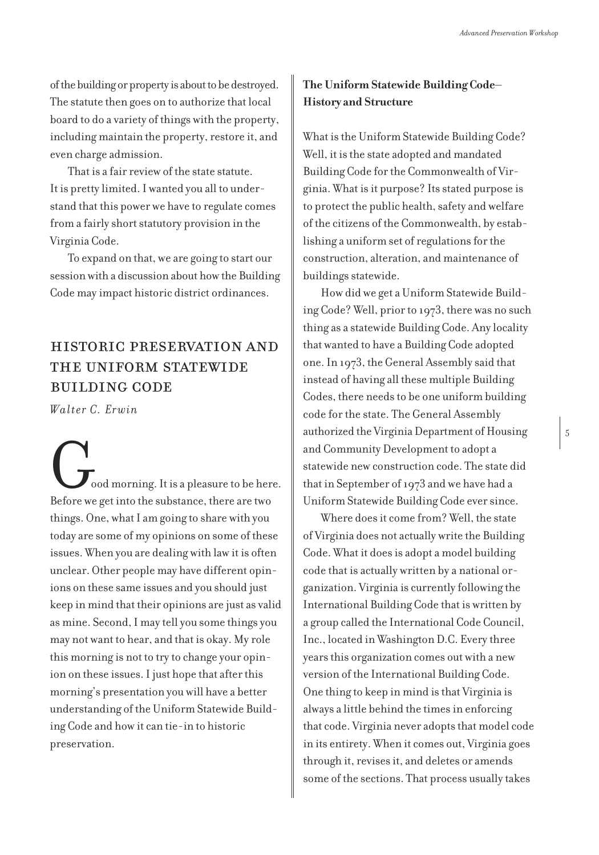of the building or property is about to be destroyed. The statute then goes on to authorize that local board to do a variety of things with the property, including maintain the property, restore it, and even charge admission.

That is a fair review of the state statute. It is pretty limited.I wanted you all to understand that this power we have to regulate comes from a fairly short statutory provision in the Virginia Code.

To expand on that, we are going to start our session with a discussion about how the Building Code may impact historic district ordinances.

#### historic preservation and the uniform statewide building code

*Walter C. Erwin*

ood morning. It is a pleasure to be here. Before we get into the substance, there are two things. One, what I am going to share with you today are some of my opinions on some of these issues. When you are dealing with law it is often unclear. Other people may have different opinions on these same issues and you should just keep in mind that their opinions are just as valid as mine. Second,I may tell you some things you may not want to hear, and that is okay. My role this morning is not to try to change your opinion on these issues. I just hope that after this morning's presentation you will have a better understanding of the Uniform Statewide Building Code and how it can tie-in to historic preservation.

#### **TheUniform Statewide Building Code– History and Structure**

What is the Uniform Statewide Building Code? Well, it is the state adopted and mandated Building Code forthe Commonwealth of Virginia. What is it purpose? Its stated purpose is to protect the public health, safety and welfare of the citizens of the Commonwealth, by establishing a uniform set of regulations for the construction, alteration, and maintenance of buildings statewide.

How did we get a Uniform Statewide Building Code? Well, priorto 1973, there was no such thing as a statewide Building Code. Any locality that wanted to have a Building Code adopted one.In 1973, the General Assembly said that instead of having all these multiple Building Codes, there needs to be one uniform building code forthe state. The General Assembly authorized the Virginia Department of Housing and Community Development to adopt a statewide new construction code. The state did that in September of 1973 and we have had a Uniform Statewide Building Code eversince.

Where doesit come from? Well, the state of Virginia does not actually write the Building Code. What it does is adopt a model building code that is actually written by a national organization. Virginia is currently following the International Building Code that is written by a group called the International Code Council, Inc., located in Washington D.C. Every three years this organization comes out with a new version of the International Building Code. One thing to keep in mind isthat Virginia is always a little behind the times in enforcing that code. Virginia never adopts that model code in its entirety. When it comes out, Virginia goes through it, revises it, and deletes or amends some of the sections. That process usually takes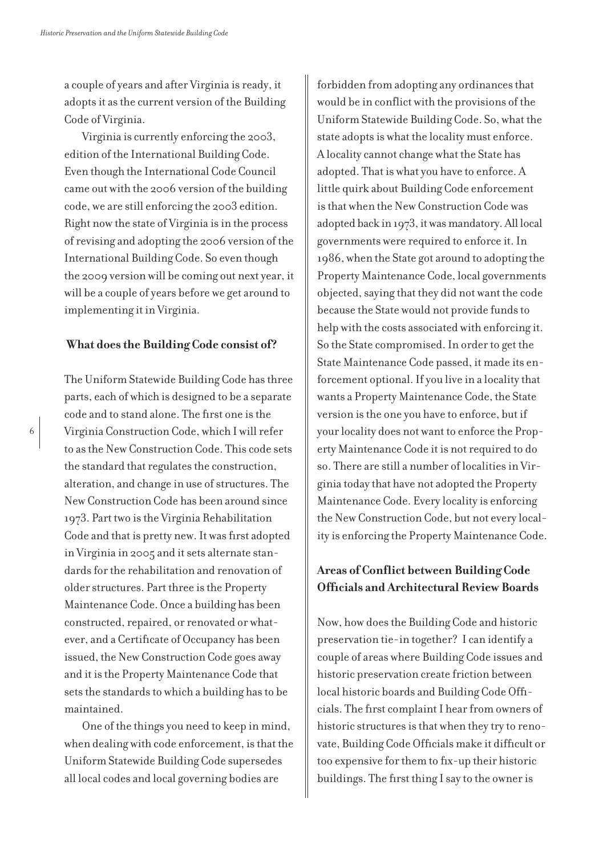a couple of years and after Virginia is ready, it adoptsit asthe current version of the Building Code of Virginia.

Virginia is currently enforcing the 2003, edition of the International Building Code. Even though the International Code Council came out with the 2006 version of the building code, we are still enforcing the 2003 edition. Right now the state of Virginia is in the process ofrevising and adopting the 2006 version of the International Building Code. So even though the 2009 version will be coming out next year, it will be a couple of years before we get around to implementing it in Virginia.

#### **What doesthe Building Code consist of?**

The Uniform Statewide Building Code has three parts, each of which is designed to be a separate code and to stand alone. The first one isthe Virginia Construction Code, which I willrefer to as the New Construction Code. This code sets the standard that regulates the construction, alteration, and change in use of structures. The New Construction Code has been around since 1973. Part two is the Virginia Rehabilitation Code and that is pretty new.It was first adopted in Virginia in 2005 and itsets alternate standards for the rehabilitation and renovation of older structures. Part three is the Property Maintenance Code. Once a building has been constructed, repaired, or renovated or whatever, and a Certificate of Occupancy has been issued, the New Construction Code goes away and it isthe Property Maintenance Code that sets the standards to which a building has to be maintained.

One of the things you need to keep in mind, when dealing with code enforcement, is that the Uniform Statewide Building Code supersedes all local codes and local governing bodies are

forbidden from adopting any ordinances that would be in conflict with the provisions of the Uniform Statewide Building Code. So, what the state adopts is what the locality must enforce. A locality cannot change what the State has adopted. That is what you have to enforce. A little quirk about Building Code enforcement is that when the New Construction Code was adopted back in 1973, it was mandatory. All local governments were required to enforce it.In 1986, when the State got around to adopting the Property Maintenance Code, local governments objected, saying that they did not want the code because the State would not provide fundsto help with the costs associated with enforcing it. So the State compromised. In order to get the State Maintenance Code passed, it made its enforcement optional.If you live in a locality that wants a Property Maintenance Code, the State version isthe one you have to enforce, but if your locality does not want to enforce the Property Maintenance Code it is not required to do so. There are still a number of localitiesin Virginia today that have not adopted the Property Maintenance Code. Every locality is enforcing the New Construction Code, but not every locality is enforcing the Property Maintenance Code.

#### **Areas of Conflict between Building Code Officials and Architectural Review Boards**

Now, how doesthe Building Code and historic preservation tie-in together? I can identify a couple of areas where Building Code issues and historic preservation create friction between local historic boards and Building Code Officials. The first complaint I hear from owners of historic structures is that when they try to renovate, Building Code Officials make it difficult or too expensive for them to fix-up their historic buildings. The first thing I say to the owner is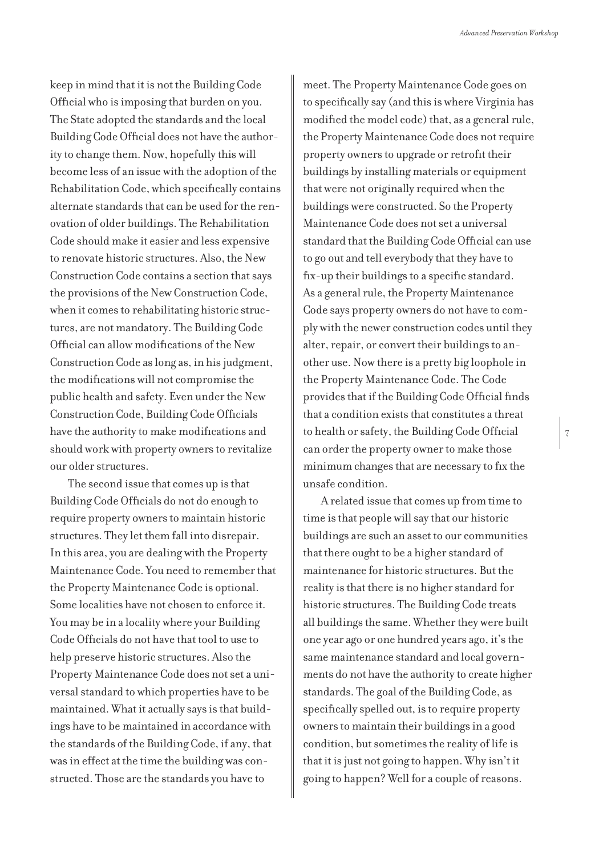7

keep in mind that it is not the Building Code Official who isimposing that burden on you. The State adopted the standards and the local Building Code Official does not have the authority to change them. Now, hopefully this will become less of an issue with the adoption of the Rehabilitation Code, which specifically contains alternate standards that can be used for the renovation of older buildings. The Rehabilitation Code should make it easier and less expensive to renovate historic structures. Also, the New Construction Code contains a section thatsays the provisions of the New Construction Code, when it comes to rehabilitating historic structures, are not mandatory. The Building Code Official can allow modifications of the New Construction Code aslong as, in hisjudgment, the modifications will not compromise the public health and safety. Even under the New Construction Code, Building Code Officials have the authority to make modifications and should work with property owners to revitalize our older structures.

The second issue that comes up isthat Building Code Officials do not do enough to require property owners to maintain historic structures. They let them fall into disrepair. In this area, you are dealing with the Property Maintenance Code. You need to rememberthat the Property Maintenance Code is optional. Some localities have not chosen to enforce it. You may be in a locality where your Building Code Officials do not have that tool to use to help preserve historic structures. Also the Property Maintenance Code does not set a universal standard to which properties have to be maintained. What it actually says is that buildings have to be maintained in accordance with the standards of the Building Code, if any, that was in effect at the time the building was constructed. Those are the standards you have to

meet. The Property Maintenance Code goes on to specifically say (and this is where Virginia has modified the model code) that, as a general rule, the Property Maintenance Code does notrequire property owners to upgrade or retrofit their buildings by installing materials or equipment that were not originally required when the buildings were constructed. So the Property Maintenance Code does notset a universal standard that the Building Code Official can use to go out and tell everybody that they have to fix-up their buildings to a specific standard. As a general rule, the Property Maintenance Code says property owners do not have to comply with the newer construction codes until they alter, repair, or convert their buildings to another use.Now there is a pretty big loophole in the Property Maintenance Code. The Code provides that if the Building Code Official finds that a condition exists that constitutes a threat to health orsafety, the Building Code Official can order the property owner to make those minimum changes that are necessary to fix the unsafe condition.

A related issue that comes up from time to time is that people will say that our historic buildings are such an asset to our communities that there ought to be a higher standard of maintenance for historic structures. But the reality is that there is no higher standard for historic structures. The Building Code treats all buildings the same. Whether they were built one year ago or one hundred years ago, it'sthe same maintenance standard and local governments do not have the authority to create higher standards. The goal of the Building Code, as specifically spelled out, isto require property owners to maintain their buildings in a good condition, but sometimes the reality of life is that it isjust not going to happen. Why isn't it going to happen? Well for a couple of reasons.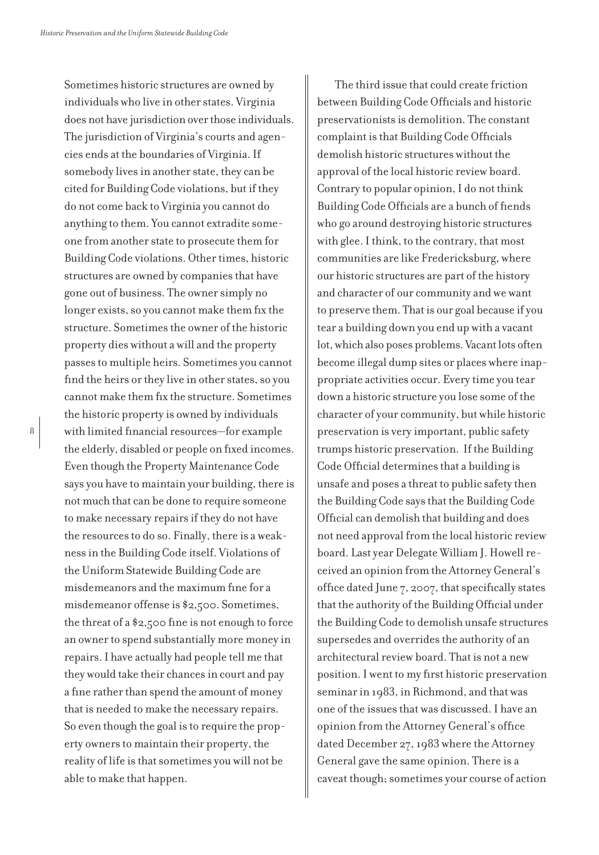Sometimes historic structures are owned by individuals who live in other states. Virginia does not have jurisdiction over those individuals. The jurisdiction of Virginia's courts and agencies ends at the boundaries of Virginia.If somebody lives in another state, they can be cited for Building Code violations, but if they do not come back to Virginia you cannot do anything to them. You cannot extradite someone from another state to prosecute them for Building Code violations. Other times, historic structures are owned by companies that have gone out of business. The owner simply no longer exists, so you cannot make them fix the structure. Sometimes the owner of the historic property dies without a will and the property passesto multiple heirs. Sometimes you cannot find the heirs or they live in other states, so you cannot make them fix the structure. Sometimes the historic property is owned by individuals with limited financial resources—for example the elderly, disabled or people on fixed incomes. Even though the Property Maintenance Code says you have to maintain your building, there is not much that can be done to require someone to make necessary repairs if they do not have the resources to do so. Finally, there is a weaknessin the Building Code itself. Violations of the Uniform Statewide Building Code are misdemeanors and the maximum fine for a misdemeanor offense is \$2,500. Sometimes, the threat of a \$2,500 fine is not enough to force an owner to spend substantially more money in repairs.I have actually had people tell me that they would take their chances in court and pay a fine rather than spend the amount of money that is needed to make the necessary repairs. So even though the goal isto require the property owners to maintain their property, the reality of life is that sometimes you will not be able to make that happen.

The third issue that could create friction between Building Code Officials and historic preservationists is demolition. The constant complaint isthat Building Code Officials demolish historic structures without the approval of the local historic review board. Contrary to popular opinion,I do not think Building Code Officials are a bunch of fiends who go around destroying historic structures with glee. I think, to the contrary, that most communities are like Fredericksburg, where our historic structures are part of the history and character of our community and we want to preserve them. That is our goal because if you tear a building down you end up with a vacant lot, which also poses problems. Vacant lots often become illegal dump sites or places where inappropriate activities occur. Every time you tear down a historic structure you lose some of the character of your community, but while historic preservation is very important, public safety trumps historic preservation. If the Building Code Official determines that a building is unsafe and poses a threat to public safety then the Building Code saysthat the Building Code Official can demolish that building and does not need approval from the local historic review board. Last year Delegate William J. Howell received an opinion from the Attorney General's office dated June  $7, 2007$ , that specifically states that the authority of the Building Official under the Building Code to demolish unsafe structures supersedes and overrides the authority of an architectural review board. That is not a new position.I went to my first historic preservation seminar in 1983, in Richmond, and that was one of the issuesthat was discussed.I have an opinion from the Attorney General's office dated December 27,1983 where the Attorney General gave the same opinion. There is a caveat though; sometimes your course of action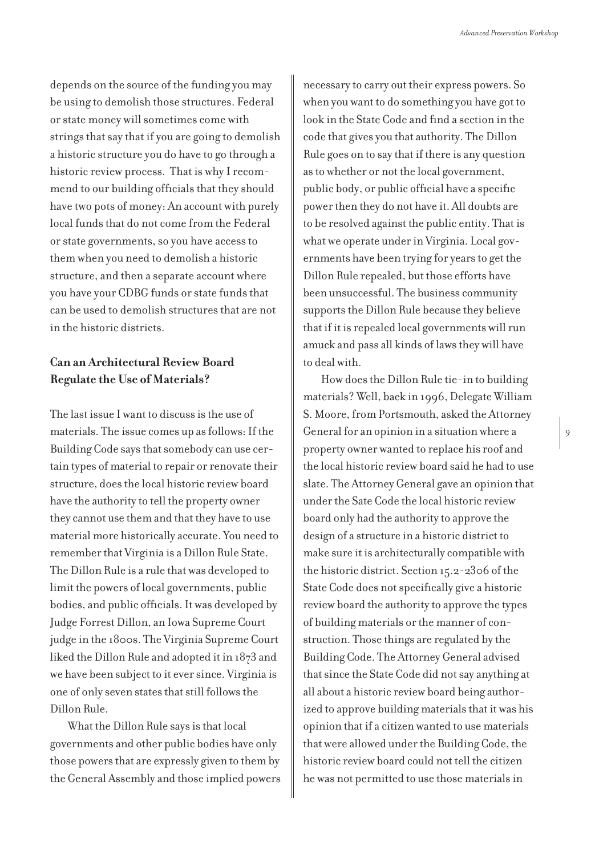depends on the source of the funding you may be using to demolish those structures. Federal or state money will sometimes come with strings that say that if you are going to demolish a historic structure you do have to go through a historic review process. That is why I recommend to our building officials that they should have two pots of money: An account with purely local funds that do not come from the Federal or state governments, so you have access to them when you need to demolish a historic structure, and then a separate account where you have your CDBG funds or state funds that can be used to demolish structures that are not in the historic districts.

#### **Can an Architectural Review Board Regulate the Use of Materials?**

The last issue I want to discussisthe use of materials. The issue comes up as follows: If the Building Code says that somebody can use certain types of material to repair or renovate their structure, doesthe local historic review board have the authority to tell the property owner they cannot use them and that they have to use material more historically accurate. You need to remember that Virginia is a Dillon Rule State. The Dillon Rule is a rule that was developed to limit the powers of local governments, public bodies, and public officials.It was developed by Judge ForrestDillon, an Iowa Supreme Court judge in the 1800s. The Virginia Supreme Court liked the Dillon Rule and adopted it in 1873 and we have been subject to it eversince. Virginia is one of only seven states that still follows the Dillon Rule.

What the Dillon Rule says is that local governments and other public bodies have only those powers that are expressly given to them by the General Assembly and those implied powers

necessary to carry out their express powers. So when you want to do something you have got to look in the State Code and find a section in the code that gives you that authority. The Dillon Rule goes on to say that if there is any question asto whether or not the local government, public body, or public official have a specific powerthen they do not have it. All doubts are to be resolved against the public entity. That is what we operate under in Virginia. Local governments have been trying for yearsto get the Dillon Rule repealed, but those efforts have been unsuccessful. The business community supports the Dillon Rule because they believe that if it is repealed local governments will run amuck and pass all kinds of lawsthey will have to deal with.

How does the Dillon Rule tie-in to building materials? Well, back in 1996, Delegate William S. Moore, from Portsmouth, asked the Attorney General for an opinion in a situation where a property owner wanted to replace hisroof and the local historic review board said he had to use slate. The Attorney General gave an opinion that underthe Sate Code the local historic review board only had the authority to approve the design of a structure in a historic district to make sure it is architecturally compatible with the historic district. Section 15.2-2306 of the State Code does not specifically give a historic review board the authority to approve the types of building materials or the manner of construction. Those things are regulated by the Building Code. The Attorney General advised thatsince the State Code did notsay anything at all about a historic review board being authorized to approve building materials that it was his opinion that if a citizen wanted to use materials that were allowed underthe Building Code, the historic review board could not tell the citizen he was not permitted to use those materials in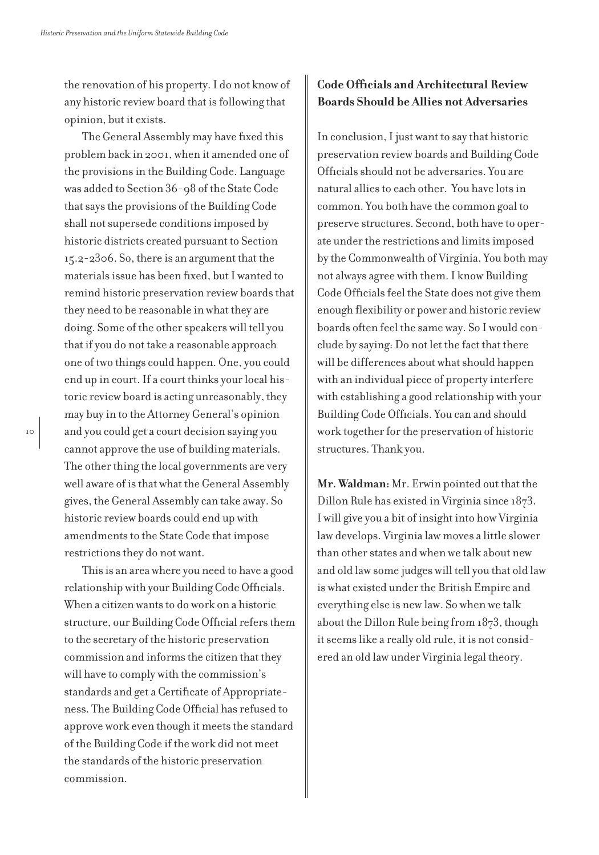the renovation of his property.I do not know of any historic review board that isfollowing that opinion, but it exists.

The General Assembly may have fixed this problem back in 2001, when it amended one of the provisions in the Building Code. Language was added to Section 36-98 of the State Code thatsaysthe provisions of the Building Code shall not supersede conditions imposed by historic districts created pursuant to Section 15.2-2306. So, there is an argument that the materialsissue has been fixed, butI wanted to remind historic preservation review boards that they need to be reasonable in what they are doing. Some of the other speakers will tell you that if you do not take a reasonable approach one of two things could happen. One, you could end up in court.If a court thinks yourlocal historic review board is acting unreasonably, they may buy in to the Attorney General's opinion and you could get a court decision saying you cannot approve the use of building materials. The other thing the local governments are very well aware of is that what the General Assembly gives, the General Assembly can take away. So historic review boards could end up with amendments to the State Code that impose restrictions they do not want.

This is an area where you need to have a good relationship with your Building Code Officials. When a citizen wants to do work on a historic structure, our Building Code Official refers them to the secretary of the historic preservation commission and informs the citizen that they will have to comply with the commission's standards and get a Certificate of Appropriateness. The Building Code Official hasrefused to approve work even though it meets the standard of the Building Code if the work did not meet the standards of the historic preservation commission.

#### **Code Officials and Architectural Review Boards Should be Allies not Adversaries**

In conclusion, I just want to say that historic preservation review boards and Building Code Officials should not be adversaries. You are natural alliesto each other. You have lotsin common. You both have the common goal to preserve structures. Second, both have to operate under the restrictions and limits imposed by the Commonwealth of Virginia. You both may not always agree with them.I know Building Code Officials feel the State does not give them enough flexibility or power and historic review boards often feel the same way. So I would conclude by saying:Do not let the fact that there will be differences about what should happen with an individual piece of property interfere with establishing a good relationship with your Building Code Officials. You can and should work together for the preservation of historic structures. Thank you.

**Mr. Waldman:** Mr. Erwin pointed out that the Dillon Rule has existed in Virginia since 1873. I will give you a bit of insight into how Virginia law develops. Virginia law moves a little slower than other states and when we talk about new and old law some judges will tell you that old law is what existed underthe British Empire and everything else is new law. So when we talk about the Dillon Rule being from 1873, though it seems like a really old rule, it is not considered an old law under Virginia legal theory.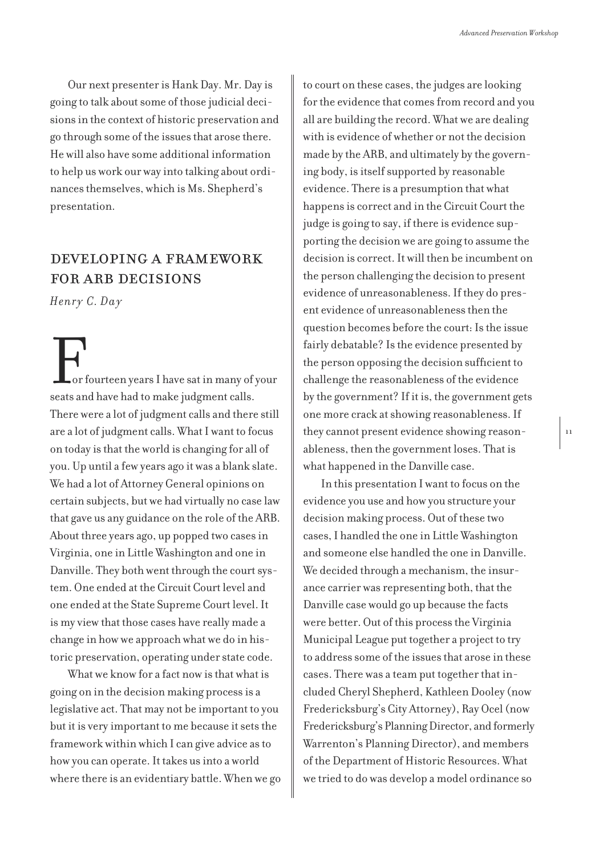Our next presenter is Hank Day. Mr. Day is going to talk aboutsome of those judicial decisions in the context of historic preservation and go through some of the issues that arose there. He will also have some additional information to help us work our way into talking about ordinancesthemselves, which is Ms. Shepherd's presentation.

### developing a framework for arb decisions

*Henry C. Day*

or fourteen years I have sat in many of your seats and have had to make judgment calls. There were a lot of judgment calls and there still are a lot of judgment calls. What I want to focus on today isthat the world is changing for all of you. Up until a few years ago it was a blank slate. We had a lot of Attorney General opinions on certain subjects, but we had virtually no case law that gave us any guidance on the role of the ARB. About three years ago, up popped two cases in Virginia, one in Little Washington and one in Danville. They both went through the court system. One ended at the Circuit Court level and one ended at the State Supreme Court level.It is my view that those cases have really made a change in how we approach what we do in historic preservation, operating under state code.

What we know for a fact now is that what is going on in the decision making processis a legislative act. That may not be important to you but it is very important to me because it sets the framework within which I can give advice asto how you can operate. It takes us into a world where there is an evidentiary battle. When we go

to court on these cases, the judges are looking for the evidence that comes from record and you all are building the record. What we are dealing with is evidence of whether or not the decision made by the ARB, and ultimately by the governing body, is itself supported by reasonable evidence. There is a presumption that what happensis correct and in the Circuit Court the judge is going to say, if there is evidence supporting the decision we are going to assume the decision is correct.It will then be incumbent on the person challenging the decision to present evidence of unreasonableness.If they do present evidence of unreasonablenessthen the question becomes before the court: Is the issue fairly debatable? Is the evidence presented by the person opposing the decision sufficient to challenge the reasonableness of the evidence by the government? If it is, the government gets one more crack at showing reasonableness. If they cannot present evidence showing reasonableness, then the government loses. That is what happened in the Danville case.

In this presentation I want to focus on the evidence you use and how you structure your decision making process. Out of these two cases,I handled the one in Little Washington and someone else handled the one inDanville. We decided through a mechanism, the insurance carrier was representing both, that the Danville case would go up because the facts were better. Out of this process the Virginia Municipal League put together a project to try to address some of the issues that arose in these cases. There was a team put together that included Cheryl Shepherd, KathleenDooley (now Fredericksburg's City Attorney), Ray Ocel(now Fredericksburg's Planning Director, and formerly Warrenton's Planning Director), and members of the Department of Historic Resources. What we tried to do was develop a model ordinance so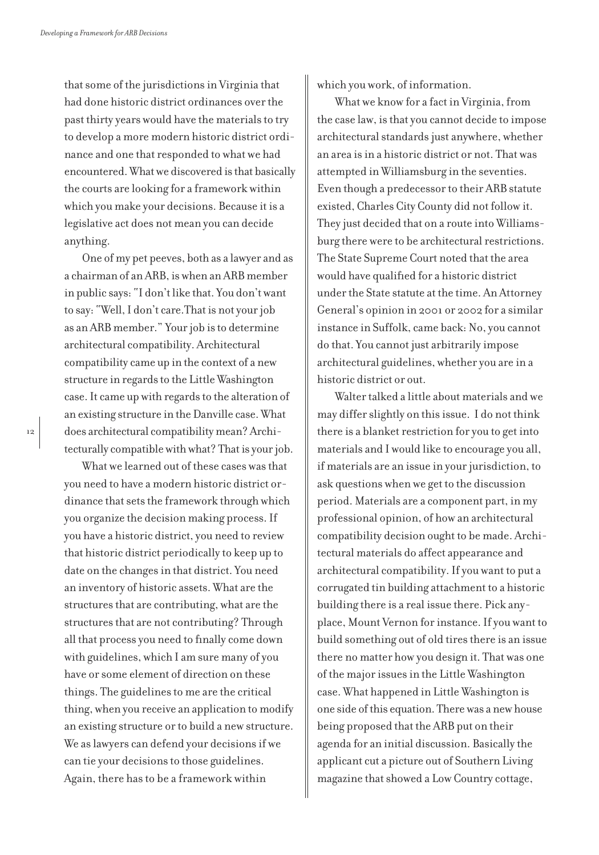that some of the jurisdictions in Virginia that had done historic district ordinances overthe past thirty years would have the materials to try to develop a more modern historic district ordinance and one that responded to what we had encountered. What we discovered is that basically the courts are looking for a framework within which you make your decisions. Because it is a legislative act does not mean you can decide anything.

One of my pet peeves, both as a lawyer and as a chairman of an ARB, is when an ARB member in public says: "I don't like that. You don't want to say: "Well, I don't care. That is not your job as an ARB member." Your job is to determine architectural compatibility. Architectural compatibility came up in the context of a new structure in regards to the Little Washington case. It came up with regards to the alteration of an existing structure in theDanville case.What does architectural compatibilitymean?Architecturally compatible with what? That is your job.

What we learned out of these cases wasthat you need to have a modern historic district ordinance that sets the framework through which you organize the decision making process.If you have a historic district, you need to review that historic district periodically to keep up to date on the changes in that district. You need an inventory of historic assets. What are the structures that are contributing, what are the structures that are not contributing? Through all that process you need to finally come down with guidelines, which I am sure many of you have orsome element of direction on these things. The guidelines to me are the critical thing, when you receive an application to modify an existing structure or to build a new structure. We as lawyers can defend your decisions if we can tie your decisions to those guidelines. Again, there hasto be a framework within

which you work, of information.

What we know for a fact in Virginia, from the case law, isthat you cannot decide to impose architectural standards just anywhere, whether an area isin a historic district or not. That was attempted in Williamsburg in the seventies. Even though a predecessor to their ARB statute existed, Charles City County did not follow it. They just decided that on a route into Williamsburg there were to be architectural restrictions. The State Supreme Court noted that the area would have qualified for a historic district under the State statute at the time. An Attorney General's opinion in 2001 or 2002 for a similar instance in Suffolk, came back: No, you cannot do that. You cannot just arbitrarily impose architectural guidelines, whether you are in a historic district or out.

Walter talked a little about materials and we may differslightly on thisissue. I do not think there is a blanket restriction for you to get into materials and I would like to encourage you all, if materials are an issue in your jurisdiction, to ask questions when we get to the discussion period. Materials are a component part, in my professional opinion, of how an architectural compatibility decision ought to be made. Architectural materials do affect appearance and architectural compatibility.If you want to put a corrugated tin building attachment to a historic building there is a real issue there. Pick anyplace, Mount Vernon forinstance.If you want to build something out of old tires there is an issue there no matter how you design it. That was one of the major issues in the Little Washington case. What happened in Little Washington is one side ofthis equation. Therewas a newhouse being proposed that the ARB put on their agenda for an initial discussion. Basically the applicant cut a picture out of Southern Living magazine that showed a Low Country cottage,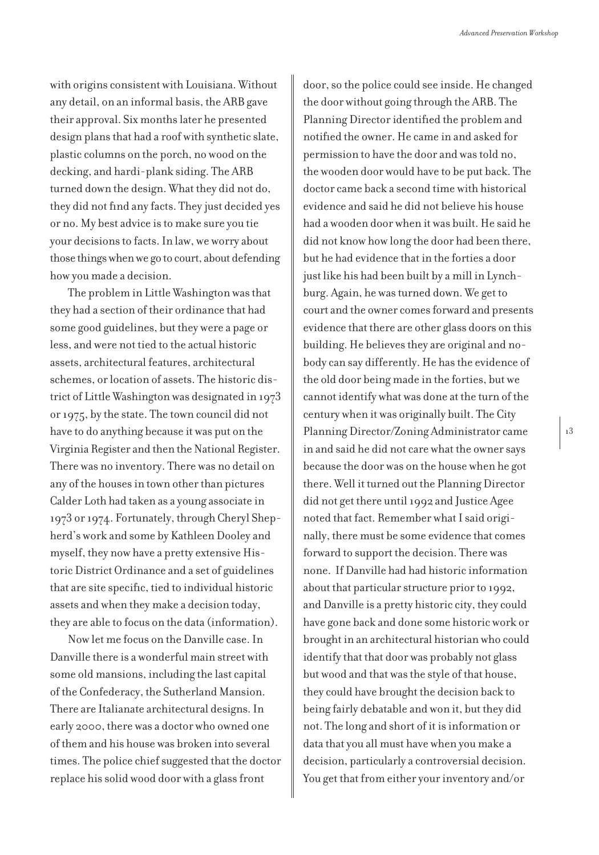with origins consistent with Louisiana. Without any detail, on an informal basis, the ARB gave their approval. Six monthslater he presented design plans that had a roof with synthetic slate, plastic columns on the porch, no wood on the decking, and hardi-plank siding. The ARB turned down the design. What they did not do, they did not find any facts. They just decided yes or no. My best advice isto make sure you tie your decisions to facts. In law, we worry about those thingswhenwe go to court, about defending how you made a decision.

The problem in Little Washington wasthat they had a section of their ordinance that had some good guidelines, but they were a page or less, and were not tied to the actual historic assets, architectural features, architectural schemes, orlocation of assets. The historic district of Little Washington was designated in 1973 or1975, by the state. The town council did not have to do anything because it was put on the Virginia Register and then the National Register. There was no inventory. There was no detail on any of the houses in town other than pictures Calder Loth had taken as a young associate in 1973 or1974. Fortunately, through Cheryl Shepherd's work and some by Kathleen Dooley and myself, they now have a pretty extensive Historic District Ordinance and a set of guidelines that are site specific, tied to individual historic assets and when they make a decision today, they are able to focus on the data (information).

Now let me focus on the Danville case. In Danville there is a wonderful main street with some old mansions, including the last capital of the Confederacy, the Sutherland Mansion. There are Italianate architectural designs.In early 2000, there was a doctor who owned one of them and his house was broken into several times. The police chief suggested that the doctor replace his solid wood door with a glass front

door, so the police could see inside. He changed the door without going through the ARB. The Planning Director identified the problem and notified the owner.He came in and asked for permission to have the door and wastold no, the wooden door would have to be put back. The doctor came back a second time with historical evidence and said he did not believe his house had a wooden door when it was built.He said he did not know how long the door had been there, but he had evidence that in the forties a door just like his had been built by a mill in Lynchburg. Again, he wasturned down. We get to court and the owner comesforward and presents evidence that there are other glass doors on this building. He believes they are original and nobody can say differently. He has the evidence of the old door being made in the forties, but we cannot identify what was done at the turn of the century when it was originally built. The City Planning Director/Zoning Administrator came in and said he did not care what the owner says because the door was on the house when he got there. Well it turned out the Planning Director did not get there until 1992 and Justice Agee noted that fact. Remember what I said originally, there must be some evidence that comes forward to support the decision. There was none. IfDanville had had historic information about that particular structure prior to 1992, and Danville is a pretty historic city, they could have gone back and done some historic work or brought in an architectural historian who could identify that that door was probably not glass but wood and that wasthe style of that house, they could have brought the decision back to being fairly debatable and won it, but they did not. The long and short of it is information or data that you all must have when you make a decision, particularly a controversial decision. You get that from either your inventory and/or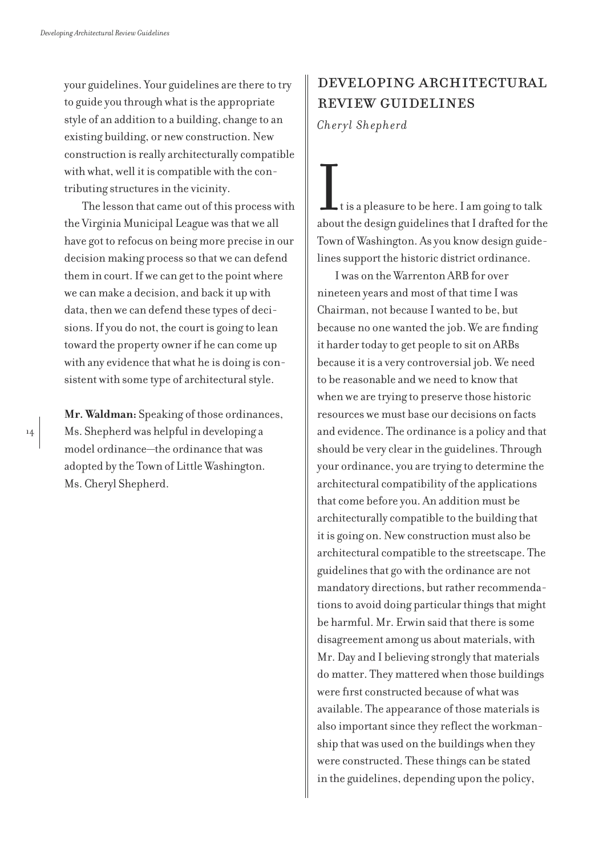your guidelines. Your guidelines are there to try to guide you through what is the appropriate style of an addition to a building, change to an existing building, or new construction. New construction isreally architecturally compatible with what, well it is compatible with the contributing structures in the vicinity.

The lesson that came out of this process with the Virginia Municipal League wasthat we all have got to refocus on being more precise in our decision making process so that we can defend them in court.If we can get to the point where we can make a decision, and back it up with data, then we can defend these types of decisions.If you do not, the court is going to lean toward the property ownerif he can come up with any evidence that what he is doing is consistent with some type of architectural style.

**Mr. Waldman:** Speaking of those ordinances, Ms. Shepherd was helpful in developing a model ordinance—the ordinance that was adopted by the Town of Little Washington. Ms. Cheryl Shepherd.

#### developing architectural review guidelines

*Cheryl Shepherd*

It is <sup>a</sup> pleasure to be here.I am going to talk about the design guidelines that I drafted for the Town of Washington. As you know design guidelines support the historic district ordinance.

I was on the Warrenton ARB for over nineteen years and most of that time I was Chairman, not because I wanted to be, but because no one wanted the job. We are finding it harder today to get people to sit on ARBs because it is a very controversial job. We need to be reasonable and we need to know that when we are trying to preserve those historic resources we must base our decisions on facts and evidence. The ordinance is a policy and that should be very clearin the guidelines. Through your ordinance, you are trying to determine the architectural compatibility of the applications that come before you. An addition must be architecturally compatible to the building that it is going on. New construction must also be architectural compatible to the streetscape. The guidelinesthat go with the ordinance are not mandatory directions, but rather recommendations to avoid doing particular things that might be harmful. Mr. Erwin said that there issome disagreement among us about materials, with Mr.Day and I believing strongly that materials do matter. They mattered when those buildings were first constructed because of what was available. The appearance of those materials is also important since they reflect the workmanship that was used on the buildings when they were constructed. These things can be stated in the guidelines, depending upon the policy,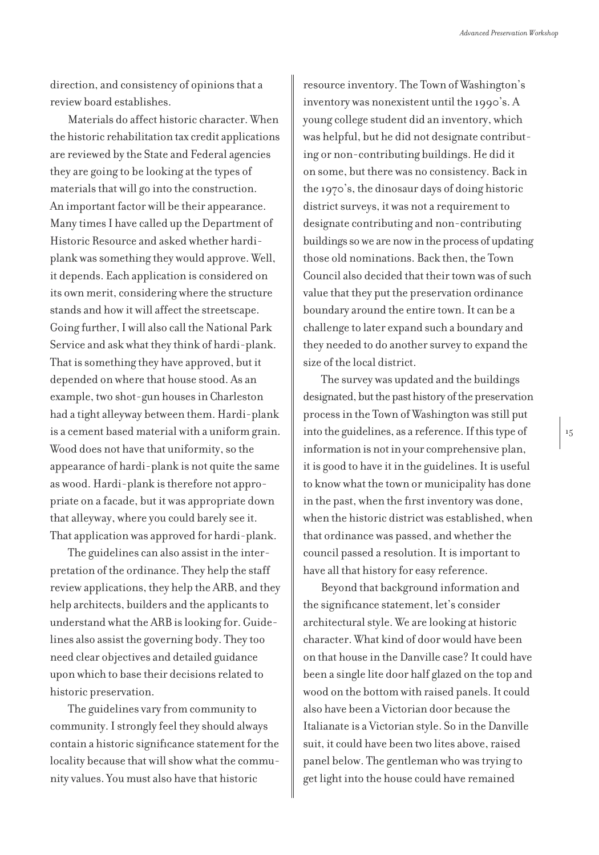direction, and consistency of opinionsthat a review board establishes.

Materials do affect historic character. When the historic rehabilitation tax credit applications are reviewed by the State and Federal agencies they are going to be looking at the types of materials that will go into the construction. An important factor will be their appearance. Many times I have called up the Department of Historic Resource and asked whether hardiplank wassomething they would approve. Well, it depends. Each application is considered on its own merit, considering where the structure stands and how it will affect the streetscape. Going further, I will also call the National Park Service and ask what they think of hardi-plank. That is something they have approved, but it depended on where that house stood. As an example, two shot-gun housesin Charleston had a tight alleyway between them. Hardi-plank is a cement based material with a uniform grain. Wood does not have that uniformity, so the appearance of hardi-plank is not quite the same as wood. Hardi-plank is therefore not appropriate on a facade, but it was appropriate down that alleyway, where you could barely see it. That application was approved for hardi-plank.

The guidelines can also assist in the interpretation of the ordinance. They help the staff review applications, they help the ARB, and they help architects, builders and the applicants to understand what the ARB islooking for. Guidelines also assist the governing body. They too need clear objectives and detailed guidance upon which to base their decisions related to historic preservation.

The guidelines vary from community to community.Istrongly feel they should always contain a historic significance statement forthe locality because that will show what the community values. You must also have that historic

resource inventory. The Town of Washington's inventory was nonexistent until the 1990's. A young college student did an inventory, which was helpful, but he did not designate contributing or non-contributing buildings.He did it on some, but there was no consistency. Back in the 1970's, the dinosaur days of doing historic district surveys, it was not a requirement to designate contributing and non-contributing buildings so we are now in the process of updating those old nominations. Back then, the Town Council also decided that their town was of such value that they put the preservation ordinance boundary around the entire town.It can be a challenge to later expand such a boundary and they needed to do another survey to expand the size of the local district.

The survey was updated and the buildings designated, but the past history of the preservation process in the Town of Washington was still put into the guidelines, as a reference. If this type of information is not in your comprehensive plan, it is good to have it in the guidelines. It is useful to know what the town or municipality has done in the past, when the first inventory was done, when the historic district was established, when that ordinance was passed, and whether the council passed a resolution.It isimportant to have all that history for easy reference.

Beyond that background information and the significance statement, let's consider architectural style. We are looking at historic character. What kind of door would have been on that house in the Danville case? It could have been a single lite door half glazed on the top and wood on the bottom with raised panels.It could also have been a Victorian door because the Italianate is a Victorian style. So in the Danville suit, it could have been two lites above, raised panel below. The gentleman who was trying to get light into the house could have remained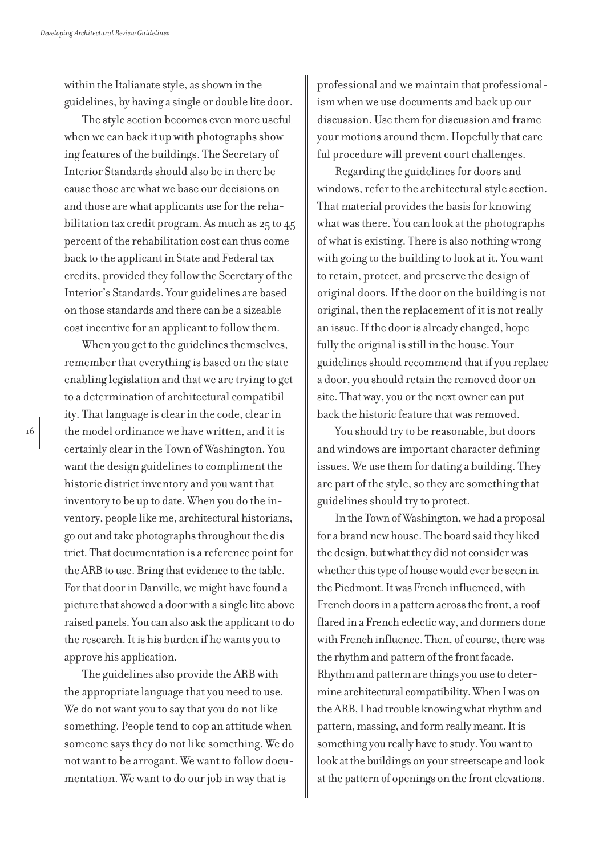within the Italianate style, as shown in the guidelines, by having a single or double lite door.

The style section becomes even more useful when we can back it up with photographs showing features of the buildings. The Secretary of Interior Standards should also be in there because those are what we base our decisions on and those are what applicants use forthe rehabilitation tax credit program. As much as 25 to 45 percent of the rehabilitation cost can thus come back to the applicant in State and Federal tax credits, provided they follow the Secretary of the Interior's Standards. Your guidelines are based on those standards and there can be a sizeable cost incentive for an applicant to follow them.

When you get to the guidelines themselves, remember that everything is based on the state enabling legislation and that we are trying to get to a determination of architectural compatibility. That language is clearin the code, clearin the model ordinance we have written, and it is certainly clearin the Town of Washington. You want the design guidelines to compliment the historic district inventory and you want that inventory to be up to date.When you do the inventory, people likeme, architectural historians, go out and take photographs throughout the district. That documentation is a reference point for theARB to use. Bring that evidence to the table. For that door in Danville, we might have found a picture that showed a door with a single lite above raised panels. You can also ask the applicant to do the research. It is his burden if he wants you to approve his application.

The guidelines also provide the ARB with the appropriate language that you need to use. We do not want you to say that you do not like something. People tend to cop an attitude when someone saysthey do not like something. We do not want to be arrogant. We want to follow documentation. We want to do our job in way that is

professional and we maintain that professionalism when we use documents and back up our discussion. Use them for discussion and frame your motions around them.Hopefully that careful procedure will prevent court challenges.

Regarding the guidelines for doors and windows, refer to the architectural style section. That material provides the basis for knowing what wasthere. You can look at the photographs of what is existing. There is also nothing wrong with going to the building to look at it. You want to retain, protect, and preserve the design of original doors.If the door on the building is not original, then the replacement of it is notreally an issue. If the door is already changed, hopefully the original isstill in the house. Your guidelines should recommend that if you replace a door, you should retain the removed door on site. That way, you or the next owner can put back the historic feature that was removed.

You should try to be reasonable, but doors and windows are important character defining issues. We use them for dating a building. They are part of the style, so they are something that guidelines should try to protect.

In the Town of Washington, we had a proposal for a brand new house. The board said they liked the design, but what they didnot consider was whether this type of house would ever be seen in the Piedmont. It was French influenced, with French doors in a pattern across the front, a roof flared ina French eclecticway, and dormers done with French influence. Then, of course, there was the rhythm and pattern of the front facade. Rhythmand patternare things you use to determine architectural compatibility. When I was on the ARB, I had trouble knowing what rhythm and pattern, massing, and form really meant. It is something you really have to study. You want to look at the buildings on your streetscape and look at the pattern of openings on the front elevations.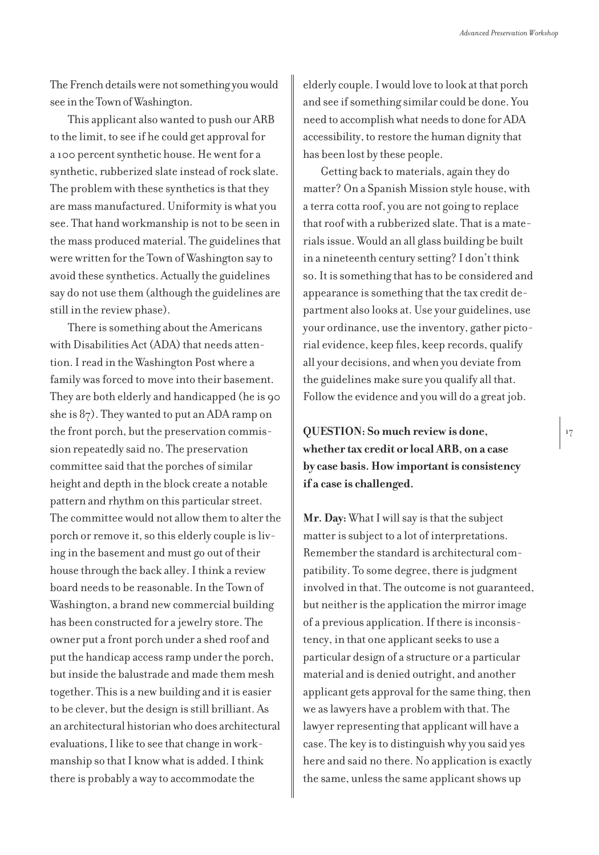*Advanced Preservation Workshop*

The French details were not something you would see inthe TownofWashington.

This applicant also wanted to push our ARB to the limit, to see if he could get approval for a 100 percent synthetic house. He went for a synthetic, rubberized slate instead of rock slate. The problem with these synthetics is that they are mass manufactured. Uniformity is what you see. That hand workmanship is not to be seen in the mass produced material. The guidelines that were written for the Town of Washington say to avoid these synthetics. Actually the guidelines say do not use them (although the guidelines are still in the review phase).

There issomething about the Americans with Disabilities Act (ADA) that needs attention.Iread in the Washington Post where a family was forced to move into their basement. They are both elderly and handicapped (he is 90 she is 87). They wanted to put an ADA ramp on the front porch, but the preservation commission repeatedly said no. The preservation committee said that the porches of similar height and depth in the block create a notable pattern and rhythm on this particular street. The committee would not allow them to alter the porch or remove it, so this elderly couple is living in the basement and must go out of their house through the back alley. I think a review board needsto be reasonable.In the Town of Washington, a brand new commercial building has been constructed for a jewelry store. The owner put a front porch under a shed roof and put the handicap access ramp under the porch, but inside the balustrade and made them mesh together. Thisis a new building and it is easier to be clever, but the design isstill brilliant. As an architectural historian who does architectural evaluations,Ilike to see that change in workmanship so that I know what is added. I think there is probably a way to accommodate the

elderly couple.I would love to look at that porch and see if something similar could be done. You need to accomplish what needs to done for ADA accessibility, to restore the human dignity that has been lost by these people.

Getting back to materials, again they do matter? On a Spanish Mission style house, with a terra cotta roof, you are not going to replace that roof with a rubberized slate. That is a materialsissue. Would an all glass building be built in a nineteenth century setting? I don't think so.It issomething that hasto be considered and appearance is something that the tax credit department also looks at. Use your guidelines, use your ordinance, use the inventory, gather pictorial evidence, keep files, keep records, qualify all your decisions, and when you deviate from the guidelines make sure you qualify all that. Follow the evidence and you will do a great job.

**QUESTION: So much review is done, whether tax credit or local ARB, on a case by case basis. How important is consistency if a case is challenged.**

Mr. Day: What I will say is that the subject matter is subject to a lot of interpretations. Rememberthe standard is architectural compatibility. To some degree, there is judgment involved in that. The outcome is not guaranteed, but neither is the application the mirror image of a previous application. If there is inconsistency, in that one applicant seeks to use a particular design of a structure or a particular material and is denied outright, and another applicant gets approval forthe same thing, then we aslawyers have a problem with that. The lawyer representing that applicant will have a case. The key isto distinguish why you said yes here and said no there. No application is exactly the same, unless the same applicant shows up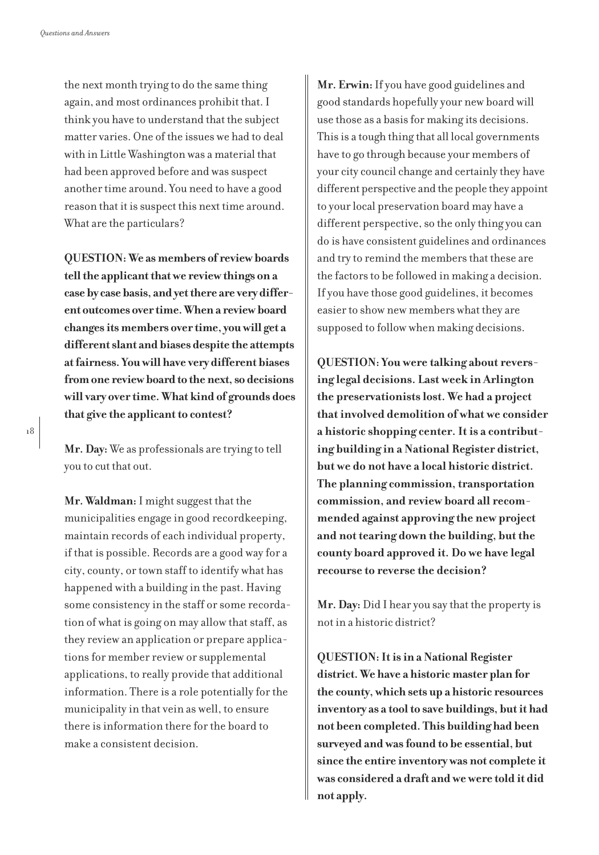the next month trying to do the same thing again, and most ordinances prohibit that.I think you have to understand that the subject matter varies. One of the issues we had to deal with in Little Washington was a material that had been approved before and was suspect another time around. You need to have a good reason that it is suspect this next time around. What are the particulars?

**QUESTION: We as members of reviewboards tellthe applicantthatwe reviewthings on a case by case basis, and yetthere are very different outcomes over time. Whena reviewboard changesits members over time, youwill get a differentslant and biases despite the attempts atfairness. Youwill have very different biases from one reviewboard to thenext,so decisions will vary over time. What kind of grounds does that give the applicant to contest?**

**Mr. Day:** We as professionals are trying to tell you to cut that out.

Mr. Waldman: I might suggest that the municipalities engage in good recordkeeping, maintain records of each individual property, if that is possible. Records are a good way for a city, county, ortown staff to identify what has happened with a building in the past. Having some consistency in the staff or some recordation of what is going on may allow that staff, as they review an application or prepare applications for member review or supplemental applications, to really provide that additional information. There is a role potentially for the municipality in that vein as well, to ensure there isinformation there forthe board to make a consistent decision.

**Mr. Erwin:**If you have good guidelines and good standards hopefully your new board will use those as a basisfor making its decisions. This is a tough thing that all local governments have to go through because your members of your city council change and certainly they have different perspective and the people they appoint to your local preservation board may have a different perspective, so the only thing you can do is have consistent guidelines and ordinances and try to remind the members that these are the factors to be followed in making a decision. If you have those good guidelines, it becomes easierto show new members what they are supposed to follow when making decisions.

**QUESTION: You were talking about reversing legal decisions. Last week in Arlington the preservationistslost. We had a project that involved demolition of what we consider a historic shopping center.It is a contributing building in a National Register district, but we do not have a local historic district. The planning commission, transportation commission, and review board all recommended against approving the new project and not tearing down the building, but the county board approved it. Do we have legal recourse to reverse the decision?**

**Mr. Day:**Did I hear you say that the property is not in a historic district?

**QUESTION:It isin aNational Register district. We have a historic master plan for the county, which sets up a historic resources inventory as a tool to save buildings, but it had not been completed. This building had been surveyed and wasfound to be essential, but since the entire inventory was not complete it was considered a draft and we were told it did not apply.**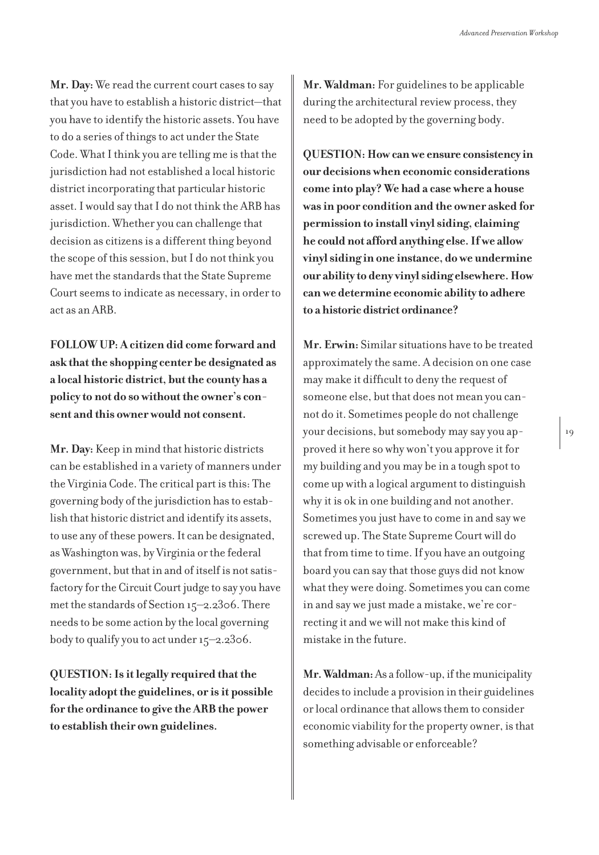**Mr. Day:** We read the current court casesto say that you have to establish a historic district—that you have to identify the historic assets. You have to do a series of things to act under the State Code. What I think you are telling me is that the jurisdiction had not established a local historic district incorporating that particular historic asset. I would say that I do not think the ARB has jurisdiction. Whether you can challenge that decision as citizens is a different thing beyond the scope of thissession, butI do not think you have met the standards that the State Supreme Court seems to indicate as necessary, in order to act as an ARB.

**FOLLOW UP: A citizen did come forward and ask that the shopping center be designated as a local historic district, but the county has a policy to not do so without the owner's consent and this owner would not consent.**

**Mr. Day:** Keep in mind that historic districts can be established in a variety of manners under the Virginia Code. The critical part isthis: The governing body of the jurisdiction has to establish that historic district and identify its assets, to use any of these powers. It can be designated, asWashington was, by Virginia orthe federal government, but that in and of itself is not satisfactory for the Circuit Court judge to say you have met the standards of Section 15–2.2306. There needsto be some action by the local governing body to qualify you to act under  $15-2.2306$ .

**QUESTION:Isit legally required that the locality adopt the guidelines, or isit possible for the ordinance to give the ARB the power to establish their own guidelines.**

**Mr. Waldman:** For guidelinesto be applicable during the architectural review process, they need to be adopted by the governing body.

**QUESTION: Howcanwe ensure consistency in our decisions when economic considerations come into play? We had a case where a house wasin poor condition and the owner asked for permission to install vinylsiding, claiming he could not afford anything else.Ifwe allow vinylsiding in one instance, dowe undermine our ability to deny vinylsiding elsewhere. How canwe determine economic ability to adhere to a historic district ordinance?**

**Mr. Erwin:** Similarsituations have to be treated approximately the same. A decision on one case may make it difficult to deny the request of someone else, but that does not mean you cannot do it. Sometimes people do not challenge your decisions, but somebody may say you approved it here so why won't you approve it for my building and you may be in a tough spot to come up with a logical argument to distinguish why it is ok in one building and not another. Sometimes you just have to come in and say we screwed up. The State Supreme Court will do that from time to time.If you have an outgoing board you can say that those guys did not know what they were doing. Sometimes you can come in and say we just made a mistake, we're correcting it and we will not make this kind of mistake in the future.

Mr. Waldman: As a follow-up, if the municipality decides to include a provision in their guidelines orlocal ordinance that allowsthemto consider economic viability forthe property owner, isthat something advisable or enforceable?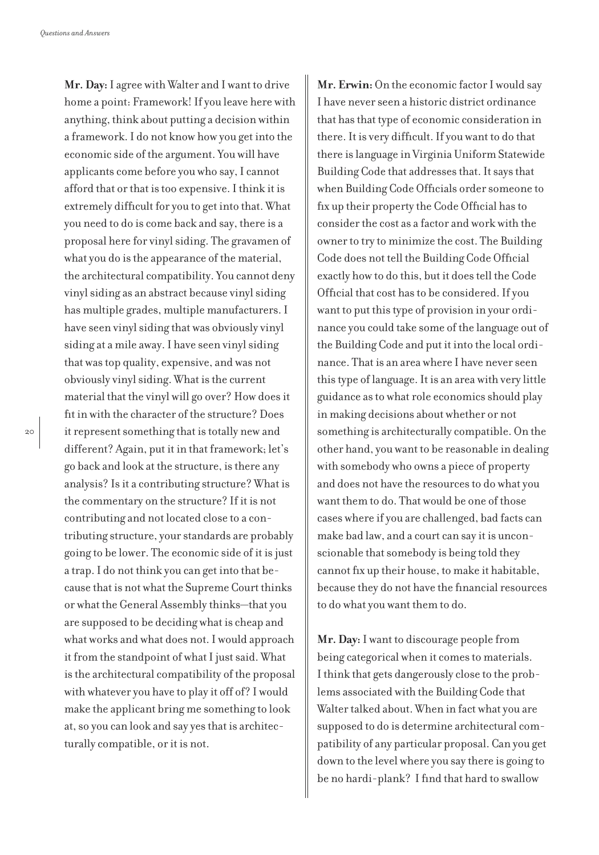**Mr. Day:**I agree with Walter and I want to drive home a point: Framework! If you leave here with anything, think about putting a decision within a framework.I do not know how you get into the economic side of the argument. You will have applicants come before you who say,I cannot afford that or that is too expensive. I think it is extremely difficult for you to get into that. What you need to do is come back and say, there is a proposal here for vinylsiding. The gravamen of what you do is the appearance of the material, the architectural compatibility. You cannot deny vinylsiding as an abstract because vinylsiding has multiple grades, multiple manufacturers.I have seen vinyl siding that was obviously vinyl siding at a mile away. I have seen vinyl siding that wastop quality, expensive, and was not obviously vinylsiding. What isthe current material that the vinyl will go over? How does it fit in with the character of the structure? Does it represent something that is totally new and different? Again, put it in that framework; let's go back and look at the structure, isthere any analysis? Isit a contributing structure? What is the commentary on the structure? If it is not contributing and not located close to a contributing structure, yourstandards are probably going to be lower. The economic side of it is just a trap.I do not think you can get into that because that is not what the Supreme Court thinks or what the General Assembly thinks—that you are supposed to be deciding what is cheap and what works and what does not. I would approach it from the standpoint of what I just said. What isthe architectural compatibility of the proposal with whatever you have to play it off of? I would make the applicant bring me something to look at,so you can look and say yesthat is architecturally compatible, or it is not.

**Mr. Erwin:** On the economic factor I would say I have never seen a historic district ordinance that hasthat type of economic consideration in there.It is very difficult.If you want to do that there islanguage in Virginia Uniform Statewide Building Code that addresses that. It says that when Building Code Officials order someone to fix up their property the Code Official hasto considerthe cost as a factor and work with the ownerto try to minimize the cost. The Building Code does not tell the Building Code Official exactly how to do this, but it doestell the Code Official that cost hasto be considered.If you want to put thistype of provision in your ordinance you could take some of the language out of the Building Code and put it into the local ordinance. That is an area where I have neverseen thistype of language.It is an area with very little guidance as to what role economics should play in making decisions about whether or not something is architecturally compatible. On the other hand, you want to be reasonable in dealing with somebody who owns a piece of property and does not have the resources to do what you want them to do. That would be one of those cases where if you are challenged, bad facts can make bad law, and a court can say it is unconscionable that somebody is being told they cannot fix up their house, to make it habitable, because they do not have the financial resources to do what you want them to do.

**Mr. Day:**I want to discourage people from being categorical when it comes to materials. Ithink that gets dangerously close to the problems associated with the Building Code that Walter talked about. When in fact what you are supposed to do is determine architectural compatibility of any particular proposal. Can you get down to the level where you say there is going to be no hardi-plank? I find that hard to swallow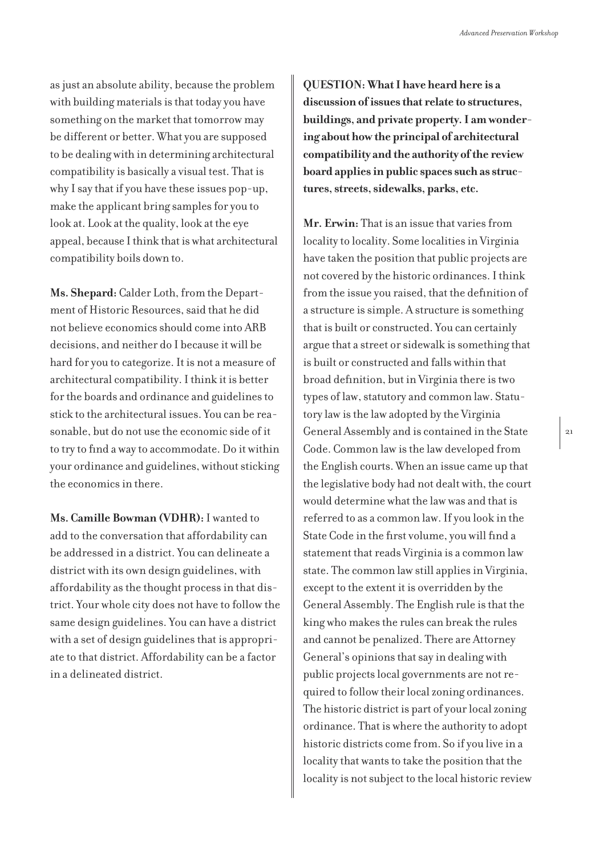as just an absolute ability, because the problem with building materials is that today you have something on the market that tomorrow may be different or better. What you are supposed to be dealing with in determining architectural compatibility is basically a visual test. That is why I say that if you have these issues pop-up, make the applicant bring samples for you to look at. Look at the quality, look at the eye appeal, because I think that is what architectural compatibility boils down to.

Ms. Shepard: Calder Loth, from the Department of Historic Resources, said that he did not believe economicsshould come into ARB decisions, and neither do I because it will be hard for you to categorize.It is not a measure of architectural compatibility. I think it is better for the boards and ordinance and guidelines to stick to the architectural issues. You can be reasonable, but do not use the economic side of it to try to find a way to accommodate.Do it within your ordinance and guidelines, without sticking the economics in there.

**Ms. Camille Bowman (VDHR):**I wanted to add to the conversation that affordability can be addressed in a district. You can delineate a district with its own design guidelines, with affordability asthe thought processin that district. Your whole city does not have to follow the same design guidelines. You can have a district with a set of design guidelines that is appropriate to that district. Affordability can be a factor in a delineated district.

**QUESTION: WhatI have heard here is a discussion ofissuesthat relate to structures, buildings, and private property.I am wondering about howthe principal of architectural compatibility** and the authority of the review **board appliesin public spacessuch asstructures,streets,sidewalks, parks, etc.**

Mr. Erwin: That is an issue that varies from locality to locality. Some localities in Virginia have taken the position that public projects are not covered by the historic ordinances.Ithink from the issue you raised, that the definition of a structure is simple. A structure is something that is built or constructed. You can certainly argue that a street or sidewalk is something that is built or constructed and falls within that broad definition, but in Virginia there istwo types of law, statutory and common law. Statutory law isthe law adopted by the Virginia General Assembly and is contained in the State Code. Common law isthe law developed from the English courts. When an issue came up that the legislative body had not dealt with, the court would determine what the law was and that is referred to as a common law.If you look in the State Code in the first volume, you will find a statement that reads Virginia is a common law state. The common law still applies in Virginia, except to the extent it is overridden by the General Assembly. The English rule isthat the king who makes the rules can break the rules and cannot be penalized. There are Attorney General's opinionsthatsay in dealing with public projects local governments are not required to follow their local zoning ordinances. The historic district is part of your local zoning ordinance. That is where the authority to adopt historic districts come from. So if you live in a locality that wants to take the position that the locality is notsubject to the local historic review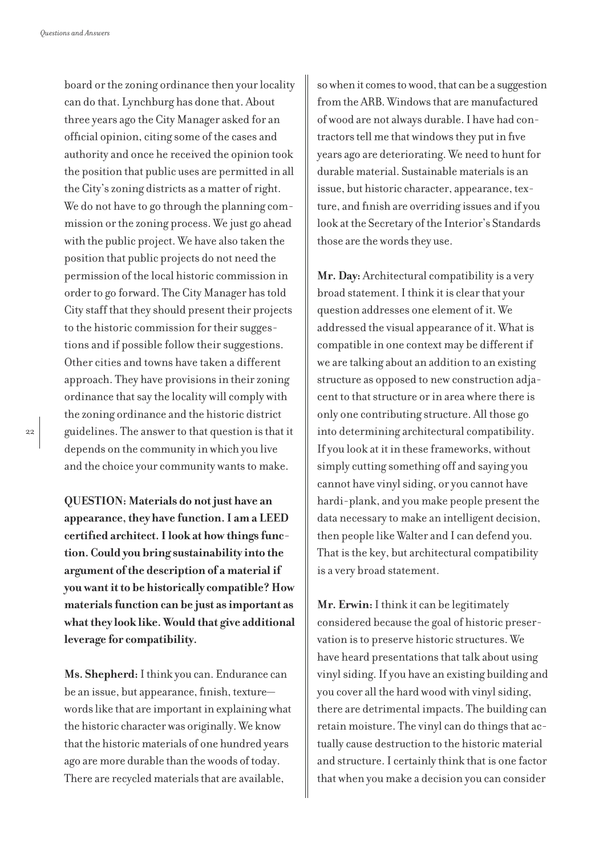board or the zoning ordinance then your locality can do that. Lynchburg has done that. About three years ago the City Manager asked for an official opinion, citing some of the cases and authority and once he received the opinion took the position that public uses are permitted in all the City's zoning districts as a matter of right. We do not have to go through the planning commission orthe zoning process. We just go ahead with the public project. We have also taken the position that public projects do not need the permission of the local historic commission in order to go forward. The City Manager has told City staff that they should present their projects to the historic commission for their suggestions and if possible follow their suggestions. Other cities and towns have taken a different approach. They have provisions in their zoning ordinance that say the locality will comply with the zoning ordinance and the historic district guidelines. The answerto that question isthat it depends on the community in which you live and the choice your community wants to make.

**QUESTION: Materials do not just have an appearance, they have function.I am a LEED certified architect.Ilook at how thingsfunction. Could you bring sustainability into the argument ofthe description of a material if you want it to be historically compatible? How materialsfunction can be just asimportant as what they look like. Would that give additional leverage for compatibility.**

**Ms. Shepherd:** I think you can. Endurance can be an issue, but appearance, finish, texture words like that are important in explaining what the historic character was originally.We know that the historic materials of one hundred years ago are more durable than the woods of today. There are recycled materials that are available,

so when it comes to wood, that can be a suggestion from the ARB. Windows that are manufactured of wood are not always durable.I have had contractors tell me that windows they put in five years ago are deteriorating.We need to huntfor durable material. Sustainable materials is an issue, but historic character, appearance, texture, and finish are overriding issues and if you look at the Secretary of the Interior's Standards those are the words they use.

**Mr. Day:** Architectural compatibility is a very broad statement. I think it is clear that your question addresses one element of it. We addressed the visual appearance of it. What is compatible in one context may be different if we are talking about an addition to an existing structure as opposed to new construction adjacent to that structure or in area where there is only one contributing structure. All those go into determining architectural compatibility. If you look at it in these frameworks, without simply cutting something off and saying you cannot have vinyl siding, or you cannot have hardi-plank, and you make people present the data necessary to make an intelligent decision, then people like Walter and I can defend you. That is the key, but architectural compatibility is a very broad statement.

**Mr. Erwin:** I think it can be legitimately considered because the goal of historic preservation isto preserve historic structures. We have heard presentations that talk about using vinylsiding.If you have an existing building and you cover all the hard wood with vinylsiding, there are detrimental impacts. The building can retain moisture. The vinyl can do things that actually cause destruction to the historic material and structure.I certainly think that is one factor that when you make a decision you can consider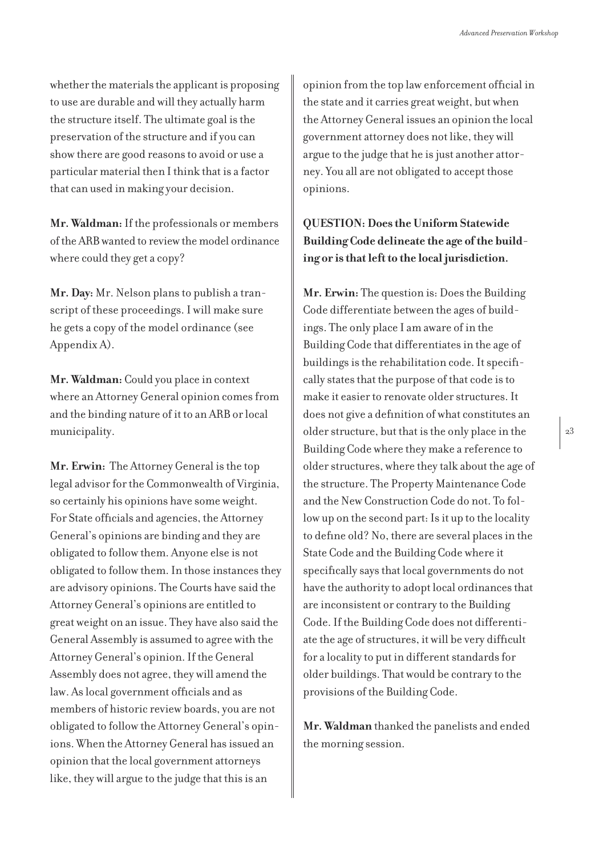whether the materials the applicant is proposing to use are durable and will they actually harm the structure itself. The ultimate goal is the preservation of the structure and if you can show there are good reasons to avoid or use a particular material then I think that is a factor that can used in making your decision.

**Mr. Waldman:**If the professionals or members of the ARB wanted to review the model ordinance where could they get a copy?

**Mr. Day:** Mr. Nelson plansto publish a transcript of these proceedings.I will make sure he gets a copy of the model ordinance (see Appendix A).

**Mr. Waldman:** Could you place in context where an Attorney General opinion comes from and the binding nature of it to an ARB or local municipality.

**Mr. Erwin:** The Attorney General isthe top legal advisor for the Commonwealth of Virginia, so certainly his opinions have some weight. For State officials and agencies, the Attorney General's opinions are binding and they are obligated to follow them. Anyone else is not obligated to follow them. In those instances they are advisory opinions. The Courts have said the Attorney General's opinions are entitled to great weight on an issue. They have also said the General Assembly is assumed to agree with the Attorney General's opinion.If the General Assembly does not agree, they will amend the law. Aslocal government officials and as members of historic review boards, you are not obligated to follow the Attorney General's opinions. When the Attorney General has issued an opinion that the local government attorneys like, they will argue to the judge that this is an

opinion from the top law enforcement official in the state and it carries great weight, but when the Attorney General issues an opinion the local government attorney does not like, they will argue to the judge that he is just another attorney. You all are not obligated to accept those opinions.

#### **QUESTION: DoestheUniform Statewide** Building Code delineate the age of the build**ing or isthat left to the local jurisdiction.**

**Mr. Erwin:** The question is: Does the Building Code differentiate between the ages of buildings. The only place I am aware of in the Building Code that differentiatesin the age of buildings is the rehabilitation code. It specifically states that the purpose of that code is to make it easier to renovate older structures. It does not give a definition of what constitutes an olderstructure, but that isthe only place in the Building Code where they make a reference to older structures, where they talk about the age of the structure. The Property Maintenance Code and the New Construction Code do not. To follow up on the second part: Is it up to the locality to define old?No, there are several placesin the State Code and the Building Code where it specifically saysthat local governments do not have the authority to adopt local ordinances that are inconsistent or contrary to the Building Code.If the Building Code does not differentiate the age of structures, it will be very difficult for a locality to put in different standards for older buildings. That would be contrary to the provisions of the Building Code.

**Mr. Waldman** thanked the panelists and ended the morning session.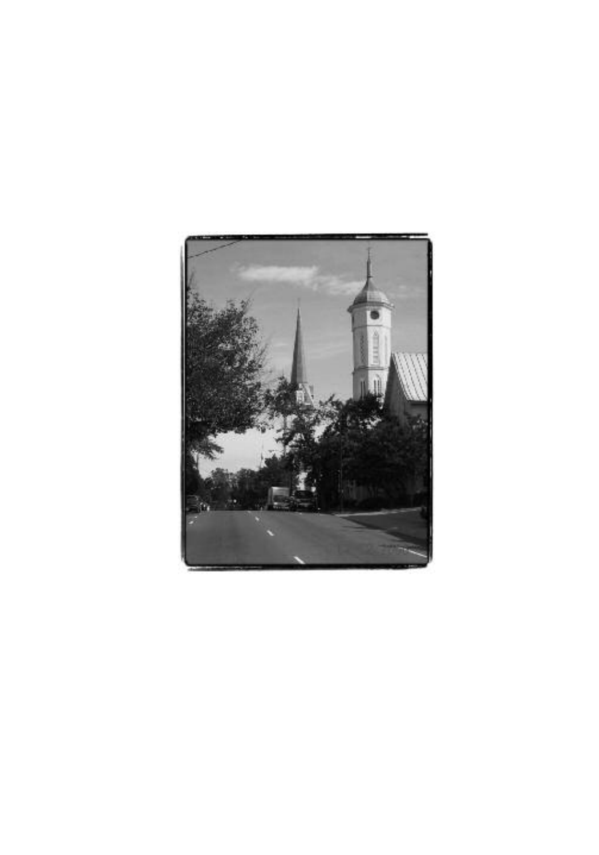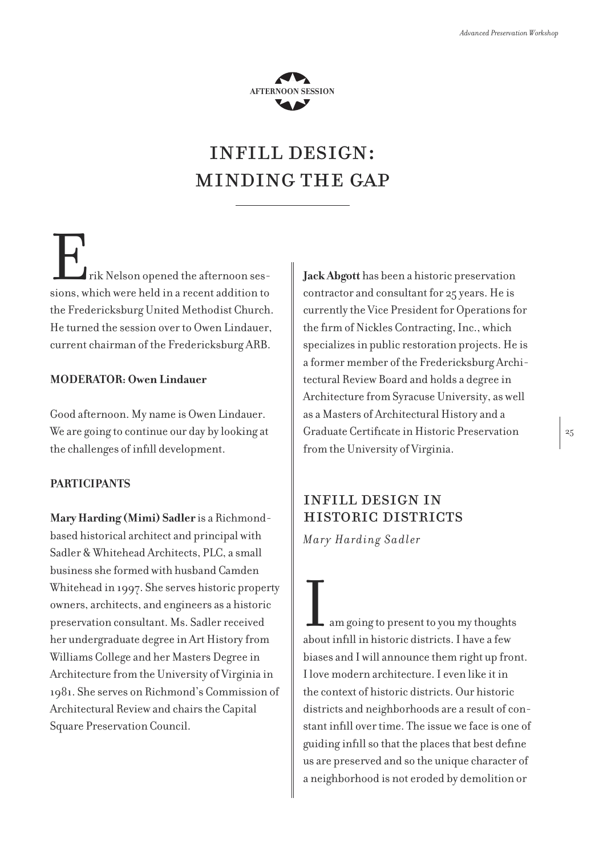

## infill design: minding the gap

rik Nelson opened the afternoon sessions, which were held in a recent addition to the Fredericksburg United Methodist Church. He turned the session over to Owen Lindauer, current chairman of the Fredericksburg ARB.

#### **MODERATOR:Owen Lindauer**

Good afternoon. My name is Owen Lindauer. We are going to continue our day by looking at the challenges of infill development.

#### **PARTICIPANTS**

**Mary Harding (Mimi) Sadler** is a Richmondbased historical architect and principal with Sadler & Whitehead Architects, PLC, a small businessshe formed with husband Camden Whitehead in 1997. She serves historic property owners, architects, and engineers as a historic preservation consultant. Ms. Sadler received her undergraduate degree in Art History from Williams College and her MastersDegree in Architecture from the University of Virginia in 1981. She serves on Richmond's Commission of Architectural Review and chairs the Capital Square Preservation Council.

**Jack Abgott** has been a historic preservation contractor and consultant for 25 years.He is currently the Vice President for Operationsfor the firm of Nickles Contracting, Inc., which specializes in public restoration projects. He is a former member of the Fredericksburg Architectural Review Board and holds a degree in Architecture from Syracuse University, as well as a Masters of Architectural History and a Graduate Certificate in Historic Preservation from the University of Virginia.

#### infill design in historic districts

*Mary Harding Sadler*

am going to present to you my thoughts about infill in historic districts.I have a few biases and I will announce them right up front. Ilove modern architecture.I even like it in the context of historic districts. Our historic districts and neighborhoods are a result of constant infill overtime. The issue we face is one of guiding infill so that the places that best define us are preserved and so the unique character of a neighborhood is not eroded by demolition or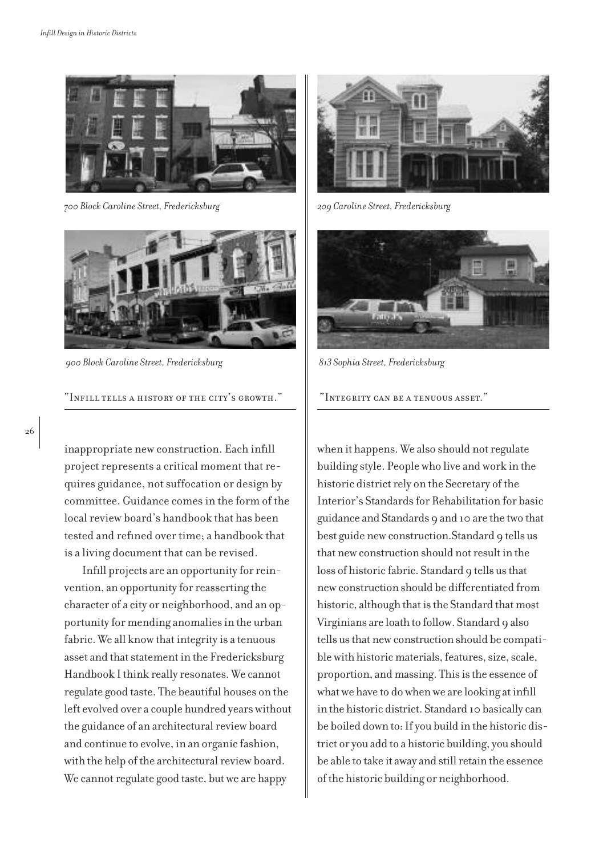

*700 Block Caroline Street, Fredericksburg*



*900 Block Caroline Street, Fredericksburg*

"Infill tells a history of the city's growth."

inappropriate new construction. Each infill project represents a critical moment that requires guidance, notsuffocation or design by committee. Guidance comesin the form of the local review board's handbook that has been tested and refined overtime; a handbook that is a living document that can be revised.

Infill projects are an opportunity for reinvention, an opportunity for reasserting the character of a city or neighborhood, and an opportunity for mending anomalies in the urban fabric.We all know that integrity is a tenuous asset and that statement in the Fredericksburg Handbook I think really resonates. We cannot regulate good taste. The beautiful houses on the left evolved over a couple hundred years without the guidance of an architectural review board and continue to evolve, in an organic fashion, with the help of the architectural review board. We cannot regulate good taste, but we are happy



*209 Caroline Street, Fredericksburg*



*813 Sophia Street, Fredericksburg*

"Integrity can be a tenuous asset."

when it happens. We also should not regulate building style. People who live and work in the historic district rely on the Secretary of the Interior's Standards for Rehabilitation for basic guidance and Standards 9 and 10 are the two that best guide new construction.Standard 9 tells us that new construction should not result in the loss of historic fabric. Standard 9 tells us that newconstruction should be differentiated from historic, although that is the Standard that most Virginians are loath to follow. Standard 9 also tells usthat newconstruction should be compatible with historic materials, features, size, scale, proportion, and massing. This is the essence of what we have to do when we are looking at infill in the historic district. Standard 10 basically can be boiled down to:If you build in the historic district or you add to a historic building, you should be able to take it away and still retain the essence ofthe historic building or neighborhood.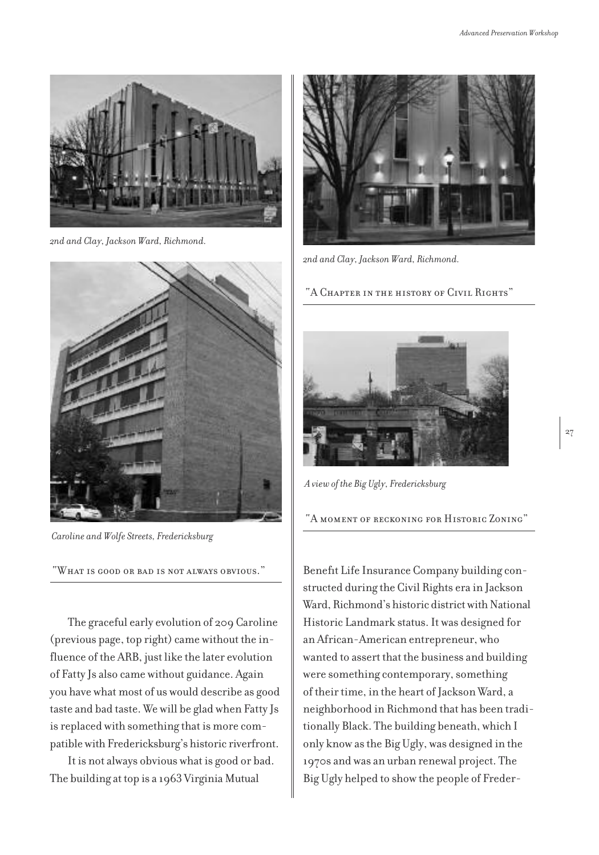

*2nd and Clay, Jackson Ward, Richmond.*



*Caroline and Wolfe Streets, Fredericksburg*

WHAT IS GOOD OR BAD IS NOT ALWAYS OBVIOUS.'

The graceful early evolution of 209 Caroline (previous page, top right) came without the influence of the ARB, just like the later evolution of Fatty Js also came without guidance. Again you have what most of us would describe as good taste and bad taste. We will be glad when Fatty Js is replaced with something that is more compatiblewith Fredericksburg's historic riverfront.

It is not always obvious what is good or bad. The building at top is a 1963 Virginia Mutual



*2nd and Clay, Jackson Ward, Richmond.*

"A Chapter in the history of Civil Rights"



*A view of the Big Ugly, Fredericksburg*

"A moment of reckoning for Historic Zoning"

Benefit Life Insurance Company building constructed during the Civil Rights era in Jackson Ward, Richmond's historic district with National Historic Landmark status.It was designed for an African-American entrepreneur, who wanted to assert that the business and building were something contemporary, something of their time, in the heart of Jackson Ward, a neighborhood in Richmond that has been traditionally Black. The building beneath, which I only know asthe Big Ugly, was designed in the 1970s and was an urban renewal project. The Big Ugly helped to show the people of Freder-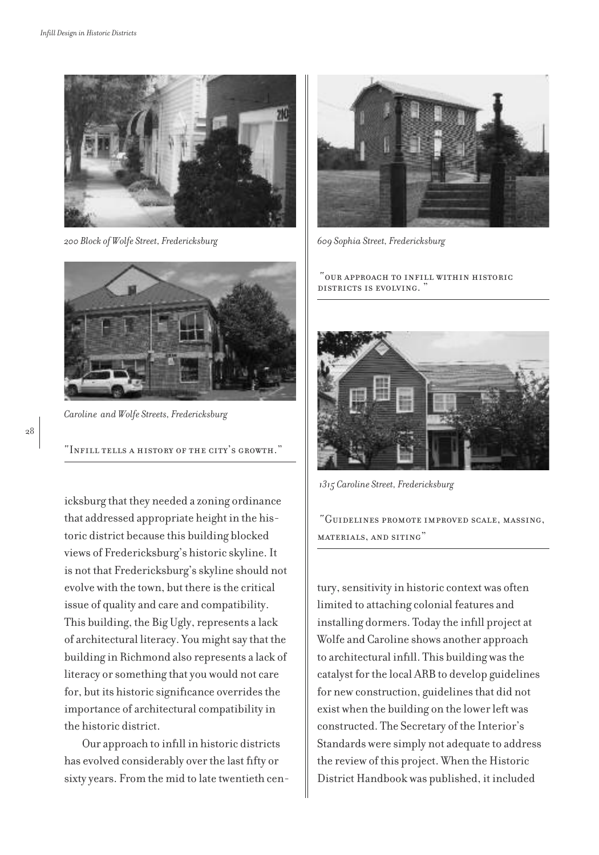

*200 Block of Wolfe Street, Fredericksburg*



*Caroline and Wolfe Streets, Fredericksburg*

"Infill tells a history of the city's growth."

icksburg that they needed a zoning ordinance that addressed appropriate height in the historic district because this building blocked views of Fredericksburg's historic skyline.It is not that Fredericksburg's skyline should not evolve with the town, but there is the critical issue of quality and care and compatibility. This building, the Big Ugly, represents a lack of architectural literacy. You might say that the building in Richmond also represents a lack of literacy or something that you would not care for, but its historic significance overrides the importance of architectural compatibility in the historic district.

Our approach to infill in historic districts has evolved considerably overthe last fifty or sixty years. From the mid to late twentieth cen-



*609 Sophia Street, Fredericksburg*

"our approach to infill within historic districts is evolving. "



*1315 Caroline Street, Fredericksburg*

"Guidelines promote improved scale, massing, materials, and siting"

tury, sensitivity in historic context was often limited to attaching colonial features and installing dormers. Today the infill project at Wolfe and Caroline shows another approach to architectural infill. This building was the catalyst forthe local ARB to develop guidelines for new construction, guidelines that did not exist when the building on the lowerleft was constructed. The Secretary of the Interior's Standards were simply not adequate to address the review of this project. When the Historic District Handbook was published, it included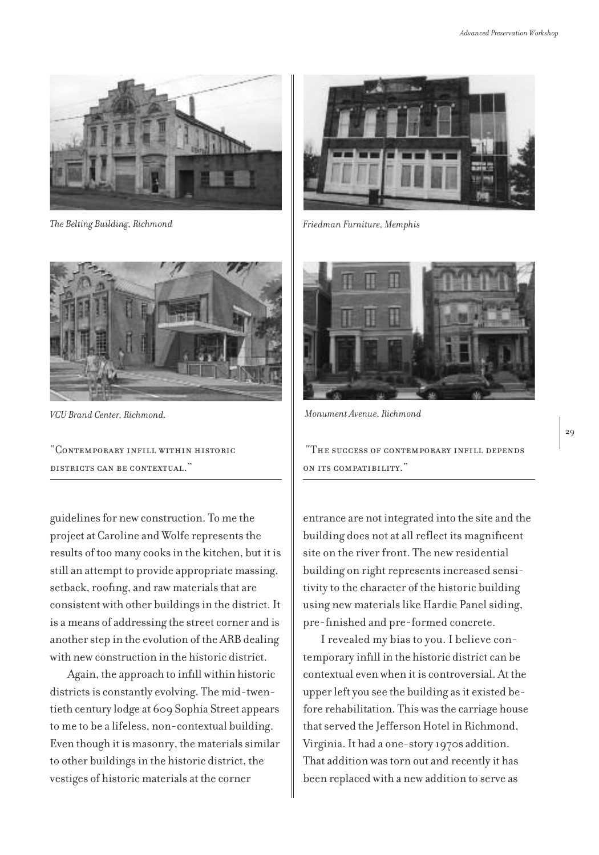

*The Belting Building, Richmond*



*VCU Brand Center, Richmond.*

"Contemporary infill within historic districts can be contextual."

guidelines for new construction. To me the project at Caroline and Wolfe represents the results of too many cooksin the kitchen, but it is still an attempt to provide appropriate massing, setback, roofing, and raw materials that are consistent with other buildings in the district. It is a means of addressing the street corner and is another step in the evolution of the ARB dealing with new construction in the historic district.

Again, the approach to infill within historic districts is constantly evolving. The mid-twentieth century lodge at 609 Sophia Street appears to me to be a lifeless, non-contextual building. Even though it is masonry, the materials similar to other buildings in the historic district, the vestiges of historic materials at the corner



*Friedman Furniture, Memphis*



*Monument Avenue, Richmond*

"The success of contemporary infill depends on its compatibility."

entrance are not integrated into the site and the building does not at all reflect its magnificent site on the river front. The new residential building on right represents increased sensitivity to the character of the historic building using new materials like Hardie Panel siding, pre-finished and pre-formed concrete.

I revealed my biasto you. I believe contemporary infill in the historic district can be contextual even when it is controversial. At the upper left you see the building as it existed before rehabilitation. This was the carriage house that served the Jefferson Hotel in Richmond, Virginia.It had a one-story 1970s addition. That addition wastorn out and recently it has been replaced with a new addition to serve as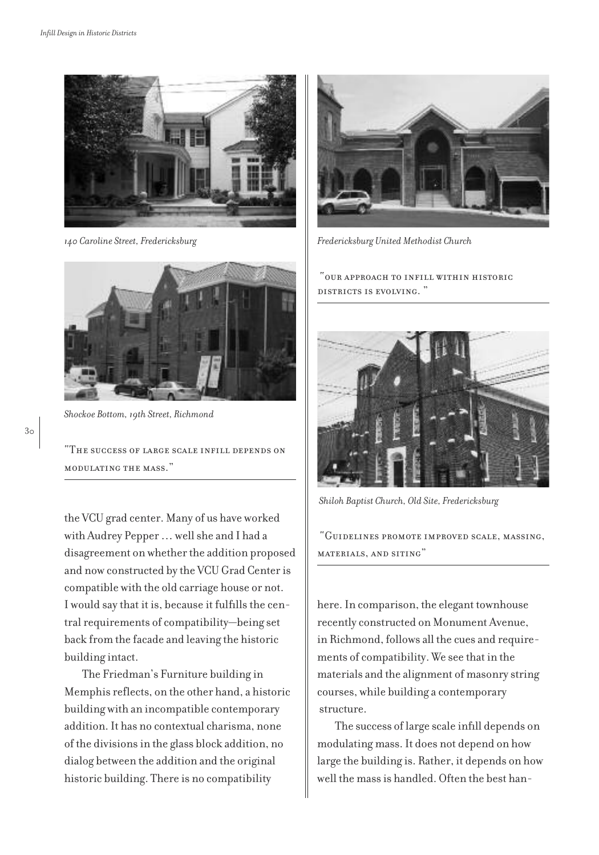

*140 Caroline Street, Fredericksburg*



*Shockoe Bottom,19th Street, Richmond*

"The success of large scale infill depends on modulating the mass."

the VCU grad center. Many of us have worked with Audrey Pepper … wellshe and I had a disagreement on whether the addition proposed and now constructed by the VCU Grad Centeris compatible with the old carriage house or not. I would say that it is, because it fulfills the central requirements of compatibility—being set back from the facade and leaving the historic building intact.

The Friedman's Furniture building in Memphisreflects, on the other hand, a historic building with an incompatible contemporary addition.It has no contextual charisma, none of the divisionsin the glass block addition, no dialog between the addition and the original historic building. There is no compatibility



*Fredericksburg United Methodist Church*

"our approach to infill within historic districts is evolving. "



*Shiloh Baptist Church, Old Site, Fredericksburg*

"Guidelines promote improved scale, massing, materials, and siting"

here.In comparison, the elegant townhouse recently constructed on Monument Avenue, in Richmond, follows all the cues and requirements of compatibility. We see that in the materials and the alignment of masonry string courses, while building a contemporary structure.

The success of large scale infill depends on modulating mass.It does not depend on how large the building is. Rather, it depends on how well the massis handled. Often the best han-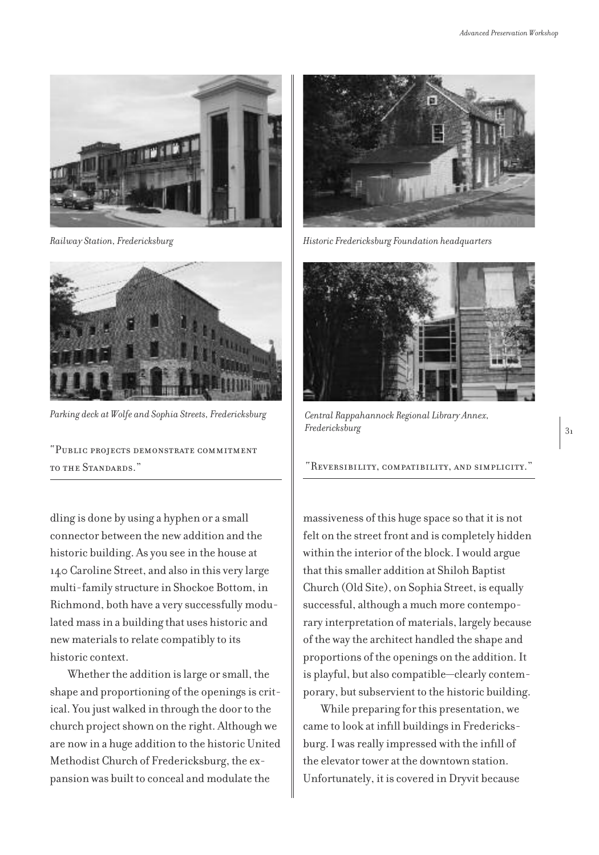

*Railway Station, Fredericksburg*



*Parking deck at Wolfe and Sophia Streets, Fredericksburg*

"Public projects demonstrate commitment to the Standards."

dling is done by using a hyphen or a small connector between the new addition and the historic building. As you see in the house at 140 Caroline Street, and also in this very large multi-family structure in Shockoe Bottom, in Richmond, both have a very successfully modulated massin a building that uses historic and new materials to relate compatibly to its historic context.

Whether the addition is large or small, the shape and proportioning of the openings is critical. You just walked in through the doorto the church project shown on the right. Although we are now in a huge addition to the historic United Methodist Church of Fredericksburg, the expansion was built to conceal and modulate the



*Historic Fredericksburg Foundation headquarters*



*Central Rappahannock Regional Library Annex, Fredericksburg*

"Reversibility, compatibility, and simplicity."

massiveness of this huge space so that it is not felt on the street front and is completely hidden within the interior of the block. I would argue that thissmaller addition at Shiloh Baptist Church (Old Site), on Sophia Street, is equally successful, although a much more contemporary interpretation of materials, largely because of the way the architect handled the shape and proportions of the openings on the addition.It is playful, but also compatible—clearly contemporary, but subservient to the historic building.

While preparing forthis presentation, we came to look at infill buildings in Fredericksburg. I was really impressed with the infill of the elevator tower at the downtown station. Unfortunately, it is covered inDryvit because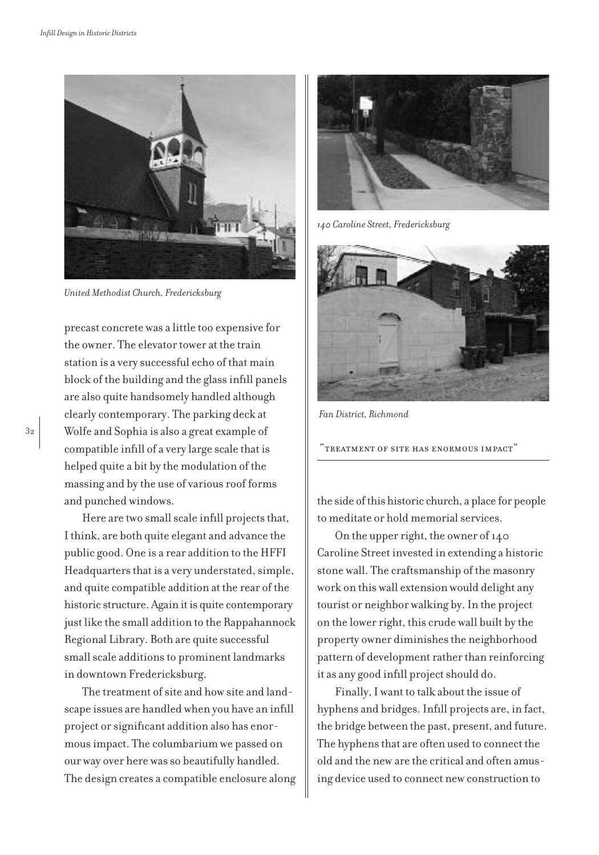

*United Methodist Church, Fredericksburg*

precast concrete was a little too expensive for the owner. The elevator tower at the train station is a very successful echo of that main block of the building and the glassinfill panels are also quite handsomely handled although clearly contemporary. The parking deck at Wolfe and Sophia is also a great example of compatible infill of a very large scale that is helped quite a bit by the modulation of the massing and by the use of various roof forms and punched windows.

Here are two small scale infill projects that, Ithink, are both quite elegant and advance the public good. One is a rear addition to the HFFI Headquarters that is a very understated, simple, and quite compatible addition at the rear of the historic structure. Again it is quite contemporary just like the small addition to the Rappahannock Regional Library. Both are quite successful small scale additions to prominent landmarks in downtown Fredericksburg.

The treatment of site and how site and landscape issues are handled when you have an infill project orsignificant addition also has enormousimpact. The columbarium we passed on our way over here was so beautifully handled. The design creates a compatible enclosure along



*140 Caroline Street, Fredericksburg*



*Fan District, Richmond*

"treatment of site has enormous impact"

the side of this historic church, a place for people to meditate or hold memorial services.

On the upper right, the owner of  $140$ Caroline Street invested in extending a historic stone wall. The craftsmanship of the masonry work on this wall extension would delight any tourist or neighbor walking by.In the project on the lower right, this crude wall built by the property owner diminishes the neighborhood pattern of development rather than reinforcing it as any good infill project should do.

Finally,I want to talk about the issue of hyphens and bridges.Infill projects are, in fact, the bridge between the past, present, and future. The hyphens that are often used to connect the old and the new are the critical and often amusing device used to connect new construction to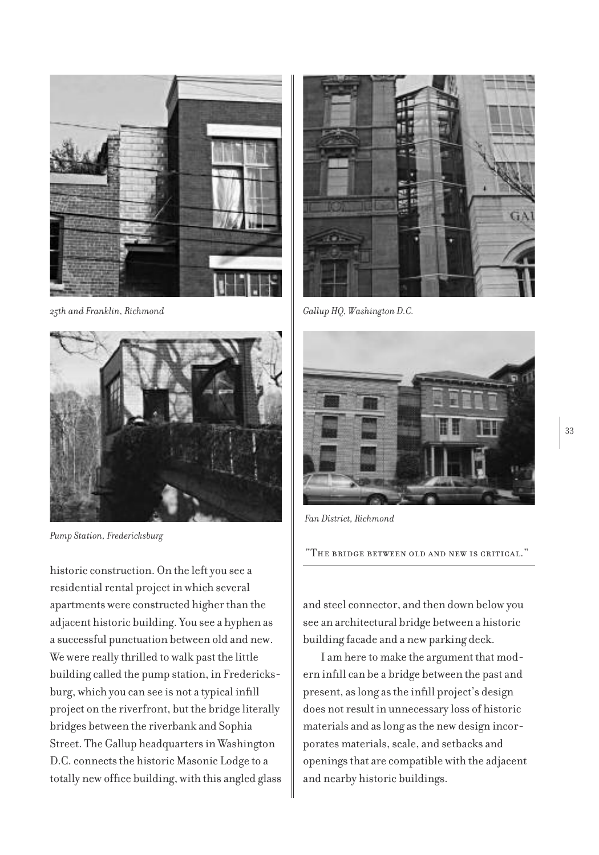

*25th and Franklin, Richmond*



*Pump Station, Fredericksburg*

historic construction. On the left you see a residential rental project in which several apartments were constructed higher than the adjacent historic building. You see a hyphen as a successful punctuation between old and new. We were really thrilled to walk past the little building called the pump station, in Fredericksburg, which you can see is not a typical infill project on the riverfront, but the bridge literally bridges between the riverbank and Sophia Street. The Gallup headquarters in Washington D.C. connects the historic Masonic Lodge to a totally new office building, with this angled glass



*Gallup HQ, Washington D.C.*



*Fan District, Richmond*

"The bridge between old and new is critical."

and steel connector, and then down below you see an architectural bridge between a historic building facade and a new parking deck.

I am here to make the argument that modern infill can be a bridge between the past and present, aslong asthe infill project's design does not result in unnecessary loss of historic materials and aslong asthe new design incorporates materials, scale, and setbacks and openings that are compatible with the adjacent and nearby historic buildings.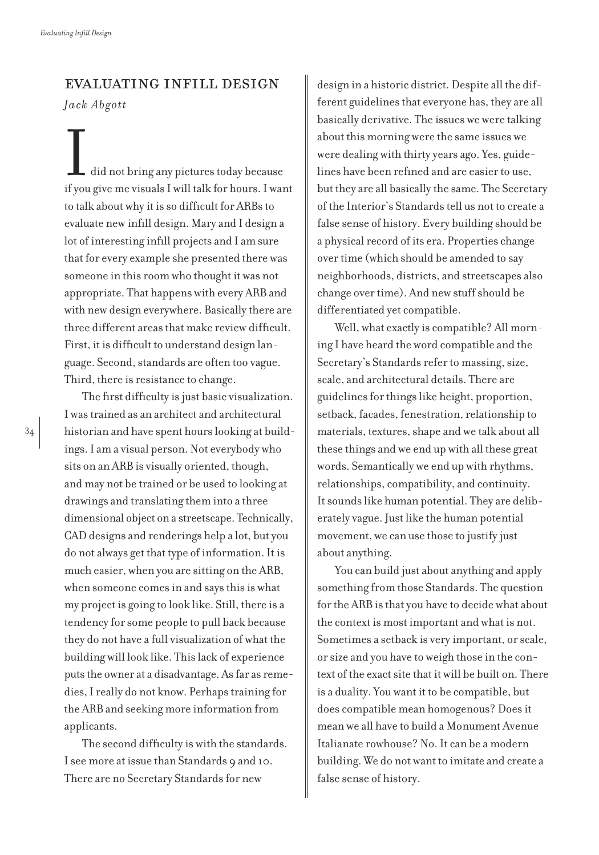#### evaluating infill design *Jack Abgott*

did not bring any pictures today because if you give me visualsI will talk for hours.I want to talk about why it is so difficult for ARBs to evaluate new infill design. Mary and I design a lot of interesting infill projects and I am sure that for every example she presented there was someone in this room who thought it was not appropriate. That happens with every ARB and with new design everywhere. Basically there are three different areas that make review difficult. First, it is difficult to understand design language. Second, standards are often too vague. Third, there is resistance to change.

The first difficulty is just basic visualization. I wastrained as an architect and architectural historian and have spent hours looking at buildings. I am a visual person. Not everybody who sits on an ARB is visually oriented, though, and may not be trained or be used to looking at drawings and translating them into a three dimensional object on a streetscape. Technically, CAD designs and renderings help a lot, but you do not always get that type of information.It is much easier, when you are sitting on the ARB, when someone comes in and says this is what my project is going to look like. Still, there is a tendency forsome people to pull back because they do not have a full visualization of what the building will look like. Thislack of experience puts the owner at a disadvantage. As far as remedies, I really do not know. Perhaps training for the ARB and seeking more information from applicants.

The second difficulty is with the standards. Isee more at issue than Standards 9 and 10. There are no Secretary Standards for new

design in a historic district.Despite all the different guidelines that everyone has, they are all basically derivative. The issues we were talking about this morning were the same issues we were dealing with thirty years ago. Yes, guidelines have been refined and are easierto use, but they are all basically the same. The Secretary of the Interior's Standards tell us not to create a false sense of history. Every building should be a physical record of its era. Properties change overtime (which should be amended to say neighborhoods, districts, and streetscapes also change over time). And new stuff should be differentiated yet compatible.

Well, what exactly is compatible? All morning I have heard the word compatible and the Secretary's Standards refer to massing, size, scale, and architectural details. There are guidelines for things like height, proportion, setback, facades, fenestration, relationship to materials, textures, shape and we talk about all these things and we end up with all these great words. Semantically we end up with rhythms, relationships, compatibility, and continuity. It sounds like human potential. They are deliberately vague.Just like the human potential movement, we can use those to justify just about anything.

You can build just about anything and apply something from those Standards. The question for the ARB is that you have to decide what about the context is most important and what is not. Sometimes a setback is very important, or scale, orsize and you have to weigh those in the context of the exact site that it will be built on. There is a duality. You want it to be compatible, but does compatible mean homogenous?Doesit mean we all have to build a Monument Avenue Italianate rowhouse?No.It can be a modern building. We do not want to imitate and create a false sense of history.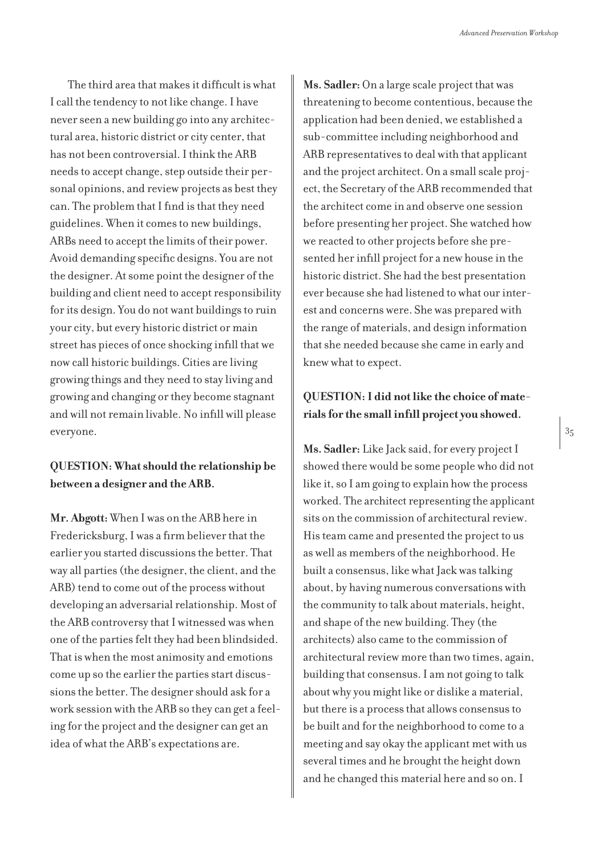The third area that makes it difficult is what I call the tendency to not like change.I have never seen a new building go into any architectural area, historic district or city center, that has not been controversial. I think the ARB needs to accept change, step outside their personal opinions, and review projects as best they can. The problem that I find is that they need guidelines. When it comesto new buildings, ARBs need to accept the limits of their power. Avoid demanding specific designs. You are not the designer. Atsome point the designer of the building and client need to accept responsibility for its design. You do not want buildings to ruin your city, but every historic district or main street has pieces of once shocking infill that we now call historic buildings. Cities are living growing things and they need to stay living and growing and changing orthey become stagnant and will not remain livable. No infill will please everyone.

## **QUESTION: Whatshould the relationship be between a designer and the ARB.**

**Mr. Abgott:** When I was on the ARB here in Fredericksburg, I was a firm believer that the earlier you started discussions the better. That way all parties(the designer, the client, and the ARB) tend to come out of the process without developing an adversarial relationship. Most of the ARB controversy that I witnessed was when one of the parties felt they had been blindsided. That is when the most animosity and emotions come up so the earlier the parties start discussions the better. The designer should ask for a work session with the ARB so they can get a feeling forthe project and the designer can get an idea of what the ARB's expectations are.

**Ms. Sadler:** On a large scale project that was threatening to become contentious, because the application had been denied, we established a sub-committee including neighborhood and ARB representatives to deal with that applicant and the project architect. On a small scale project, the Secretary of the ARB recommended that the architect come in and observe one session before presenting her project. She watched how we reacted to other projects before she presented herinfill project for a new house in the historic district. She had the best presentation ever because she had listened to what ourinterest and concerns were. She was prepared with the range of materials, and design information thatshe needed because she came in early and knew what to expect.

## **QUESTION:I did not like the choice of materialsfor the small infill project you showed.**

**Ms. Sadler:** Like Jack said, for every project I showed there would be some people who did not like it, so I am going to explain how the process worked. The architect representing the applicant sits on the commission of architectural review. Histeam came and presented the project to us as well as members of the neighborhood.He built a consensus, like what Jack was talking about, by having numerous conversations with the community to talk about materials, height, and shape of the new building. They (the architects) also came to the commission of architectural review more than two times, again, building that consensus.I am not going to talk about why you might like or dislike a material, but there is a processthat allows consensusto be built and forthe neighborhood to come to a meeting and say okay the applicant met with us several times and he brought the height down and he changed this material here and so on.I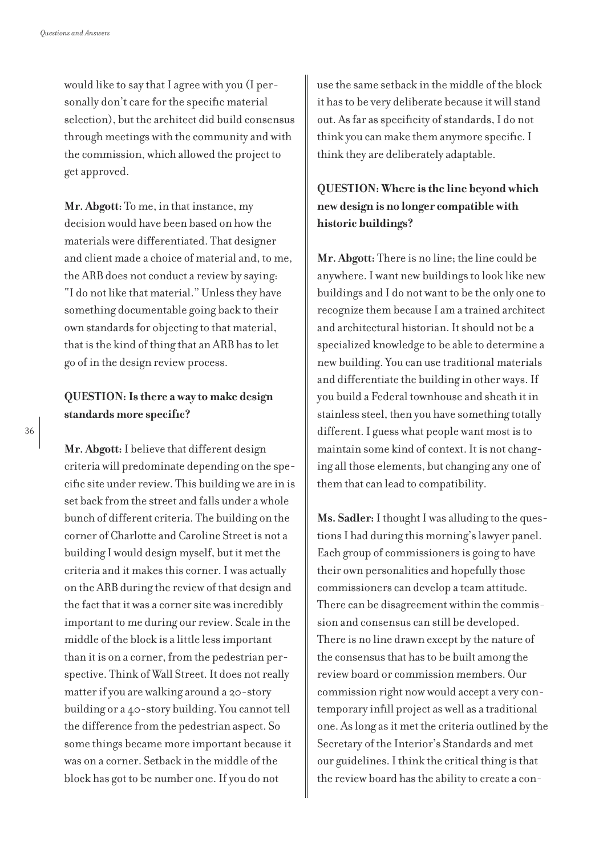would like to say that I agree with you (I personally don't care for the specific material selection), but the architect did build consensus through meetings with the community and with the commission, which allowed the project to get approved.

**Mr. Abgott:** To me, in that instance, my decision would have been based on how the materials were differentiated. That designer and client made a choice of material and, to me, the ARB does not conduct a review by saying: "I do not like that material." Unlessthey have something documentable going back to their own standards for objecting to that material, that isthe kind of thing that an ARB hasto let go of in the design review process.

## **QUESTION:Isthere a way to make design standards more specific?**

**Mr. Abgott:**I believe that different design criteria will predominate depending on the specific site under review. This building we are in is set back from the street and falls under a whole bunch of different criteria. The building on the corner of Charlotte and Caroline Street is not a building I would design myself, but it met the criteria and it makesthis corner.I was actually on the ARB during the review of that design and the fact that it was a corner site was incredibly important to me during our review. Scale in the middle of the block is a little lessimportant than it is on a corner, from the pedestrian perspective. Think of Wall Street. It does not really matterif you are walking around a 20-story building or a 40-story building. You cannot tell the difference from the pedestrian aspect. So some things became more important because it was on a corner. Setback in the middle of the block has got to be number one.If you do not

use the same setback in the middle of the block it has to be very deliberate because it will stand out. As far as specificity of standards, I do not think you can make them anymore specific.I think they are deliberately adaptable.

# **QUESTION: Where isthe line beyond which new design is no longer compatible with historic buildings?**

**Mr. Abgott:** There is no line; the line could be anywhere.I want new buildingsto look like new buildings and I do not want to be the only one to recognize them because I am a trained architect and architectural historian. It should not be a specialized knowledge to be able to determine a new building. You can use traditional materials and differentiate the building in other ways.If you build a Federal townhouse and sheath it in stainless steel, then you have something totally different.I guess what people want most isto maintain some kind of context.It is not changing all those elements, but changing any one of them that can lead to compatibility.

**Ms. Sadler:** I thought I was alluding to the questionsI had during this morning'slawyer panel. Each group of commissionersis going to have their own personalities and hopefully those commissioners can develop a team attitude. There can be disagreement within the commission and consensus can still be developed. There is no line drawn except by the nature of the consensus that has to be built among the review board or commission members. Our commission right now would accept a very contemporary infill project as well as a traditional one. Aslong asit met the criteria outlined by the Secretary of the Interior's Standards and met our guidelines. I think the critical thing is that the review board has the ability to create a con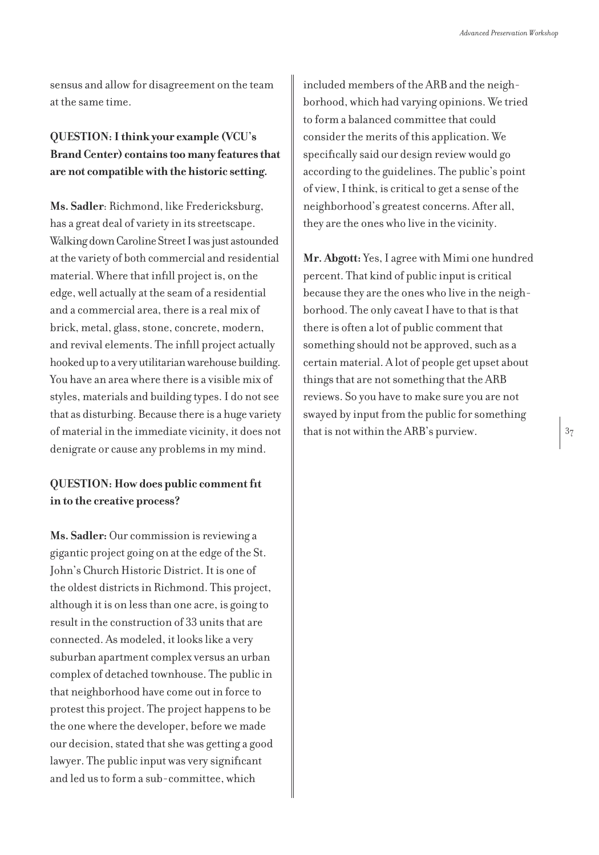sensus and allow for disagreement on the team at the same time.

# **QUESTION:Ithink your example (VCU's Brand Center) containstoo many featuresthat are not compatiblewith the historic setting.**

**Ms. Sadler**: Richmond, like Fredericksburg, has a great deal of variety in its streetscape. Walking down Caroline Street I was just astounded at the variety of both commercial and residential material. Where that infill project is, on the edge, well actually at the seam of a residential and a commercial area, there is a real mix of brick, metal, glass, stone, concrete, modern, and revival elements. The infill project actually hooked up to a very utilitarian warehouse building. You have an area where there is a visible mix of styles, materials and building types. I do not see that as disturbing. Because there is a huge variety of material in the immediate vicinity, it does not denigrate or cause any problemsin my mind.

## **QUESTION: How does public comment fit in to the creative process?**

Ms. Sadler: Our commission is reviewing a gigantic project going on at the edge of the St. John's Church Historic District. It is one of the oldest districts in Richmond. This project, although it is on lessthan one acre, is going to result in the construction of 33 units that are connected. As modeled, it lookslike a very suburban apartment complex versus an urban complex of detached townhouse. The public in that neighborhood have come out in force to protest this project. The project happensto be the one where the developer, before we made our decision, stated that she was getting a good lawyer. The public input was very significant and led us to form a sub-committee, which

included members of the ARB and the neighborhood, which had varying opinions. We tried to form a balanced committee that could considerthe merits of this application. We specifically said our design review would go according to the guidelines. The public's point of view,Ithink, is critical to get a sense of the neighborhood's greatest concerns. After all, they are the ones who live in the vicinity.

**Mr. Abgott:** Yes,I agree with Mimi one hundred percent. That kind of public input is critical because they are the ones who live in the neighborhood. The only caveat I have to that is that there is often a lot of public comment that something should not be approved, such as a certain material. A lot of people get upset about things that are not something that the ARB reviews. So you have to make sure you are not swayed by input from the public for something that is not within the ARB's purview.  $|37|$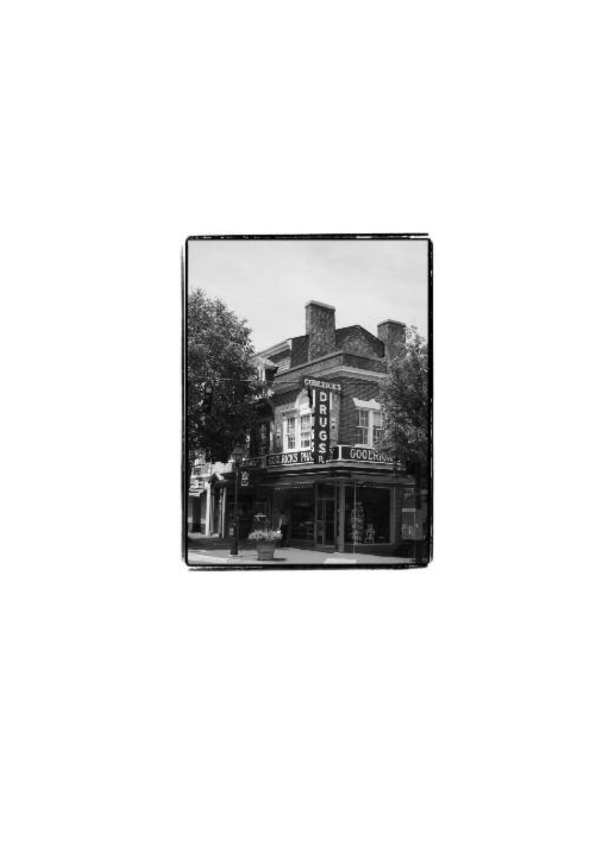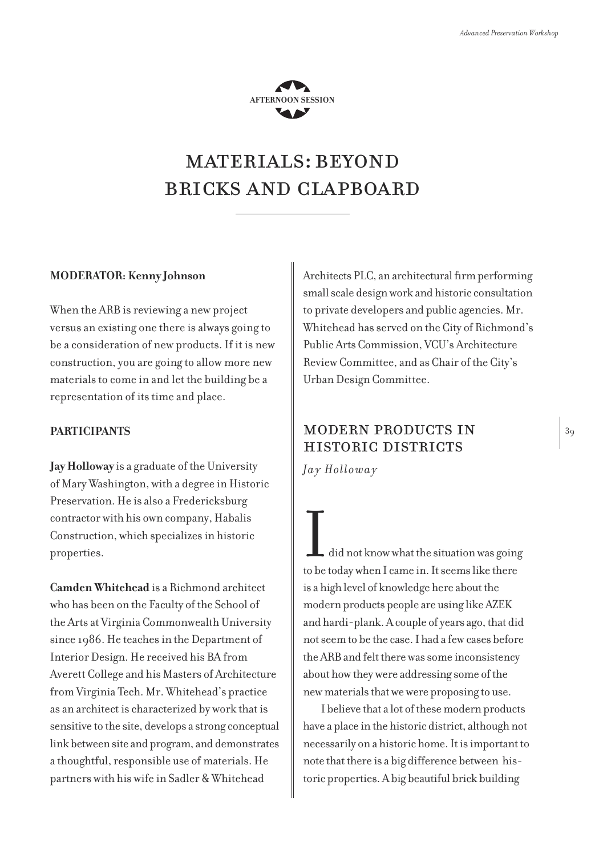

# materials:beyond bricks and clapboard

## **MODERATOR: Kenny Johnson**

When the ARB is reviewing a new project versus an existing one there is always going to be a consideration of new products.If it is new construction, you are going to allow more new materials to come in and let the building be a representation of its time and place.

## **PARTICIPANTS**

**Jay Holloway** is a graduate of the University of Mary Washington, with a degree in Historic Preservation. He is also a Fredericksburg contractor with his own company, Habalis Construction, which specializes in historic properties.

**Camden Whitehead** is a Richmond architect who has been on the Faculty of the School of the Arts at Virginia Commonwealth University since 1986. He teaches in the Department of Interior Design. He received his BA from Averett College and his Masters of Architecture from Virginia Tech. Mr. Whitehead's practice as an architect is characterized by work that is sensitive to the site, develops a strong conceptual link betweensite and program, and demonstrates a thoughtful, responsible use of materials. He partners with his wife in Sadler & Whitehead

Architects PLC, an architectural firm performing small scale design work and historic consultation to private developers and public agencies. Mr. Whitehead hasserved on the City of Richmond's Public Arts Commission, VCU's Architecture Review Committee, and as Chair of the City's UrbanDesign Committee.

# MODERN PRODUCTS IN historic districts

*Jay Holloway*

If did not know what the situation was going to be today when I came in. It seems like there is a high level of knowledge here about the modern products people are using likeAZEK and hardi-plank. A couple of years ago, that did notseemto be the case.I had a fewcases before the ARB and felt there was some inconsistency about how they were addressing some of the new materials that we were proposing to use.

I believe that a lot of these modern products have a place in the historic district, although not necessarily on a historic home. It is important to note that there is a big difference between historic properties.Abig beautiful brick building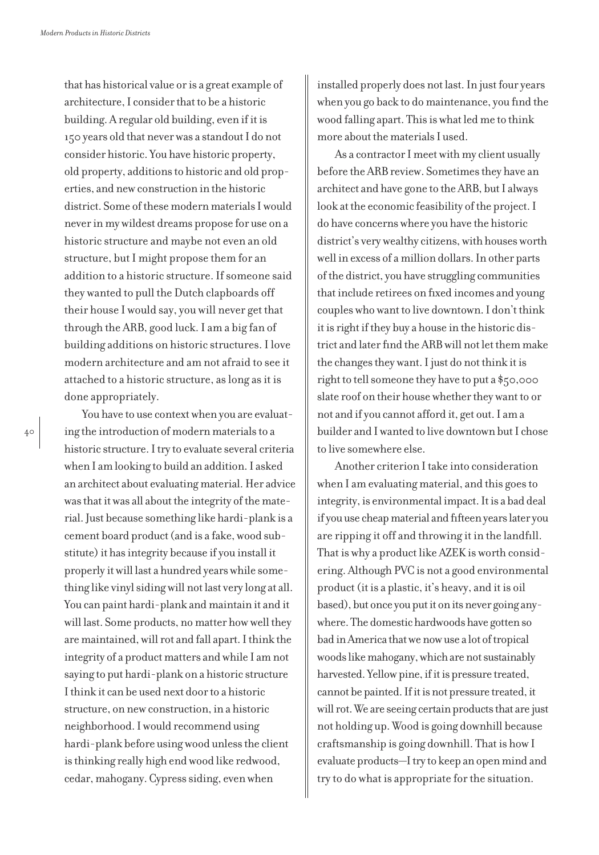that has historical value or is a great example of architecture, I consider that to be a historic building. A regular old building, even if it is 150 years old that neverwas a standoutI do not consider historic. You have historic property, old property, additionsto historic and old properties, and newconstruction in the historic district. Some of these modern materials I would neverinmywildest dreams propose for use on a historic structure and maybe not even an old structure, butI might propose them for an addition to a historic structure. If someone said they wanted to pull the Dutch clapboards off their house I would say, you will never get that through the ARB, good luck.I am a big fan of building additions on historic structures.Ilove modern architecture and am not afraid to see it attached to a historic structure, as long as it is done appropriately.

You have to use context when you are evaluating the introduction of modern materials to a historic structure.Itry to evaluate several criteria when I am looking to build an addition. I asked an architect about evaluating material. Her advice was that it was all about the integrity of the material.Just because something like hardi-plank is a cement board product(and is a fake,wood substitute) it has integrity because if you install it properly itwill last a hundred yearswhile something like vinyl siding will not last very long at all. You can paint hardi-plank and maintain it and it will last. Some products, no matter how well they are maintained, will rot and fall apart. I think the integrity of a product matters and while I am not saying to put hardi-plank on a historic structure Ithink it can be used next doorto a historic structure, on new construction, in a historic neighborhood.Iwould recommend using hardi-plank before using wood unless the client is thinking really high end wood like redwood, cedar, mahogany. Cypress siding, even when

installed properly does not last. In just four years when you go back to do maintenance, you find the wood falling apart. This is what led me to think more about the materials I used.

As a contractor I meet with my client usually before the ARB review. Sometimes they have an architect and have gone to the ARB, but I always look at the economic feasibility of the project. I do have concernswhere you have the historic district's very wealthy citizens, with houses worth well in excess of a million dollars. In other parts of the district, you have struggling communities that include retirees on fixed incomes and young couples who want to live downtown. I don't think it is right if they buy a house in the historic district and later find the ARB will not let them make the changes they want. I just do not think it is right to tell someone they have to put a  $$50,000$ slate roof on their house whether they want to or not and if you cannot afford it, get out.I ama builder and Iwanted to live downtown butI chose to live somewhere else.

Another criterion I take into consideration when I am evaluating material, and this goes to integrity, is environmental impact. It is a bad deal if you use cheap material and fifteen years later you are ripping it off and throwing it in the landfill. That is why a product like AZEK is worth considering. Although PVC is not a good environmental product(it is a plastic, it's heavy, and it is oil based), but once you put it on its never going anywhere. The domestic hardwoods have gotten so bad in America that we now use a lot of tropical woods like mahogany, which are not sustainably harvested. Yellow pine, if it is pressure treated, cannot be painted. If it is not pressure treated, it will rot. We are seeing certain products that are just not holding up.Wood is going downhill because craftsmanship is going downhill. That is how I evaluate products—Itry to keep anopenmind and try to do what is appropriate for the situation.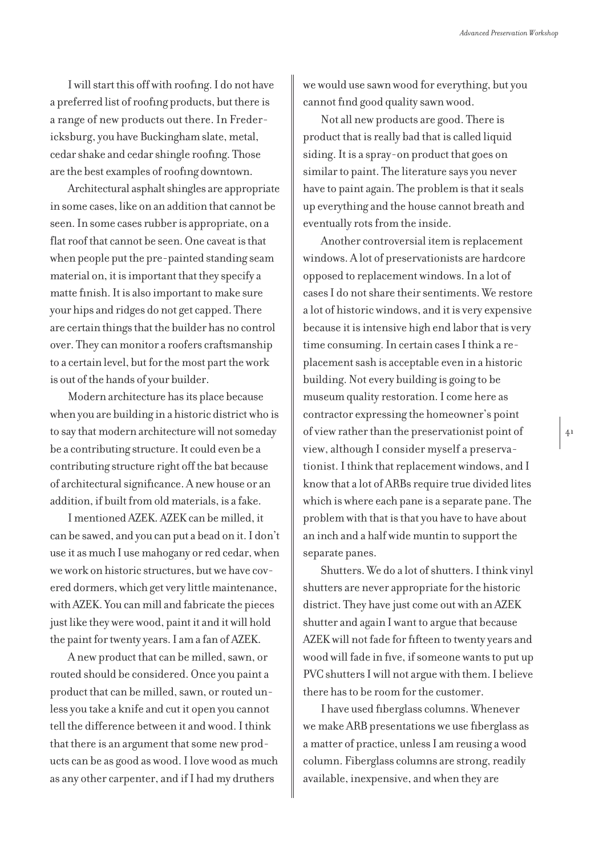I will start this off with roofing. I do not have a preferred list of roofing products, but there is a range of new products out there.In Fredericksburg, you have Buckingham slate, metal, cedarshake and cedarshingle roofing. Those are the best examples of roofing downtown.

Architectural asphalt shingles are appropriate in some cases, like on an addition that cannot be seen. In some cases rubber is appropriate, on a flat roof that cannot be seen. One caveat is that when people put the pre-painted standing seam material on, it is important that they specify a matte finish. It is also important to make sure your hips and ridges do not get capped. There are certain things that the builder has no control over. They canmonitor a roofers craftsmanship to a certain level, but for the most part the work is out of the hands of your builder.

Modern architecture has its place because when you are building in a historic districtwho is to say that modern architecture will not someday be a contributing structure.It could even be a contributing structure right off the bat because of architectural significance. A new house or an addition, if built from old materials, is a fake.

I mentioned AZEK. AZEK can be milled, it can be sawed, and you can put a bead on it.I don't use it as much I use mahogany or red cedar, when wework on historic structures, butwe have covered dormers, which get very little maintenance, withAZEK. You canmill and fabricate the pieces just like they were wood, paint it and it will hold the paint for twenty years. I am a fan of AZEK.

A new product that can be milled, sawn, or routed should be considered. Once you paint a product that can be milled, sawn, or routed unless you take a knife and cut it open you cannot tell the difference between it and wood.Ithink that there is an argument that some new products can be as good as wood. I love wood as much as any other carpenter, and if I had my druthers

we would use sawn wood for everything, but you cannot find good quality sawn wood.

Not all new products are good. There is product that is really bad that is called liquid siding. It is a spray-on product that goes on similar to paint. The literature says you never have to paint again. The problem is that it seals up everything and the house cannot breath and eventually rots from the inside.

Another controversial item is replacement windows. A lot of preservationists are hardcore opposed to replacement windows.In a lot of cases I do not share their sentiments. We restore a lot of historic windows, and it is very expensive because it isintensive high end laborthat is very time consuming. In certain cases I think a replacement sash is acceptable even in a historic building.Not every building is going to be museumquality restoration.I come here as contractor expressing the homeowner's point of view rather than the preservationist point of view, although I consider myself a preservationist. I think that replacement windows, and I know that a lot of ARBs require true divided lites which is where each pane is a separate pane. The problemwith that isthat you have to have about an inch and a half wide muntin to support the separate panes.

Shutters. We do a lot of shutters. I think vinyl shutters are never appropriate for the historic district. They have just come out with an AZEK shutter and again I want to argue that because AZEK will not fade for fifteen to twenty years and wood will fade in five, if someone wants to put up PVC shutters I will not argue with them. I believe there has to be room for the customer.

I have used fiberglass columns.Whenever wemake ARB presentations we use fiberglass as amatter of practice, unlessI amreusing a wood column. Fiberglass columns are strong, readily available, inexpensive, and when they are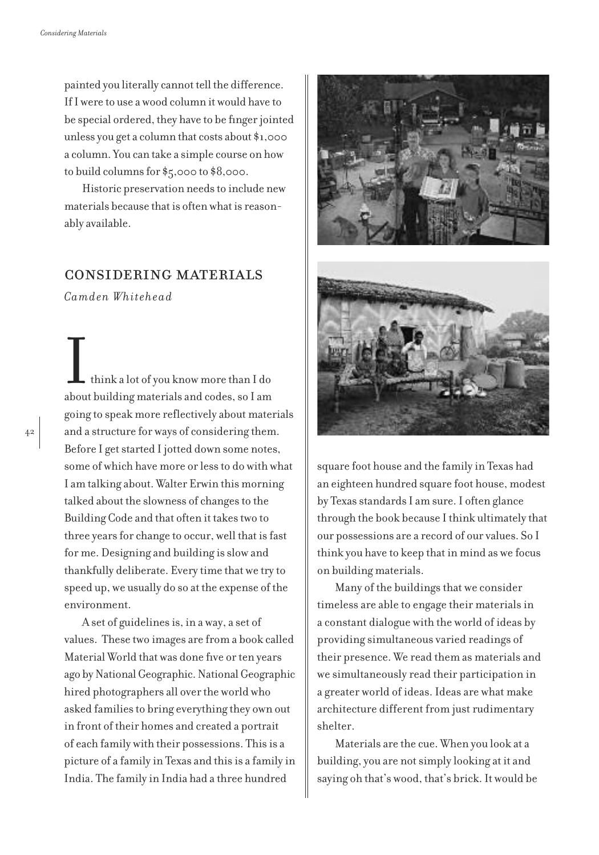painted you literally cannot tell the difference. IfI were to use a wood column it would have to be special ordered, they have to be finger jointed unless you get a column that costs about \$1,000 a column. You can take a simple course on how to build columns for  $\frac{2}{5}$ ,000 to  $\frac{8}{3}$ ,000.

Historic preservation needs to include new materials because that is often what is reasonably available.

## considering materials

*Camden Whitehead*

Ithink <sup>a</sup> lot of you know more than <sup>I</sup> do about building materials and codes, so I am going to speak more reflectively about materials and a structure for ways of considering them. Before I get started I jotted down some notes, some of which have more orlessto do with what I am talking about. Walter Erwin this morning talked about the slowness of changes to the Building Code and that often it takes two to three years for change to occur, well that is fast for me. Designing and building is slow and thankfully deliberate. Every time that we try to speed up, we usually do so at the expense of the environment.

A set of guidelines is, in a way, a set of values. These two images are from a book called Material World that was done five or ten years ago by National Geographic. National Geographic hired photographers all over the world who asked familiesto bring everything they own out in front of their homes and created a portrait of each family with their possessions. Thisis a picture of a family in Texas and this is a family in India. The family in India had a three hundred





square foot house and the family in Texas had an eighteen hundred square foot house, modest by Texas standards I am sure. I often glance through the book because Ithink ultimately that our possessions are a record of our values. So I think you have to keep that in mind as we focus on building materials.

Many of the buildings that we consider timeless are able to engage their materialsin a constant dialogue with the world of ideas by providing simultaneous varied readings of their presence. We read them as materials and we simultaneously read their participation in a greater world of ideas.Ideas are what make architecture different from just rudimentary shelter.

Materials are the cue. When you look at a building, you are notsimply looking at it and saying oh that's wood, that's brick. It would be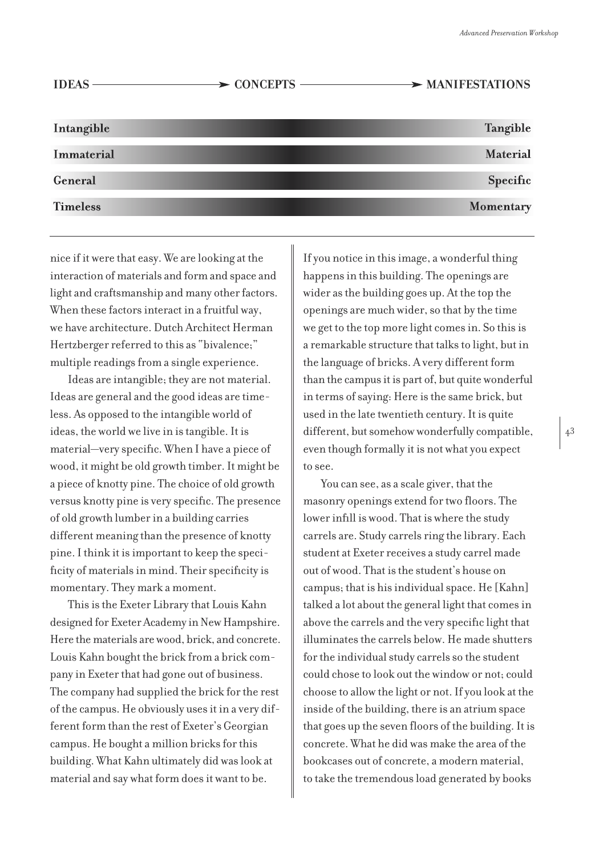| <b>IDEAS</b>      | $\blacktriangleright$ CONCEPTS | $\rightarrow$ MANIFESTATIONS |
|-------------------|--------------------------------|------------------------------|
| Intangible        |                                | Tangible                     |
| <b>Immaterial</b> |                                | <b>Material</b>              |
| General           |                                | Specific                     |
| <b>Timeless</b>   |                                | <b>Momentary</b>             |

nice if it were that easy. We are looking at the interaction of materials and form and space and light and craftsmanship and many other factors. When these factors interact in a fruitful way, we have architecture. Dutch Architect Herman Hertzberger referred to this as "bivalence;" multiple readings from a single experience.

Ideas are intangible; they are not material. Ideas are general and the good ideas are timeless. As opposed to the intangible world of ideas, the world we live in istangible.It is material—very specific. When I have a piece of wood, it might be old growth timber.It might be a piece of knotty pine. The choice of old growth versus knotty pine is very specific. The presence of old growth lumberin a building carries different meaning than the presence of knotty pine.Ithink it isimportant to keep the specificity of materials in mind. Their specificity is momentary. They mark a moment.

This is the Exeter Library that Louis Kahn designed for Exeter Academy in New Hampshire. Here thematerials arewood, brick, and concrete. Louis Kahn bought the brick from a brick company in Exeter that had gone out of business. The company had supplied the brick forthe rest of the campus.He obviously usesit in a very different form than the rest of Exeter's Georgian campus. He bought a million bricks for this building. What Kahn ultimately did waslook at material and say what form doesit want to be.

If you notice in thisimage, a wonderful thing happens in this building. The openings are wider asthe building goes up. At the top the openings are much wider, so that by the time we get to the top more light comes in. So this is a remarkable structure that talks to light, but in the language of bricks. A very different form than the campus it is part of, but quite wonderful in terms of saying: Here is the same brick, but used in the late twentieth century.It is quite different, but somehow wonderfully compatible, even though formally it is not what you expect to see.

You can see, as a scale giver, that the masonry openings extend fortwo floors. The lowerinfill is wood. That is where the study carrels are. Study carrels ring the library. Each student at Exeter receives a study carrel made out of wood. That isthe student's house on campus; that is his individual space. He [Kahn] talked a lot about the general light that comes in above the carrels and the very specific light that illuminatesthe carrels below.He made shutters for the individual study carrels so the student could chose to look out the window or not; could choose to allow the light or not.If you look at the inside of the building, there is an atrium space that goes up the seven floors of the building.It is concrete. What he did was make the area of the bookcases out of concrete, a modern material, to take the tremendous load generated by books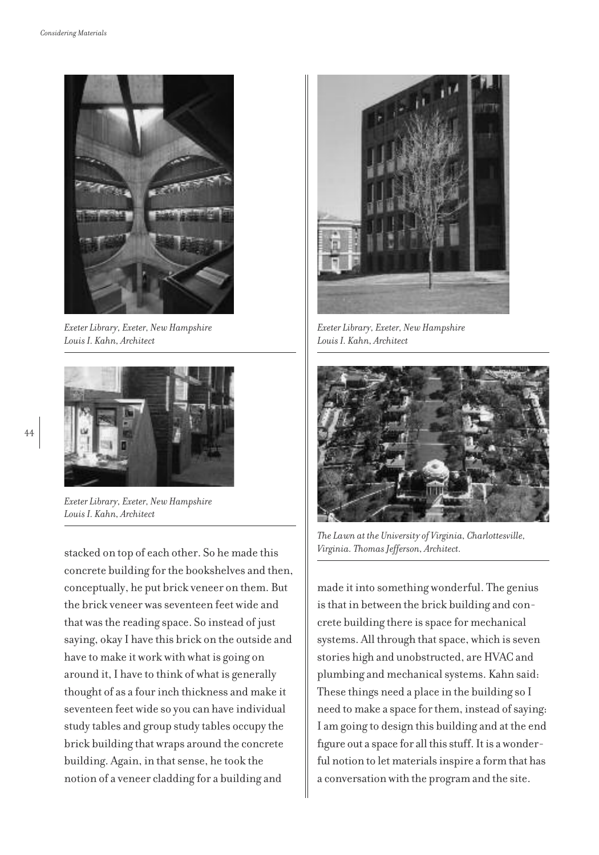

*Exeter Library, Exeter, New Hampshire LouisI. Kahn, Architect*



*Exeter Library, Exeter, New Hampshire LouisI. Kahn, Architect*

stacked on top of each other. So he made this concrete building forthe bookshelves and then, conceptually, he put brick veneer on them. But the brick veneer was seventeen feet wide and that wasthe reading space. So instead of just saying, okay I have this brick on the outside and have to make it work with what is going on around it,I have to think of what is generally thought of as a four inch thickness and make it seventeen feet wide so you can have individual study tables and group study tables occupy the brick building that wraps around the concrete building. Again, in that sense, he took the notion of a veneer cladding for a building and



*Exeter Library, Exeter, New Hampshire LouisI. Kahn, Architect*



*The Lawn at the University of Virginia, Charlottesville, Virginia. ThomasJefferson, Architect.*

made it into something wonderful. The genius isthat in between the brick building and concrete building there isspace for mechanical systems. All through that space, which is seven stories high and unobstructed, are HVAC and plumbing and mechanical systems. Kahn said: These things need a place in the building so I need to make a space for them, instead of saying: I am going to design this building and at the end figure out a space for all this stuff. It is a wonderful notion to let materials inspire a form that has a conversation with the programand the site.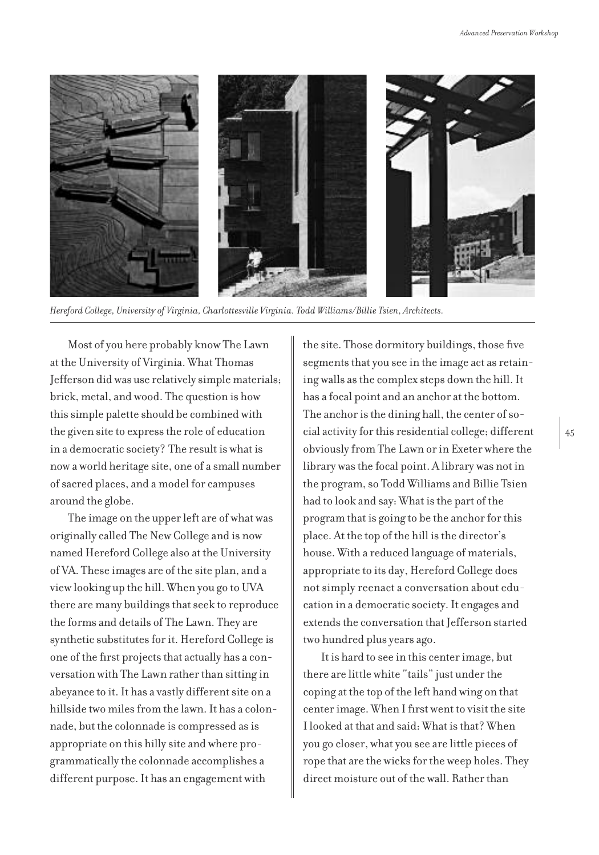

*Hereford College, University of Virginia, Charlottesville Virginia. Todd Williams/Billie Tsien, Architects.*

Most of you here probably know The Lawn at the University of Virginia. What Thomas Jefferson did was use relatively simplematerials; brick, metal, and wood. The question is how thissimple palette should be combined with the given site to expressthe role of education in a democratic society? The result is what is now a world heritage site, one of a small number ofsacred places, and a model for campuses around the globe.

The image on the upperleft are of what was originally called The New College and is now named Hereford College also at the University of VA. These images are of the site plan, and a view looking up the hill. When you go to UVA there are many buildings that seek to reproduce the forms and details of The Lawn. They are synthetic substitutes for it. Hereford College is one of the first projects that actually has a conversation with The Lawn rather than sitting in abeyance to it. It has a vastly different site on a hillside two miles from the lawn. It has a colonnade, but the colonnade is compressed as is appropriate on this hilly site and where programmatically the colonnade accomplishes a different purpose.It has an engagement with

the site. Those dormitory buildings, those five segments that you see in the image act as retaining walls as the complex steps down the hill. It has a focal point and an anchor at the bottom. The anchor is the dining hall, the center of social activity forthisresidential college; different obviously from The Lawn orin Exeter where the library was the focal point. A library was not in the program, so Todd Williams and Billie Tsien had to look and say: What is the part of the program that is going to be the anchor for this place. At the top of the hill is the director's house. With a reduced language of materials, appropriate to its day, Hereford College does notsimply reenact a conversation about education in a democratic society.It engages and extends the conversation that Jefferson started two hundred plus years ago.

It is hard to see in this centerimage, but there are little white "tails" just under the coping at the top of the left hand wing on that centerimage. When I first went to visit the site I looked at that and said: What is that? When you go closer, what you see are little pieces of rope that are the wicks for the weep holes. They direct moisture out of the wall. Rather than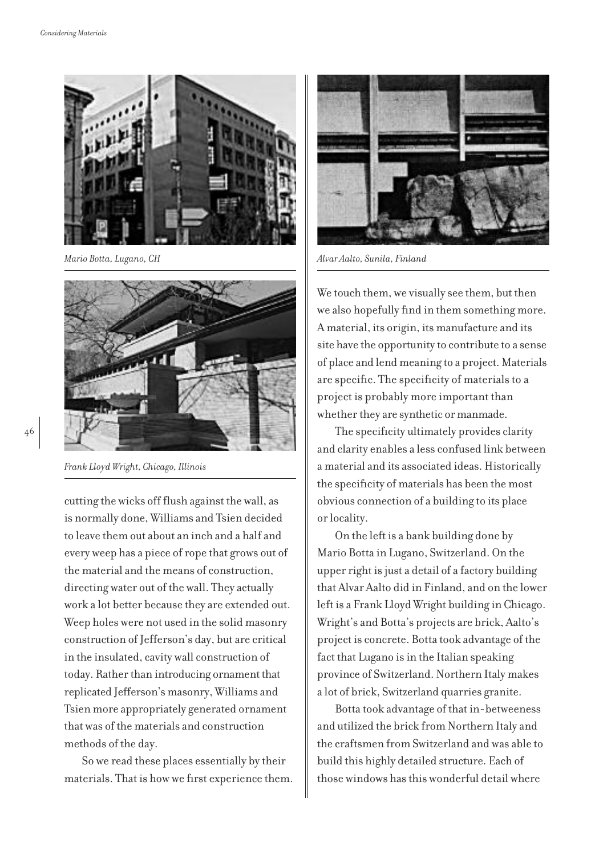



*Frank Lloyd Wright, Chicago, Illinois*

cutting the wicks off flush against the wall, as is normally done, Williams and Tsien decided to leave them out about an inch and a half and every weep has a piece of rope that grows out of the material and the means of construction, directing water out of the wall. They actually work a lot better because they are extended out. Weep holes were not used in the solid masonry construction of Jefferson's day, but are critical in the insulated, cavity wall construction of today. Rather than introducing ornament that replicated Jefferson's masonry, Williams and Tsien more appropriately generated ornament that was of the materials and construction methods of the day.

So we read these places essentially by their materials. That is how we first experience them.



*Mario Botta, Lugano, CH Alvar Aalto, Sunila, Finland*

We touch them, we visually see them, but then we also hopefully find in them something more. A material, its origin, its manufacture and its site have the opportunity to contribute to a sense of place and lendmeaning to a project. Materials are specific. The specificity of materials to a project is probably more important than whether they are synthetic or manmade.

The specificity ultimately provides clarity and clarity enables a less confused link between a material and its associated ideas. Historically the specificity of materials has been the most obvious connection of a building to its place orlocality.

On the left is a bank building done by Mario Botta in Lugano, Switzerland. On the upperright isjust a detail of a factory building that Alvar Aalto did in Finland, and on the lower left is a Frank Lloyd Wright building in Chicago. Wright's and Botta's projects are brick, Aalto's project is concrete. Botta took advantage of the fact that Lugano is in the Italian speaking province of Switzerland.Northern Italy makes a lot of brick, Switzerland quarries granite.

Botta took advantage of that in-betweeness and utilized the brick from Northern Italy and the craftsmen from Switzerland and was able to build this highly detailed structure. Each of those windows hasthis wonderful detail where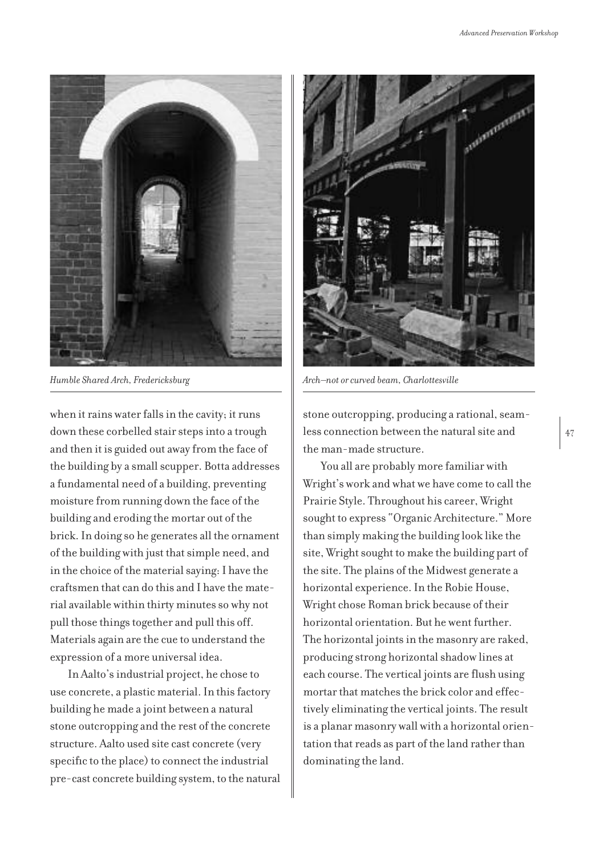

when it rains water falls in the cavity; it runs down these corbelled stair steps into a trough and then it is guided out away from the face of the building by a small scupper. Botta addresses a fundamental need of a building, preventing moisture from running down the face of the building and eroding the mortar out of the brick.In doing so he generates all the ornament of the building with just thatsimple need, and in the choice of the material saying: I have the craftsmen that can do this and I have the material available within thirty minutes so why not pull those things together and pull this off. Materials again are the cue to understand the expression of a more universal idea.

In Aalto's industrial project, he chose to use concrete, a plastic material.In thisfactory building he made a joint between a natural stone outcropping and the rest of the concrete structure. Aalto used site cast concrete (very specific to the place) to connect the industrial pre-cast concrete building system, to the natural



*Humble Shared Arch, Fredericksburg Arch–not orcurved beam, Charlottesville*

stone outcropping, producing a rational, seamless connection between the natural site and the man-made structure.

You all are probably more familiar with Wright's work and what we have come to call the Prairie Style. Throughout his career, Wright sought to express "Organic Architecture." More than simply making the building look like the site, Wright sought to make the building part of the site. The plains of the Midwest generate a horizontal experience. In the Robie House, Wright chose Roman brick because of their horizontal orientation. But he went further. The horizontal joints in the masonry are raked, producing strong horizontal shadow lines at each course. The vertical joints are flush using mortar that matches the brick color and effectively eliminating the vertical joints. The result is a planar masonry wall with a horizontal orientation that reads as part of the land rather than dominating the land.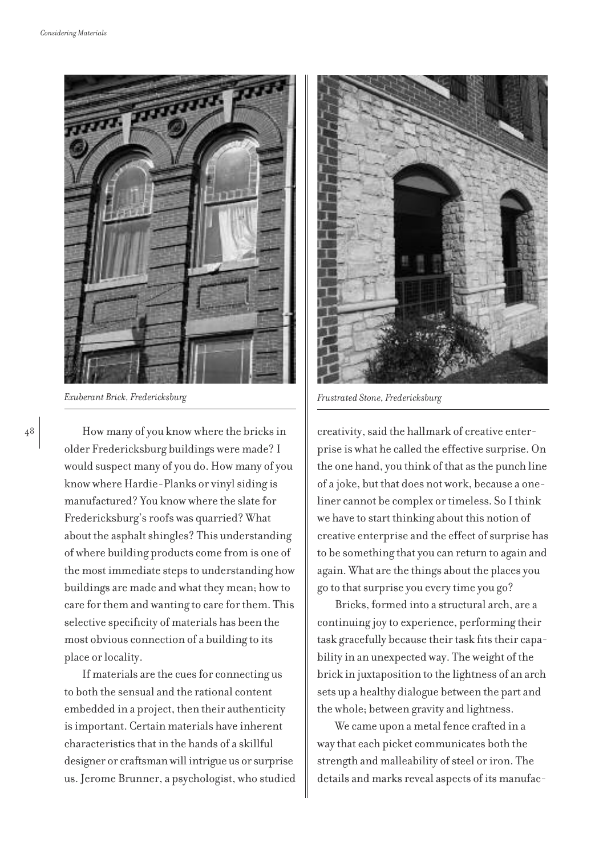

*Exuberant Brick, Fredericksburg Frustrated Stone, Fredericksburg*

How many of you know where the bricksin older Fredericksburg buildings were made? I would suspect many of you do.How many of you know where Hardie-Planks or vinyl siding is manufactured? You know where the slate for Fredericksburg's roofs was quarried? What about the asphalt shingles? This understanding of where building products come from is one of the most immediate steps to understanding how buildings are made and what they mean; how to care forthem and wanting to care forthem. This selective specificity of materials has been the most obvious connection of a building to its place or locality.

If materials are the cues for connecting us to both the sensual and the rational content embedded in a project, then their authenticity isimportant. Certain materials have inherent characteristics that in the hands of a skillful designer or craftsman will intrigue us or surprise us.Jerome Brunner, a psychologist, who studied



creativity, said the hallmark of creative enterprise is what he called the effective surprise. On the one hand, you think of that as the punch line of a joke, but that does not work, because a oneliner cannot be complex or timeless. So I think we have to start thinking about this notion of creative enterprise and the effect of surprise has to be something that you can return to again and again. What are the things about the places you go to that surprise you every time you go?

Bricks, formed into a structural arch, are a continuing joy to experience, performing their task gracefully because their task fits their capability in an unexpected way. The weight of the brick in juxtaposition to the lightness of an arch sets up a healthy dialogue between the part and the whole; between gravity and lightness.

We came upon a metal fence crafted in a way that each picket communicates both the strength and malleability of steel or iron. The details and marks reveal aspects of its manufac-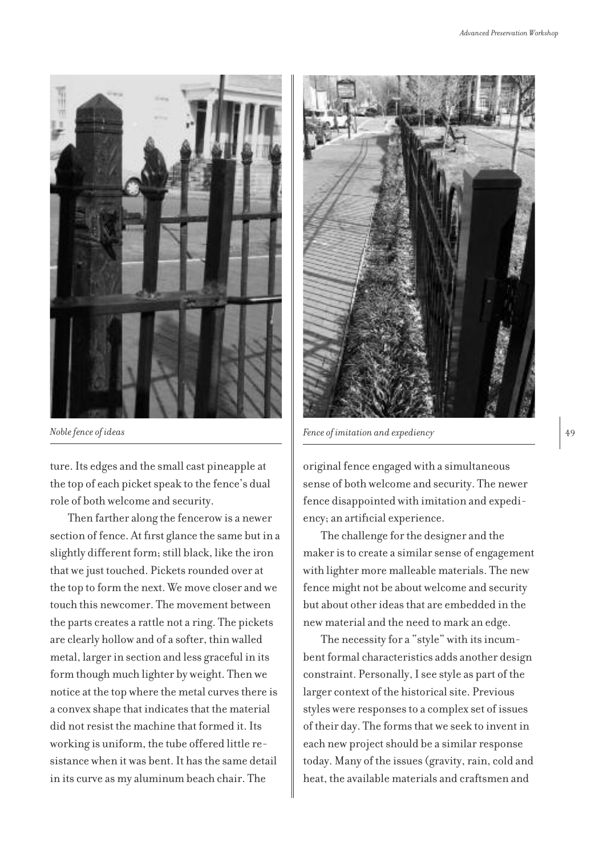

ture.Its edges and the small cast pineapple at the top of each picket speak to the fence's dual role of both welcome and security.

Then farther along the fencerow is a newer section of fence. At first glance the same but in a slightly different form; still black, like the iron that we just touched. Pickets rounded over at the top to form the next. We move closer and we touch this newcomer. The movement between the parts creates a rattle not a ring. The pickets are clearly hollow and of a softer, thin walled metal, larger in section and less graceful in its form though much lighter by weight. Then we notice at the top where the metal curves there is a convex shape that indicates that the material did notresist the machine that formed it.Its working is uniform, the tube offered little resistance when it was bent.It hasthe same detail in its curve as my aluminum beach chair. The



*Noblefence of ideas Fence of imitation and expediency*

original fence engaged with a simultaneous sense of both welcome and security. The newer fence disappointed with imitation and expediency; an artificial experience.

The challenge for the designer and the maker is to create a similar sense of engagement with lighter more malleable materials. The new fence might not be about welcome and security but about otherideasthat are embedded in the new material and the need to mark an edge.

The necessity for a "style" with itsincumbent formal characteristics adds another design constraint. Personally,Isee style as part of the larger context of the historical site. Previous styles were responsesto a complex set of issues of their day. The forms that we seek to invent in each new project should be a similar response today. Many of the issues (gravity, rain, cold and heat, the available materials and craftsmen and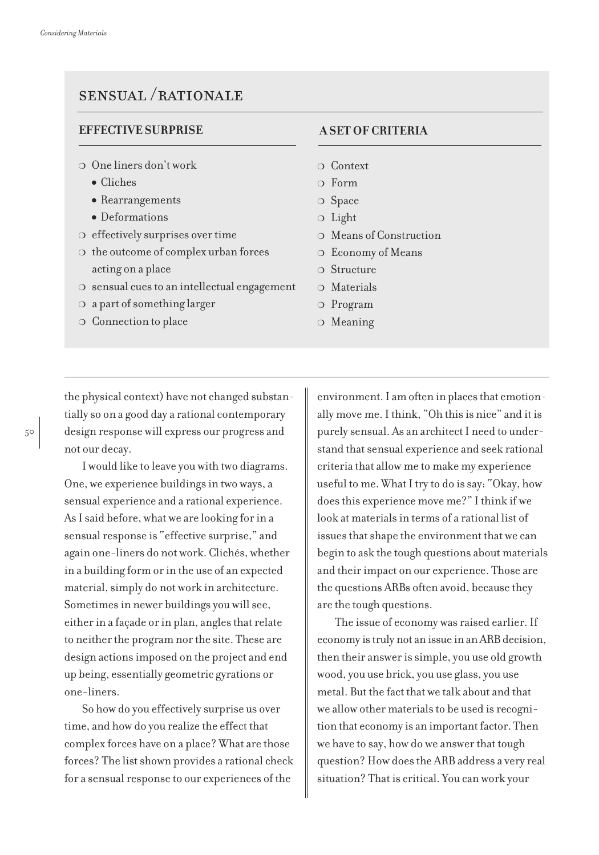# sensual /rationale

## **EFFECTIVE SURPRISE**

- ❍ One liners don't work
	- Cliches
	- Rearrangements
	- Deformations
- ❍ effectively surprises overtime
- ❍ the outcome of complex urban forces acting on a place
- ❍ sensual cuesto an intellectual engagement
- $\circ$  a part of something larger
- ❍ Connection to place

### **A SET OF CRITERIA**

- ❍ Context
- ❍ Form
- ❍ Space
- ❍ Light
- ❍ Means of Construction
- ❍ Economy of Means
- ❍ Structure
- ❍ Materials
- ❍ Program
- ❍ Meaning

the physical context) have not changed substantially so on a good day a rational contemporary design response will express our progress and not our decay.

I would like to leave you with two diagrams. One, we experience buildings in two ways, a sensual experience and a rational experience. AsIsaid before, what we are looking forin a sensual response is "effective surprise," and again one-liners do not work. Clichés, whether in a building form or in the use of an expected material, simply do not work in architecture. Sometimes in newer buildings you will see, either in a façade or in plan, angles that relate to neither the program nor the site. These are design actionsimposed on the project and end up being, essentially geometric gyrations or one-liners.

So how do you effectively surprise us over time, and how do you realize the effect that complex forces have on a place? What are those forces? The list shown provides a rational check for a sensual response to our experiences of the

environment. I am often in places that emotionally move me.Ithink, "Oh thisis nice" and it is purely sensual. As an architect I need to understand that sensual experience and seek rational criteria that allow me to make my experience useful to me. What I try to do is say: "Okay, how does this experience move me?" I think if we look at materials in terms of a rational list of issues that shape the environment that we can begin to ask the tough questions about materials and their impact on our experience. Those are the questions ARBs often avoid, because they are the tough questions.

The issue of economy was raised earlier. If economy istruly not an issue in anARB decision, then their answer is simple, you use old growth wood, you use brick, you use glass, you use metal. But the fact that we talk about and that we allow other materials to be used is recognition that economy is an important factor. Then we have to say, how do we answer that tough question? How does the ARB address a very real situation? That is critical. You can work your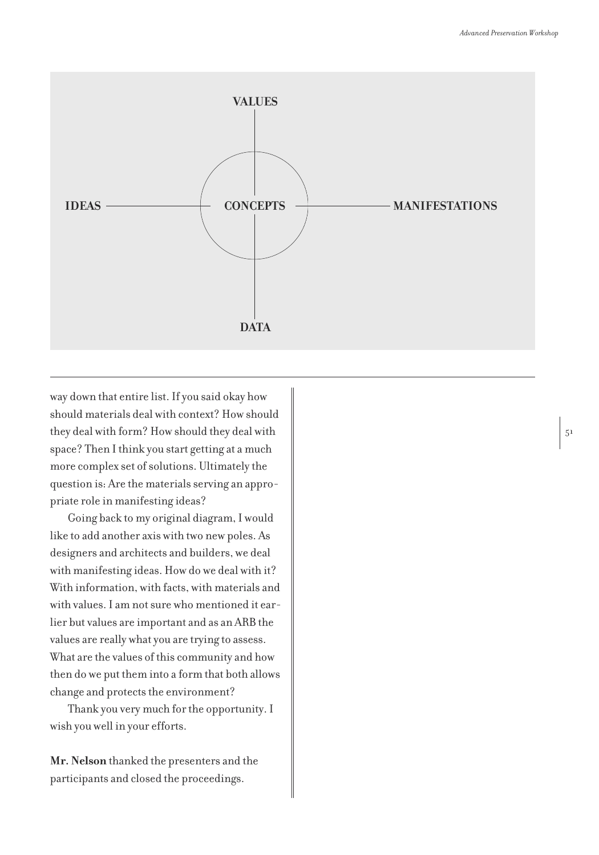

way down that entire list.If you said okay how should materials deal with context? How should they deal with form? How should they deal with space? Then I think you start getting at a much more complex set of solutions. Ultimately the question is: Are the materials serving an appropriate role in manifesting ideas?

Going back to my original diagram,I would like to add another axis with two new poles. As designers and architects and builders, we deal with manifesting ideas. How do we deal with it? With information, with facts, with materials and with values. I am not sure who mentioned it earlier but values are important and as an ARB the values are really what you are trying to assess. What are the values of this community and how then do we put them into a form that both allows change and protects the environment?

Thank you very much for the opportunity. I wish you well in your efforts.

**Mr.Nelson** thanked the presenters and the participants and closed the proceedings.

51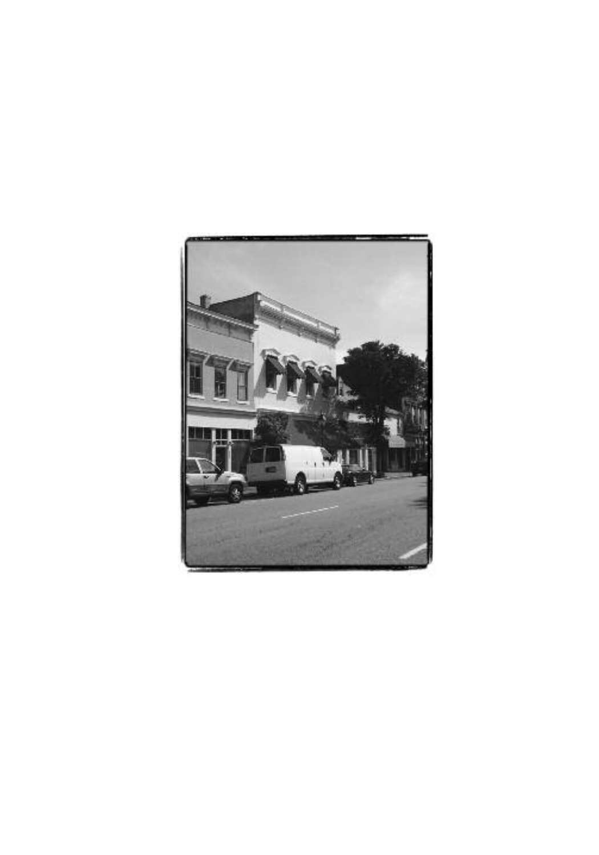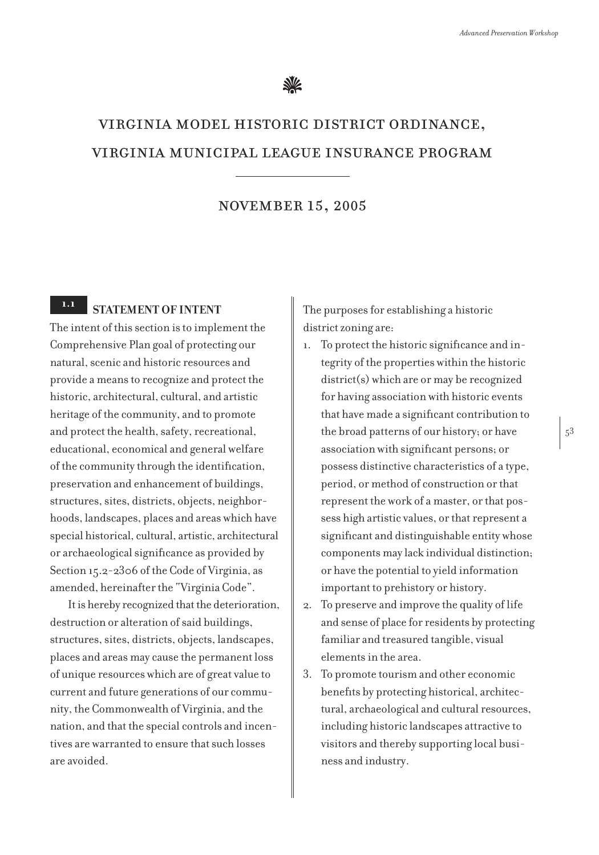# ₩

# virginia model historic district ordinance, virginia municipal league insurance program

## november 15,2005

### **STATEMENTOF INTENT 1.1**

The intent of this section is to implement the Comprehensive Plan goal of protecting our natural, scenic and historic resources and provide a meansto recognize and protect the historic, architectural, cultural, and artistic heritage of the community, and to promote and protect the health, safety, recreational, educational, economical and general welfare of the community through the identification, preservation and enhancement of buildings, structures, sites, districts, objects, neighborhoods, landscapes, places and areas which have special historical, cultural, artistic, architectural or archaeological significance as provided by Section 15.2-2306 of the Code of Virginia, as amended, hereinafter the "Virginia Code".

It is hereby recognized that the deterioration, destruction or alteration of said buildings, structures, sites, districts, objects, landscapes, places and areas may cause the permanent loss of unique resources which are of great value to current and future generations of our community, the Commonwealth of Virginia, and the nation, and that the special controls and incentives are warranted to ensure that such losses are avoided.

The purposes for establishing a historic district zoning are:

- 1. To protect the historic significance and integrity of the properties within the historic district(s) which are or may be recognized for having association with historic events that have made a significant contribution to the broad patterns of our history; or have association with significant persons; or possess distinctive characteristics of a type, period, or method of construction or that represent the work of a master, or that possess high artistic values, or that represent a significant and distinguishable entity whose components may lack individual distinction; or have the potential to yield information important to prehistory or history.
- 2. To preserve and improve the quality of life and sense of place forresidents by protecting familiar and treasured tangible, visual elementsin the area.
- 3. To promote tourism and other economic benefits by protecting historical, architectural, archaeological and cultural resources, including historic landscapes attractive to visitors and thereby supporting local business and industry.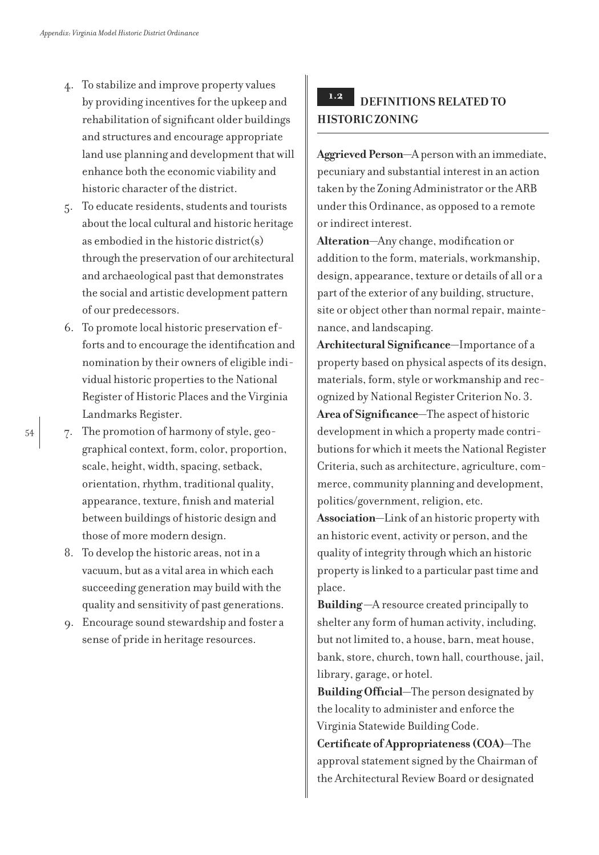- 4. To stabilize and improve property values by providing incentives for the upkeep and rehabilitation of significant older buildings and structures and encourage appropriate land use planning and development that will enhance both the economic viability and historic character of the district.
- 5. To educate residents, students and tourists about the local cultural and historic heritage as embodied in the historic district(s) through the preservation of our architectural and archaeological past that demonstrates the social and artistic development pattern of our predecessors.
- 6. To promote local historic preservation efforts and to encourage the identification and nomination by their owners of eligible individual historic properties to the National Register of Historic Places and the Virginia Landmarks Register.
- 7. The promotion of harmony of style, geographical context, form, color, proportion, scale, height, width, spacing, setback, orientation, rhythm, traditional quality, appearance, texture, finish and material between buildings of historic design and those of more modern design.
- 8. To develop the historic areas, not in a vacuum, but as a vital area in which each succeeding generation may build with the quality and sensitivity of past generations.
- 9. Encourage sound stewardship and foster a sense of pride in heritage resources.

### **DEFINITIONS RELATED TO HISTORIC ZONING 1.2**

**Aggrieved Person**—Apersonwith an immediate, pecuniary and substantial interest in an action taken by the Zoning Administrator or the ARB underthis Ordinance, as opposed to a remote orindirect interest.

**Alteration**—Any change, modification or addition to the form, materials, workmanship, design, appearance, texture or details of all or a part of the exterior of any building, structure, site or object other than normal repair, maintenance, and landscaping.

**Architectural Significance**—Importance of a property based on physical aspects of its design, materials, form, style or workmanship and recognized by National Register Criterion No. 3. **Area of Significance—**The aspect of historic development in which a property made contributions for which it meets the National Register Criteria, such as architecture, agriculture, commerce, community planning and development, politics/government, religion, etc.

**Association**—Link of an historic property with an historic event, activity or person, and the quality of integrity through which an historic property islinked to a particular past time and place.

**Building**—A resource created principally to shelter any form of human activity, including, but not limited to, a house, barn, meat house, bank, store, church, town hall, courthouse, jail, library, garage, or hotel.

**BuildingOfficial**—The person designated by the locality to administer and enforce the Virginia Statewide Building Code.

**Certificate of Appropriateness(COA)**—The approval statement signed by the Chairman of the Architectural Review Board or designated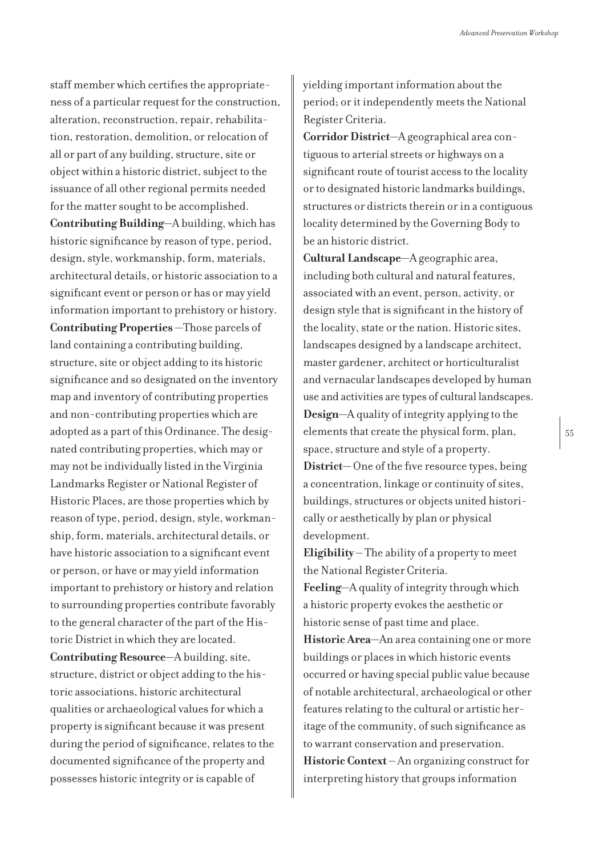staff member which certifies the appropriateness of a particular request for the construction, alteration, reconstruction, repair, rehabilitation, restoration, demolition, or relocation of all or part of any building, structure, site or object within a historic district, subject to the issuance of all other regional permits needed for the matter sought to be accomplished. **Contributing Building**—A building, which has historic significance by reason of type, period, design, style, workmanship, form, materials, architectural details, or historic association to a significant event or person or has or may yield information important to prehistory or history. **Contributing Properties**—Those parcels of land containing a contributing building, structure, site or object adding to its historic significance and so designated on the inventory map and inventory of contributing properties and non-contributing properties which are adopted as a part of this Ordinance. The designated contributing properties, which may or may not be individually listed in the Virginia Landmarks Register or National Register of Historic Places, are those properties which by reason of type, period, design, style, workmanship, form, materials, architectural details, or have historic association to a significant event or person, or have or may yield information important to prehistory or history and relation to surrounding properties contribute favorably to the general character of the part of the Historic District in which they are located. **Contributing Resource**—A building, site, structure, district or object adding to the historic associations, historic architectural qualities or archaeological valuesfor which a property issignificant because it was present during the period of significance, relates to the documented significance of the property and possesses historic integrity or is capable of

yielding important information about the period; or it independently meets the National Register Criteria.

**Corridor District**—A geographical area contiguous to arterial streets or highways on a significant route of tourist access to the locality orto designated historic landmarks buildings, structures or districts therein or in a contiguous locality determined by the Governing Body to be an historic district.

**Cultural Landscape**—A geographic area, including both cultural and natural features, associated with an event, person, activity, or design style that issignificant in the history of the locality, state or the nation. Historic sites, landscapes designed by a landscape architect, master gardener, architect or horticulturalist and vernacular landscapes developed by human use and activities are types of cultural landscapes. **Design**—A quality of integrity applying to the elements that create the physical form, plan, space, structure and style of a property.

**District**—One of the five resource types, being a concentration, linkage or continuity of sites, buildings, structures or objects united historically or aesthetically by plan or physical development.

**Eligibility** – The ability of a property to meet the National Register Criteria. **Feeling**—A quality of integrity through which a historic property evokes the aesthetic or historic sense of past time and place. **Historic Area**—An area containing one or more buildings or places in which historic events occurred or having special public value because

of notable architectural, archaeological or other features relating to the cultural or artistic heritage of the community, of such significance as to warrant conservation and preservation. **Historic Context –** An organizing construct for interpreting history that groups information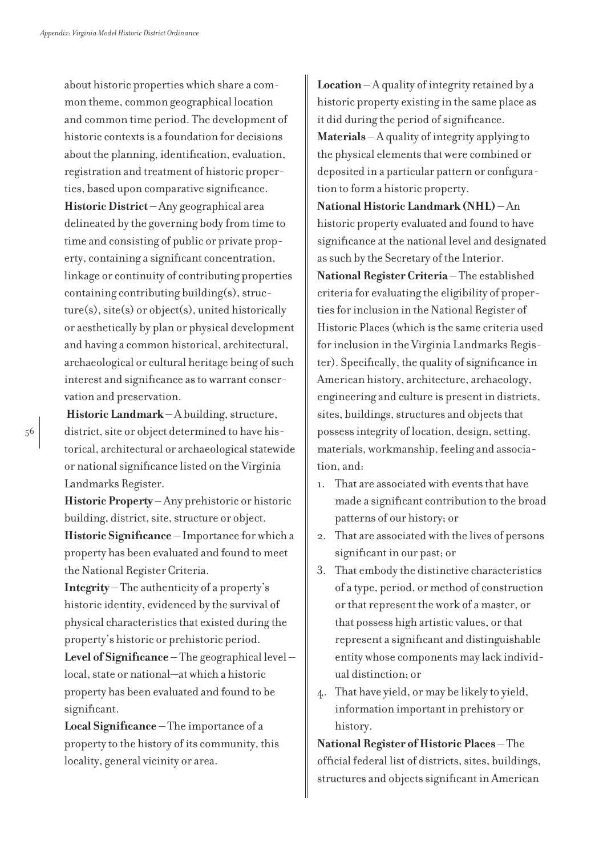about historic properties which share a common theme, common geographical location and common time period. The development of historic contextsis a foundation for decisions about the planning, identification, evaluation, registration and treatment of historic properties, based upon comparative significance.

**Historic District –** Any geographical area delineated by the governing body from time to time and consisting of public or private property, containing a significant concentration, linkage or continuity of contributing properties containing contributing building(s), struc $ture(s)$ ,  $site(s)$  or  $object(s)$ , united historically or aesthetically by plan or physical development and having a common historical, architectural, archaeological or cultural heritage being of such interest and significance asto warrant conservation and preservation.

**Historic Landmark** – A building, structure, district, site or object determined to have historical, architectural or archaeological statewide or nationalsignificance listed on the Virginia Landmarks Register.

**Historic Property –** Any prehistoric or historic building, district, site, structure or object. **Historic Significance –** Importance for which a property has been evaluated and found to meet the National Register Criteria.

**Integrity –** The authenticity of a property's historic identity, evidenced by the survival of physical characteristics that existed during the property's historic or prehistoric period.

**Level of Significance –** The geographical level – local, state or national—at which a historic property has been evaluated and found to be significant.

**Local Significance –** The importance of a property to the history of its community, this locality, general vicinity or area.

**Location –** A quality of integrity retained by a historic property existing in the same place as it did during the period of significance. **Materials –** A quality of integrity applying to the physical elements that were combined or deposited in a particular pattern or configuration to form a historic property.

**National Historic Landmark (NHL) –** An historic property evaluated and found to have significance at the national level and designated assuch by the Secretary of the Interior. **National Register Criteria –** The established criteria for evaluating the eligibility of properties for inclusion in the National Register of Historic Places(which isthe same criteria used for inclusion in the Virginia Landmarks Register). Specifically, the quality of significance in American history, architecture, archaeology, engineering and culture is present in districts, sites, buildings, structures and objects that possess integrity of location, design, setting, materials, workmanship, feeling and association, and:

- 1. That are associated with events that have made a significant contribution to the broad patterns of our history; or
- 2. That are associated with the lives of persons significant in our past; or
- 3. That embody the distinctive characteristics of a type, period, or method of construction or that represent the work of a master, or that possess high artistic values, or that represent a significant and distinguishable entity whose components may lack individual distinction; or
- 4. That have yield, or may be likely to yield, information important in prehistory or history.

**National Register of Historic Places –** The official federal list of districts, sites, buildings, structures and objects significant in American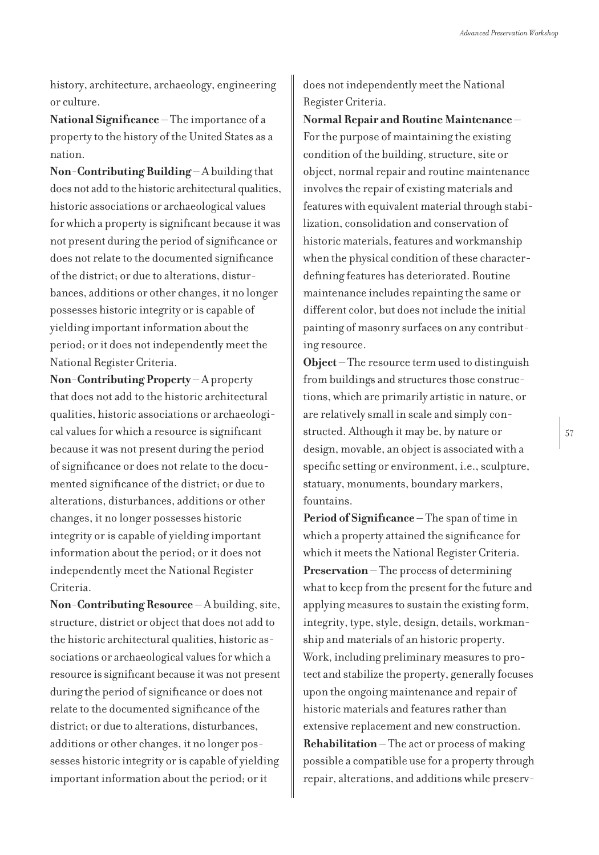history, architecture, archaeology, engineering or culture.

**National Significance –** The importance of a property to the history of the United States as a nation.

**Non-Contributing Building –** A building that does not add to the historic architectural qualities, historic associations or archaeological values for which a property is significant because it was not present during the period of significance or does not relate to the documented significance of the district; or due to alterations, disturbances, additions or other changes, it no longer possesses historic integrity or is capable of yielding important information about the period; or it does not independently meet the National Register Criteria.

**Non-Contributing Property –** A property that does not add to the historic architectural qualities, historic associations or archaeological values for which a resource is significant because it was not present during the period of significance or does not relate to the documented significance of the district; or due to alterations, disturbances, additions or other changes, it no longer possesses historic integrity or is capable of yielding important information about the period; or it does not independently meet the National Register Criteria.

**Non-Contributing Resource** – A building, site, structure, district or object that does not add to the historic architectural qualities, historic associations or archaeological values for which a resource issignificant because it was not present during the period of significance or does not relate to the documented significance of the district; or due to alterations, disturbances, additions or other changes, it no longer possesses historic integrity or is capable of yielding important information about the period; or it

does not independently meet the National Register Criteria.

**Normal Repair and Routine Maintenance –** Forthe purpose of maintaining the existing condition of the building, structure, site or object, normal repair and routine maintenance involves the repair of existing materials and features with equivalent material through stabilization, consolidation and conservation of historic materials, features and workmanship when the physical condition of these characterdefining features has deteriorated. Routine maintenance includes repainting the same or different color, but does not include the initial painting of masonry surfaces on any contributing resource.

**Object –** The resource term used to distinguish from buildings and structures those constructions, which are primarily artistic in nature, or are relatively small in scale and simply constructed. Although it may be, by nature or design, movable, an object is associated with a specific setting or environment, i.e., sculpture, statuary, monuments, boundary markers, fountains.

**Period of Significance –** The span of time in which a property attained the significance for which it meets the National Register Criteria. **Preservation –** The process of determining what to keep from the present for the future and applying measures to sustain the existing form, integrity, type, style, design, details, workmanship and materials of an historic property. Work, including preliminary measures to protect and stabilize the property, generally focuses upon the ongoing maintenance and repair of historic materials and features rather than extensive replacement and new construction. **Rehabilitation –** The act or process of making possible a compatible use for a property through repair, alterations, and additions while preserv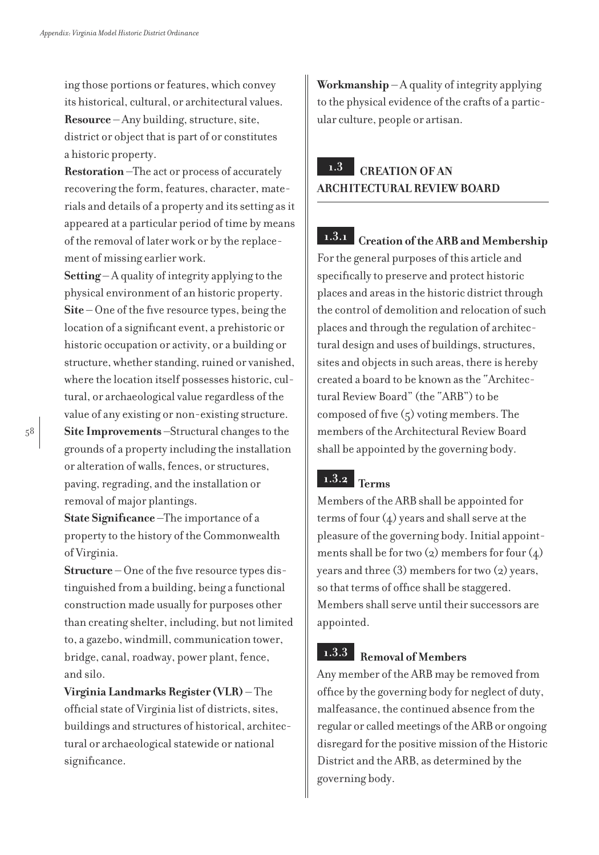ing those portions or features, which convey its historical, cultural, or architectural values. **Resource** – Any building, structure, site, district or object that is part of or constitutes a historic property.

**Restoration –**The act or process of accurately recovering the form, features, character, materials and details of a property and its setting as it appeared at a particular period of time by means of the removal of later work or by the replacement of missing earlier work.

**Setting –** A quality of integrity applying to the physical environment of an historic property. **Site –** One of the five resource types, being the location of a significant event, a prehistoric or historic occupation or activity, or a building or structure, whether standing, ruined or vanished, where the location itself possesses historic, cultural, or archaeological value regardless of the value of any existing or non-existing structure.

Site Improvements –Structural changes to the grounds of a property including the installation or alteration of walls, fences, or structures, paving, regrading, and the installation or removal of major plantings.

**State Significance –**The importance of a property to the history of the Commonwealth of Virginia.

**Structure –** One of the five resource types distinguished from a building, being a functional construction made usually for purposes other than creating shelter, including, but not limited to, a gazebo, windmill, communication tower, bridge, canal, roadway, power plant, fence, and silo.

**Virginia Landmarks Register (VLR) –** The official state of Virginia list of districts, sites, buildings and structures of historical, architectural or archaeological statewide or national significance.

**Workmanship –** A quality of integrity applying to the physical evidence of the crafts of a particular culture, people or artisan.

### **CREATIONOF AN ARCHITECTURAL REVIEW BOARD 1.3**

**Creation ofthe ARB and Membership** Forthe general purposes of this article and specifically to preserve and protect historic places and areasin the historic district through the control of demolition and relocation of such places and through the regulation of architectural design and uses of buildings, structures, sites and objects in such areas, there is hereby created a board to be known asthe "Architectural Review Board" (the "ARB") to be composed of five (5) voting members. The members of the Architectural Review Board shall be appointed by the governing body. **1.3.1**

# **Terms 1.3.2**

Members of the ARB shall be appointed for terms of four  $(4)$  years and shall serve at the pleasure of the governing body.Initial appointments shall be for two  $(2)$  members for four  $(4)$ years and three  $(3)$  members for two  $(2)$  years, so that terms of office shall be staggered. Members shall serve until their successors are appointed.

#### **Removal of Members 1.3.3**

Any member of the ARB may be removed from office by the governing body for neglect of duty, malfeasance, the continued absence from the regular or called meetings of the ARB or ongoing disregard for the positive mission of the Historic District and the ARB, as determined by the governing body.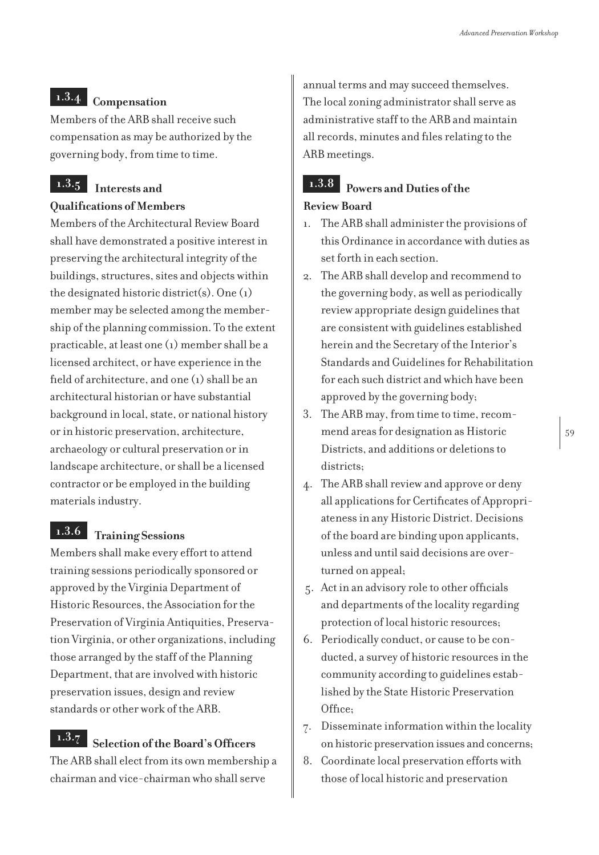### **Compensation 1.3.4**

Members of the ARB shall receive such compensation as may be authorized by the governing body, from time to time.

# **Interests and 1.3.5**

### **Qualifications of Members**

Members of the Architectural Review Board shall have demonstrated a positive interest in preserving the architectural integrity of the buildings, structures, sites and objects within the designated historic district(s). One (1) member may be selected among the membership of the planning commission. To the extent practicable, at least one (1) membershall be a licensed architect, or have experience in the field of architecture, and one  $(i)$  shall be an architectural historian or have substantial background in local, state, or national history or in historic preservation, architecture, archaeology or cultural preservation orin landscape architecture, orshall be a licensed contractor or be employed in the building materials industry.

#### **Training Sessions 1.3.6**

Membersshall make every effort to attend training sessions periodically sponsored or approved by the VirginiaDepartment of Historic Resources, the Association forthe Preservation of Virginia Antiquities, Preservation Virginia, or other organizations, including those arranged by the staff of the Planning Department, that are involved with historic preservation issues, design and review standards or other work of the ARB.

# **Selection ofthe Board'sOfficers 1.3.7**

The ARB shall elect from its own membership a chairman and vice-chairman who shall serve

annual terms and may succeed themselves. The local zoning administrator shall serve as administrative staff to the ARB and maintain all records, minutes and files relating to the ARB meetings.

### **Powers** and Duties of the **Review Board 1.3.8**

- 1. The ARB shall administer the provisions of this Ordinance in accordance with duties as set forth in each section.
- 2. The ARB shall develop and recommend to the governing body, as well as periodically review appropriate design guidelines that are consistent with guidelines established herein and the Secretary of the Interior's Standards and Guidelines for Rehabilitation for each such district and which have been approved by the governing body;
- 3. The ARB may, from time to time, recommend areas for designation as Historic Districts, and additions or deletionsto districts;
- 4. The ARB shall review and approve or deny all applications for Certificates of Appropriateness in any Historic District. Decisions of the board are binding upon applicants, unless and untilsaid decisions are overturned on appeal;
- 5. Act in an advisory role to other officials and departments of the locality regarding protection of local historic resources;
- 6. Periodically conduct, or cause to be conducted, a survey of historic resources in the community according to guidelines established by the State Historic Preservation Office;
- 7. Disseminate information within the locality on historic preservation issues and concerns;
- 8. Coordinate local preservation efforts with those of local historic and preservation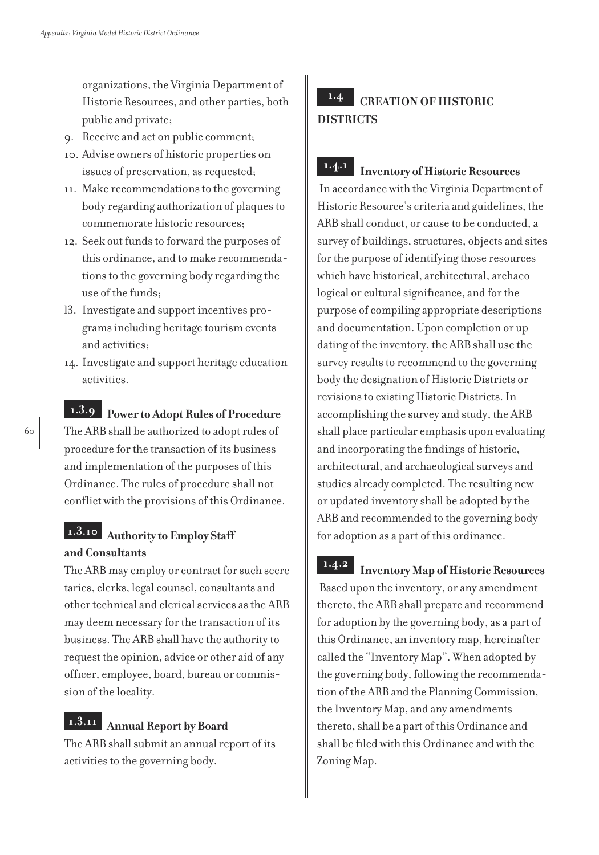organizations, the VirginiaDepartment of Historic Resources, and other parties, both public and private;

- 9. Receive and act on public comment;
- 10. Advise owners of historic properties on issues of preservation, as requested;
- 11. Make recommendationsto the governing body regarding authorization of plaquesto commemorate historic resources;
- 12. Seek out funds to forward the purposes of this ordinance, and to make recommendationsto the governing body regarding the use of the funds;
- l3. Investigate and support incentives programsincluding heritage tourism events and activities;
- 14. Investigate and support heritage education activities.
- **1.3.9**

**Power to Adopt Rules of Procedure**

The ARB shall be authorized to adopt rules of procedure forthe transaction of its business and implementation of the purposes of this Ordinance. The rules of procedure shall not conflict with the provisions of this Ordinance.

### **Authority to Employ Staff and Consultants 1.3.10**

The ARB may employ or contract for such secretaries, clerks, legal counsel, consultants and other technical and clerical services as the ARB may deem necessary forthe transaction of its business. The ARB shall have the authority to request the opinion, advice or other aid of any officer, employee, board, bureau or commission of the locality.

#### **Annual Report by Board 1.3.11**

The ARB shall submit an annual report of its activities to the governing body.

### **CREATION OF HISTORIC DISTRICTS 1.4**

**Inventory of Historic Resources** In accordance with the VirginiaDepartment of Historic Resource's criteria and guidelines, the ARB shall conduct, or cause to be conducted, a survey of buildings, structures, objects and sites for the purpose of identifying those resources which have historical, architectural, archaeological or cultural significance, and for the purpose of compiling appropriate descriptions and documentation. Upon completion or updating of the inventory, the ARB shall use the survey results to recommend to the governing body the designation of Historic Districts or revisions to existing Historic Districts. In accomplishing the survey and study, the ARB shall place particular emphasis upon evaluating and incorporating the findings of historic, architectural, and archaeological surveys and studies already completed. The resulting new or updated inventory shall be adopted by the ARB and recommended to the governing body for adoption as a part of this ordinance. **1.4.1**

**Inventory Map of Historic Resources** Based upon the inventory, or any amendment thereto, the ARB shall prepare and recommend for adoption by the governing body, as a part of this Ordinance, an inventory map, hereinafter called the "Inventory Map". When adopted by the governing body, following the recommendation of the ARB and the Planning Commission, the Inventory Map, and any amendments thereto, shall be a part of this Ordinance and shall be filed with thisOrdinance and with the Zoning Map. **1.4.2**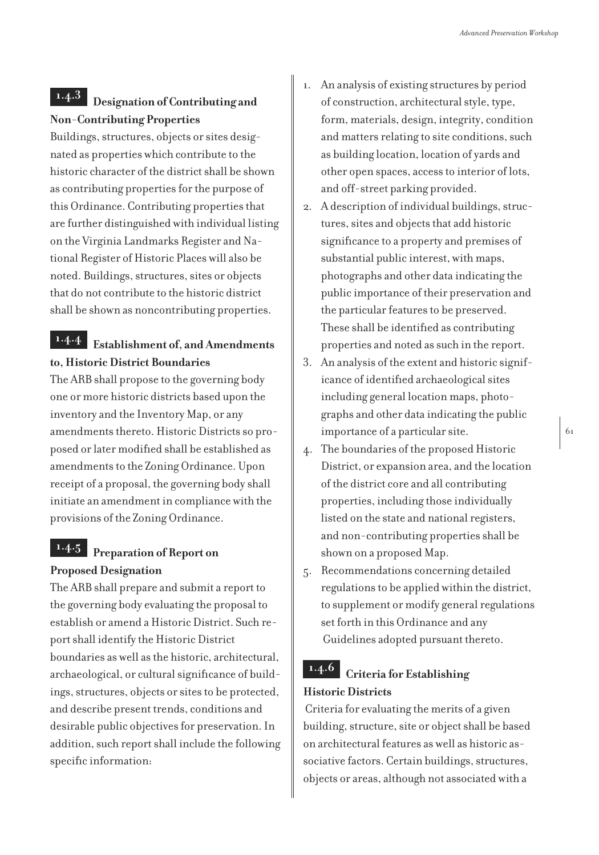## **1.4.3**

# **Designation of Contributing and Non-Contributing Properties**

Buildings, structures, objects or sites designated as properties which contribute to the historic character of the district shall be shown as contributing properties for the purpose of this Ordinance. Contributing properties that are further distinguished with individual listing on the Virginia Landmarks Register and National Register of Historic Places will also be noted. Buildings, structures, sites or objects that do not contribute to the historic district shall be shown as noncontributing properties.

# **Establishment of, and Amendments 1.4.4 to, Historic District Boundaries**

The ARB shall propose to the governing body one or more historic districts based upon the inventory and the Inventory Map, or any amendments thereto. Historic Districts so proposed orlater modified shall be established as amendments to the Zoning Ordinance. Upon receipt of a proposal, the governing body shall initiate an amendment in compliance with the provisions of the Zoning Ordinance.

### **Preparation of Report on Proposed Designation 1.4.5**

# The ARB shall prepare and submit a report to

the governing body evaluating the proposal to establish or amend a Historic District. Such report shall identify the Historic District boundaries as well as the historic, architectural, archaeological, or cultural significance of buildings, structures, objects or sites to be protected, and describe present trends, conditions and desirable public objectives for preservation. In addition, such report shall include the following specific information:

- 1. An analysis of existing structures by period of construction, architectural style, type, form, materials, design, integrity, condition and matters relating to site conditions, such as building location, location of yards and other open spaces, accessto interior of lots, and off-street parking provided.
- 2. A description of individual buildings, structures, sites and objects that add historic significance to a property and premises of substantial public interest, with maps, photographs and other data indicating the public importance of their preservation and the particular features to be preserved. These shall be identified as contributing properties and noted assuch in the report.
- 3. An analysis of the extent and historic significance of identified archaeological sites including general location maps, photographs and other data indicating the public importance of a particular site.
- 4. The boundaries of the proposed Historic District, or expansion area, and the location of the district core and all contributing properties, including those individually listed on the state and national registers, and non-contributing properties shall be shown on a proposed Map.
- 5. Recommendations concerning detailed regulations to be applied within the district, to supplement or modify general regulations set forth in this Ordinance and any Guidelines adopted pursuant thereto.

### **Criteria for Establishing Historic Districts 1.4.6**

Criteria for evaluating the merits of a given building, structure, site or object shall be based on architectural features as well as historic associative factors. Certain buildings, structures, objects or areas, although not associated with a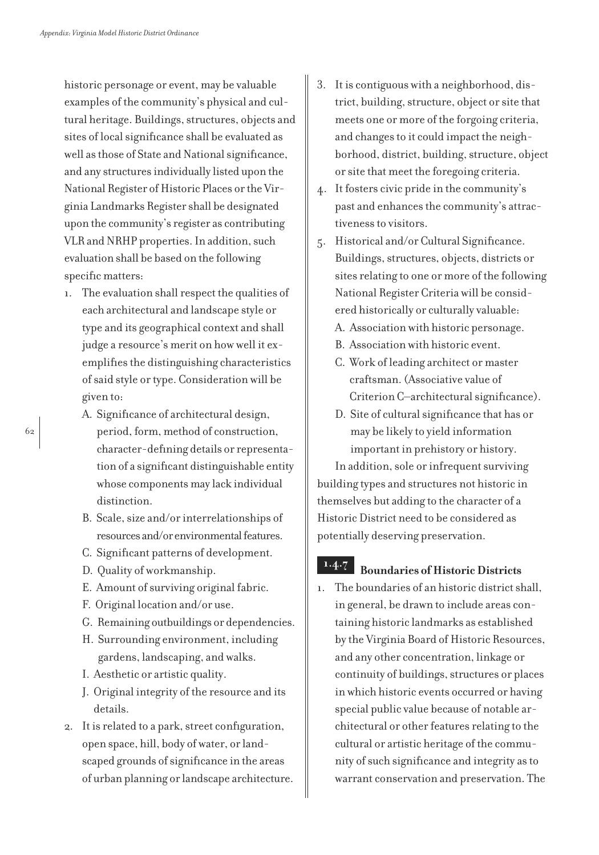historic personage or event, may be valuable examples of the community's physical and cultural heritage. Buildings, structures, objects and sites of local significance shall be evaluated as well as those of State and National significance, and any structures individually listed upon the National Register of Historic Places or the Virginia Landmarks Registershall be designated upon the community's register as contributing VLR and NRHP properties. In addition, such evaluation shall be based on the following specific matters:

- 1. The evaluation shall respect the qualities of each architectural and landscape style or type and its geographical context and shall judge a resource's merit on how well it exemplifies the distinguishing characteristics of said style or type. Consideration will be given to:
	- A. Significance of architectural design, period, form, method of construction, character-defining details or representation of a significant distinguishable entity whose components may lack individual distinction.
	- B. Scale, size and/or interrelationships of resources and/or environmental features.
	- C. Significant patterns of development.
	- D. Quality of workmanship.
	- E. Amount of surviving original fabric.
	- F. Original location and/or use.
	- G. Remaining outbuildings or dependencies.
	- H. Surrounding environment, including gardens, landscaping, and walks.
	- I. Aesthetic or artistic quality.
	- J. Original integrity of the resource and its details.
- 2. It is related to a park, street configuration, open space, hill, body of water, orlandscaped grounds of significance in the areas of urban planning orlandscape architecture.
- 3. It is contiguous with a neighborhood, district, building, structure, object or site that meets one or more of the forgoing criteria, and changes to it could impact the neighborhood, district, building, structure, object orsite that meet the foregoing criteria.
- 4. It fosters civic pride in the community's past and enhances the community's attractivenessto visitors.
- 5. Historical and/or Cultural Significance. Buildings, structures, objects, districts or sites relating to one or more of the following National Register Criteria will be considered historically or culturally valuable:
	- A. Association with historic personage.
	- B. Association with historic event.
	- C. Work of leading architect or master craftsman.(Associative value of Criterion C-architectural significance).
	- D. Site of cultural significance that has or may be likely to yield information important in prehistory or history.

In addition, sole or infrequent surviving building types and structures not historic in themselves but adding to the character of a Historic District need to be considered as potentially deserving preservation.

# **1.4.7**

## **Boundaries of Historic Districts**

1. The boundaries of an historic district shall, in general, be drawn to include areas containing historic landmarks as established by the Virginia Board of Historic Resources, and any other concentration, linkage or continuity of buildings, structures or places in which historic events occurred or having special public value because of notable architectural or other features relating to the cultural or artistic heritage of the community of such significance and integrity as to warrant conservation and preservation. The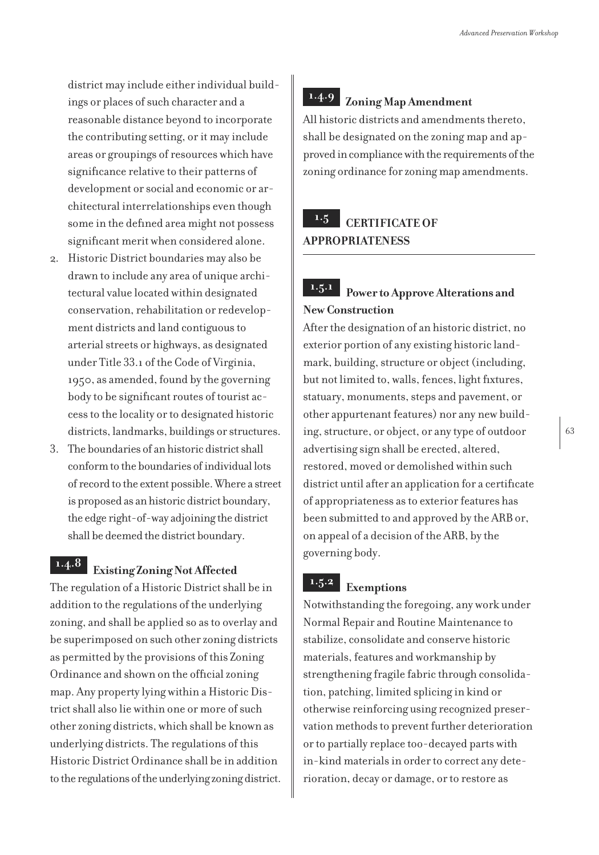district may include either individual buildings or places of such character and a reasonable distance beyond to incorporate the contributing setting, or it may include areas or groupings of resources which have significance relative to their patterns of development orsocial and economic or architectural interrelationships even though some in the defined area might not possess significant merit when considered alone.

- 2. Historic District boundaries may also be drawn to include any area of unique architectural value located within designated conservation, rehabilitation or redevelopment districts and land contiguous to arterial streets or highways, as designated under Title 33.1 of the Code of Virginia, 1950, as amended, found by the governing body to be significant routes of tourist accessto the locality orto designated historic districts, landmarks, buildings or structures.
- 3. The boundaries of an historic district shall conform to the boundaries of individual lots ofrecord to the extent possible.Where a street is proposed as anhistoric district boundary, the edge right-of-way adjoining the district shall be deemed the district boundary.

### **1.4.8**

## **Existing ZoningNot Affected**

The regulation of a Historic District shall be in addition to the regulations of the underlying zoning, and shall be applied so asto overlay and be superimposed on such otherzoning districts as permitted by the provisions of this Zoning Ordinance and shown on the official zoning map. Any property lying within a Historic District shall also lie within one or more of such otherzoning districts, which shall be known as underlying districts. The regulations of this HistoricDistrict Ordinance shall be in addition to the regulations of the underlying zoning district.

### **Zoning Map Amendment 1.4.9**

All historic districts and amendments thereto. shall be designated on the zoning map and approved in compliance with the requirements of the zoning ordinance for zoning map amendments.

### **CERTIFICATE OF APPROPRIATENESS 1.5**

### **Power to Approve Alterations and New Construction 1.5.1**

After the designation of an historic district, no exterior portion of any existing historic landmark, building, structure or object (including, but not limited to, walls, fences, light fixtures, statuary, monuments, steps and pavement, or other appurtenant features) nor any new building, structure, or object, or any type of outdoor advertising sign shall be erected, altered, restored, moved or demolished within such district until after an application for a certificate of appropriateness as to exterior features has been submitted to and approved by the ARB or, on appeal of a decision of the ARB, by the governing body.

#### **Exemptions 1.5.2**

Notwithstanding the foregoing, any work under Normal Repair and Routine Maintenance to stabilize, consolidate and conserve historic materials, features and workmanship by strengthening fragile fabric through consolidation, patching, limited splicing in kind or otherwise reinforcing using recognized preservation methods to prevent further deterioration orto partially replace too-decayed parts with in-kind materials in order to correct any deterioration, decay or damage, orto restore as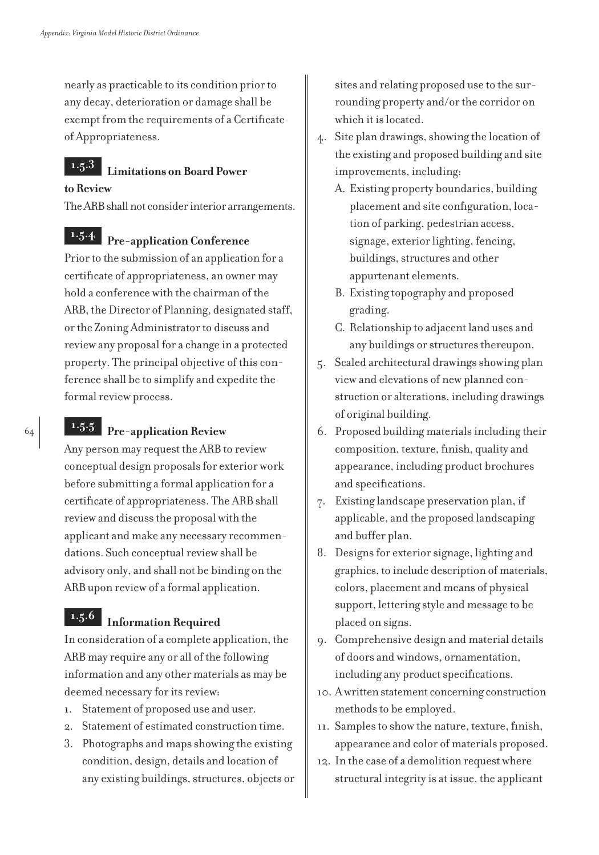nearly as practicable to its condition priorto any decay, deterioration or damage shall be exempt from the requirements of a Certificate of Appropriateness.

#### **Limitations on Board Power 1.5.3**

### **toReview**

The ARB shall not consider interior arrangements.

#### **Pre-application Conference 1.5.4**

Prior to the submission of an application for a certificate of appropriateness, an owner may hold a conference with the chairman of the ARB, the Director of Planning, designated staff, or the Zoning Administrator to discuss and review any proposal for a change in a protected property. The principal objective of this conference shall be to simplify and expedite the formal review process.

#### **Pre-application Review 1.5.5**

Any person may request the ARB to review conceptual design proposals for exterior work before submitting a formal application for a certificate of appropriateness. The ARB shall review and discuss the proposal with the applicant and make any necessary recommendations. Such conceptual review shall be advisory only, and shall not be binding on the ARB upon review of a formal application.

#### **Information Required 1.5.6**

In consideration of a complete application, the ARB may require any or all of the following information and any other materials as may be deemed necessary for its review:

- 1. Statement of proposed use and user.
- 2. Statement of estimated construction time.
- 3. Photographs and maps showing the existing condition, design, details and location of any existing buildings, structures, objects or

sites and relating proposed use to the surrounding property and/orthe corridor on which it islocated.

- 4. Site plan drawings, showing the location of the existing and proposed building and site improvements, including:
	- A. Existing property boundaries, building placement and site configuration, location of parking, pedestrian access, signage, exterior lighting, fencing, buildings, structures and other appurtenant elements.
	- B. Existing topography and proposed grading.
	- C. Relationship to adjacent land uses and any buildings or structures thereupon.
- 5. Scaled architectural drawings showing plan view and elevations of new planned construction or alterations, including drawings of original building.
- 6. Proposed building materialsincluding their composition, texture, finish, quality and appearance, including product brochures and specifications.
- 7. Existing landscape preservation plan, if applicable, and the proposed landscaping and buffer plan.
- 8. Designs for exterior signage, lighting and graphics, to include description of materials, colors, placement and means of physical support, lettering style and message to be placed on signs.
- 9. Comprehensive design and material details of doors and windows, ornamentation, including any product specifications.
- 10. Awritten statement concerning construction methods to be employed.
- 11. Samplesto show the nature, texture, finish, appearance and color of materials proposed.
- 12. In the case of a demolition request where structural integrity is at issue, the applicant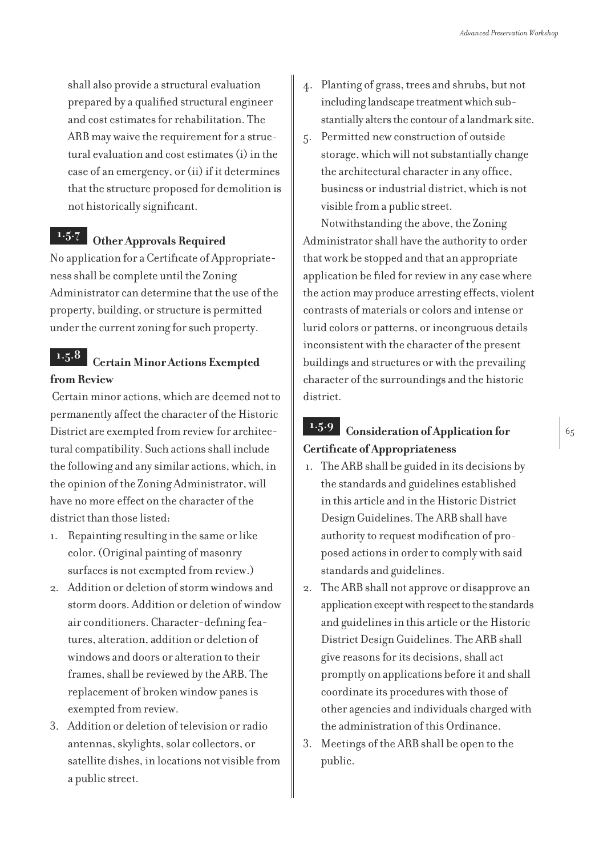shall also provide a structural evaluation prepared by a qualified structural engineer and cost estimates for rehabilitation. The ARB may waive the requirement for a structural evaluation and cost estimates (i) in the case of an emergency, or (ii) if it determines that the structure proposed for demolition is not historically significant.

# **Other Approvals Required 1.5.7**

No application for a Certificate of Appropriatenessshall be complete until the Zoning Administrator can determine that the use of the property, building, orstructure is permitted under the current zoning for such property.

### **Certain Minor Actions Exempted from Review 1.5.8**

Certain minor actions, which are deemed not to permanently affect the character of the Historic District are exempted from review for architectural compatibility. Such actions shall include the following and any similar actions, which, in the opinion of the Zoning Administrator, will have no more effect on the character of the district than those listed:

- 1. Repainting resulting in the same or like color.(Original painting of masonry surfaces is not exempted from review.)
- 2. Addition or deletion of storm windows and storm doors. Addition or deletion of window air conditioners. Character-defining features, alteration, addition or deletion of windows and doors or alteration to their frames, shall be reviewed by the ARB. The replacement of broken window panesis exempted from review.
- 3. Addition or deletion of television orradio antennas, skylights, solar collectors, or satellite dishes, in locations not visible from a public street.
- 4. Planting of grass, trees and shrubs, but not including landscape treatmentwhich substantially alters the contour of a landmark site.
- 5. Permitted new construction of outside storage, which will not substantially change the architectural characterin any office, business orindustrial district, which is not visible from a public street.

Notwithstanding the above, the Zoning Administratorshall have the authority to order that work be stopped and that an appropriate application be filed for review in any case where the action may produce arresting effects, violent contrasts of materials or colors and intense or lurid colors or patterns, or incongruous details inconsistent with the character of the present buildings and structures or with the prevailing character of the surroundings and the historic district.

# **Consideration of Application for 1.5.9 Certificate of Appropriateness**

- 1. The ARB shall be guided in its decisions by the standards and guidelines established in this article and in the Historic District Design Guidelines. The ARB shall have authority to request modification of proposed actionsin orderto comply with said standards and guidelines.
- 2. The ARB shall not approve or disapprove an application except with respect to the standards and guidelines in this article or the Historic DistrictDesign Guidelines. The ARB shall give reasons for its decisions, shall act promptly on applications before it and shall coordinate its procedures with those of other agencies and individuals charged with the administration of this Ordinance.
- 3. Meetings of the ARB shall be open to the public.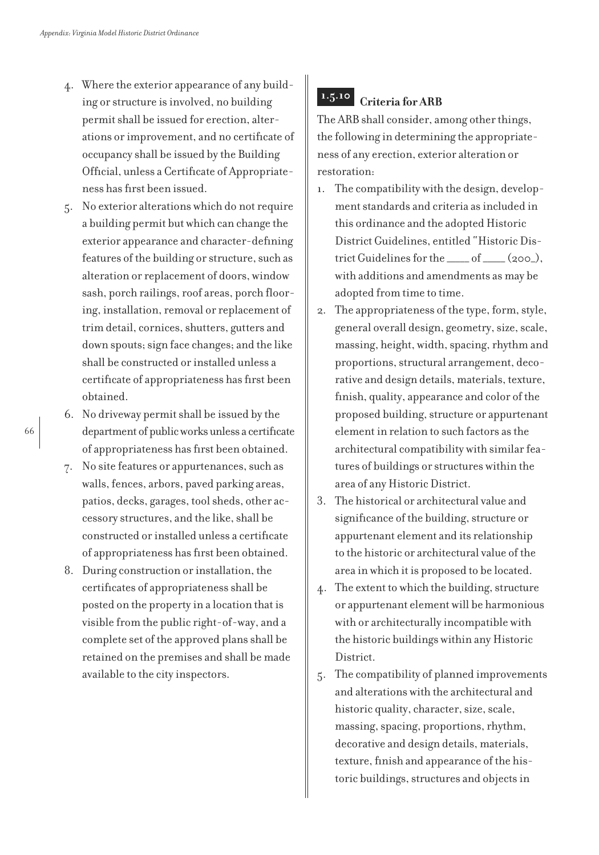- 4. Where the exterior appearance of any building orstructure isinvolved, no building permit shall be issued for erection, alterations orimprovement, and no certificate of occupancy shall be issued by the Building Official, unless a Certificate of Appropriateness has first been issued.
- 5. No exterior alterations which do notrequire a building permit but which can change the exterior appearance and character-defining features of the building or structure, such as alteration or replacement of doors, window sash, porch railings, roof areas, porch flooring, installation, removal or replacement of trim detail, cornices, shutters, gutters and down spouts; sign face changes; and the like shall be constructed or installed unless a certificate of appropriateness has first been obtained.
- 6. No driveway permitshall be issued by the department of public works unless a certificate of appropriateness has first been obtained.
- 7. No site features or appurtenances, such as walls, fences, arbors, paved parking areas, patios, decks, garages, toolsheds, other accessory structures, and the like, shall be constructed or installed unless a certificate of appropriateness has first been obtained.
- 8. During construction or installation, the certificates of appropriateness shall be posted on the property in a location that is visible from the public right-of-way, and a complete set of the approved plans shall be retained on the premises and shall be made available to the city inspectors.

### **Criteria for ARB 1.5.10**

The ARB shall consider, among other things, the following in determining the appropriateness of any erection, exterior alteration or restoration:

- 1. The compatibility with the design, development standards and criteria as included in this ordinance and the adopted Historic District Guidelines, entitled "Historic District Guidelines for the  $\rule{1em}{0.15mm}$  (200), with additions and amendments as may be adopted from time to time.
- 2. The appropriateness of the type, form, style, general overall design, geometry, size, scale, massing, height, width, spacing, rhythm and proportions, structural arrangement, decorative and design details, materials, texture, finish, quality, appearance and color of the proposed building, structure or appurtenant element in relation to such factors asthe architectural compatibility with similar features of buildings or structures within the area of any Historic District.
- 3. The historical or architectural value and significance of the building, structure or appurtenant element and its relationship to the historic or architectural value of the area in which it is proposed to be located.
- 4. The extent to which the building, structure or appurtenant element will be harmonious with or architecturally incompatible with the historic buildings within any Historic District.
- 5. The compatibility of planned improvements and alterations with the architectural and historic quality, character, size, scale, massing, spacing, proportions, rhythm, decorative and design details, materials, texture, finish and appearance of the historic buildings, structures and objects in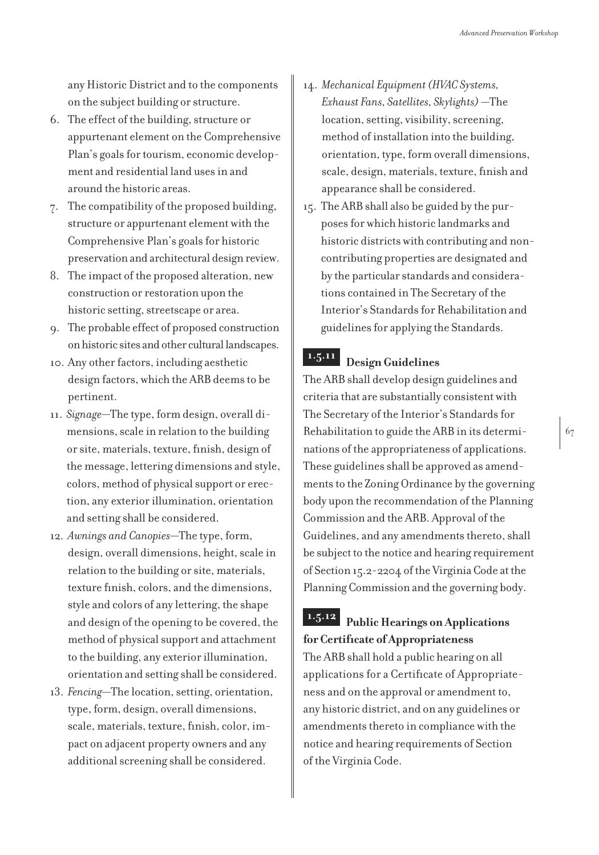any Historic District and to the components on the subject building orstructure.

- 6. The effect of the building, structure or appurtenant element on the Comprehensive Plan's goals for tourism, economic development and residential land usesin and around the historic areas.
- 7. The compatibility of the proposed building, structure or appurtenant element with the Comprehensive Plan's goals for historic preservation and architectural design review.
- 8. The impact of the proposed alteration, new construction or restoration upon the historic setting, streetscape or area.
- 9. The probable effect of proposed construction on historic sites and other cultural landscapes.
- 10. Any otherfactors, including aesthetic design factors, which the ARB deemsto be pertinent.
- 11. *Signage—*The type, form design, overall dimensions, scale in relation to the building orsite, materials, texture, finish, design of the message, lettering dimensions and style, colors, method of physical support or erection, any exterior illumination, orientation and setting shall be considered.
- 12. *Awnings and Canopies—*The type, form, design, overall dimensions, height, scale in relation to the building or site, materials, texture finish, colors, and the dimensions, style and colors of any lettering, the shape and design of the opening to be covered, the method of physical support and attachment to the building, any exterior illumination, orientation and setting shall be considered.
- 13. *Fencing*—The location, setting, orientation, type, form, design, overall dimensions, scale, materials, texture, finish, color, impact on adjacent property owners and any additional screening shall be considered.
- 14. *Mechanical Equipment(HVAC Systems, Exhaust Fans, Satellites, Skylights)*—The location, setting, visibility, screening, method of installation into the building, orientation, type, form overall dimensions, scale, design, materials, texture, finish and appearance shall be considered.
- 15. The ARB shall also be guided by the purposesfor which historic landmarks and historic districts with contributing and noncontributing properties are designated and by the particular standards and considerations contained in The Secretary of the Interior's Standards for Rehabilitation and guidelinesfor applying the Standards.

# **Design Guidelines 1.5.11**

The ARB shall develop design guidelines and criteria that are substantially consistent with The Secretary of the Interior's Standards for Rehabilitation to guide the ARB in its determinations of the appropriateness of applications. These guidelines shall be approved as amendments to the Zoning Ordinance by the governing body upon the recommendation of the Planning Commission and the ARB. Approval of the Guidelines, and any amendments thereto, shall be subject to the notice and hearing requirement of Section 15.2-2204 of the Virginia Code at the Planning Commission and the governing body.

**Public Hearings on Applications for Certificate of Appropriateness** The ARB shall hold a public hearing on all applications for a Certificate of Appropriateness and on the approval or amendment to, any historic district, and on any guidelines or amendments thereto in compliance with the notice and hearing requirements of Section of the Virginia Code. **1.5.12**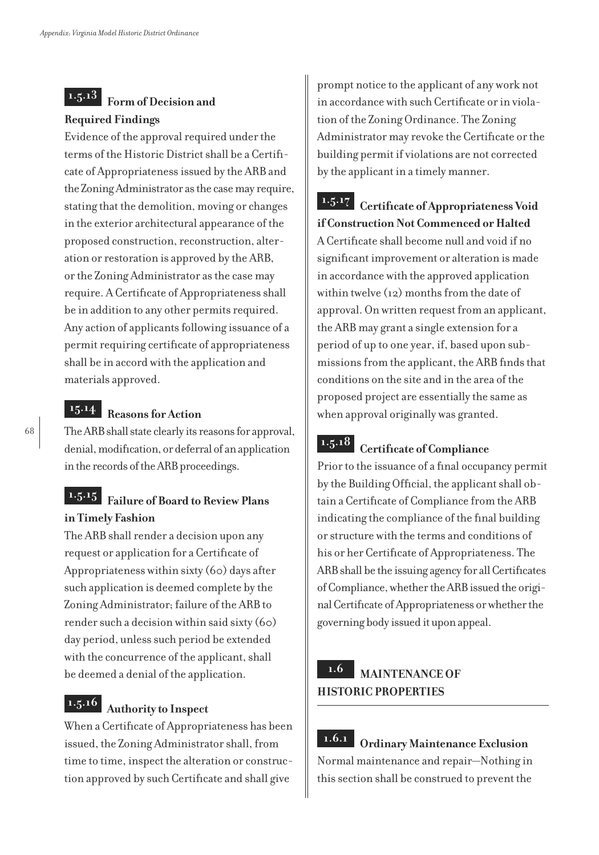### **Form of Decision and Required Findings 1.5.13**

Evidence of the approval required under the terms of the Historic District shall be a Certificate of Appropriatenessissued by the ARB and the ZoningAdministrator asthe casemay require, stating that the demolition, moving or changes in the exterior architectural appearance of the proposed construction, reconstruction, alteration or restoration is approved by the ARB, orthe Zoning Administrator asthe case may require. A Certificate of Appropriateness shall be in addition to any other permits required. Any action of applicants following issuance of a permit requiring certificate of appropriateness shall be in accord with the application and materials approved.

### **Reasonsfor Action 15.14**

The ARB shall state clearly its reasons for approval, denial, modification, or deferral of an application in the records of the ARB proceedings.

### **Failure of Board to Review Plans in Timely Fashion 1.5.15**

The ARB shall render a decision upon any request or application for a Certificate of Appropriateness within sixty (60) days after such application is deemed complete by the Zoning Administrator; failure of the ARB to render such a decision within said sixty  $(60)$ day period, unless such period be extended with the concurrence of the applicant, shall be deemed a denial of the application.

#### **Authority to Inspect 1.5.16**

When a Certificate of Appropriateness has been issued, the Zoning Administratorshall, from time to time, inspect the alteration or construction approved by such Certificate and shall give

prompt notice to the applicant of any work not in accordance with such Certificate or in violation of the Zoning Ordinance. The Zoning Administrator may revoke the Certificate or the building permit if violations are not corrected by the applicant in a timely manner.

**Certificate of Appropriateness Void if ConstructionNot Commenced or Halted** A Certificate shall become null and void if no significant improvement or alteration is made in accordance with the approved application within twelve  $(12)$  months from the date of approval. On written request from an applicant, the ARB may grant a single extension for a period of up to one year, if, based upon submissions from the applicant, the ARB finds that conditions on the site and in the area of the proposed project are essentially the same as when approval originally was granted. **1.5.17**

### **Certificate of Compliance 1.5.18**

Prior to the issuance of a final occupancy permit by the Building Official, the applicant shall obtain a Certificate of Compliance from the ARB indicating the compliance of the final building or structure with the terms and conditions of his or her Certificate of Appropriateness. The ARB shall be the issuing agency for all Certificates ofCompliance,whethertheARBissued the original Certificate of Appropriateness or whether the governing body issued it uponappeal.

### **MAINTENANCEOF HISTORIC PROPERTIES 1.6**

**Ordinary Maintenance Exclusion** Normal maintenance and repair—Nothing in thissection shall be construed to prevent the **1.6.1**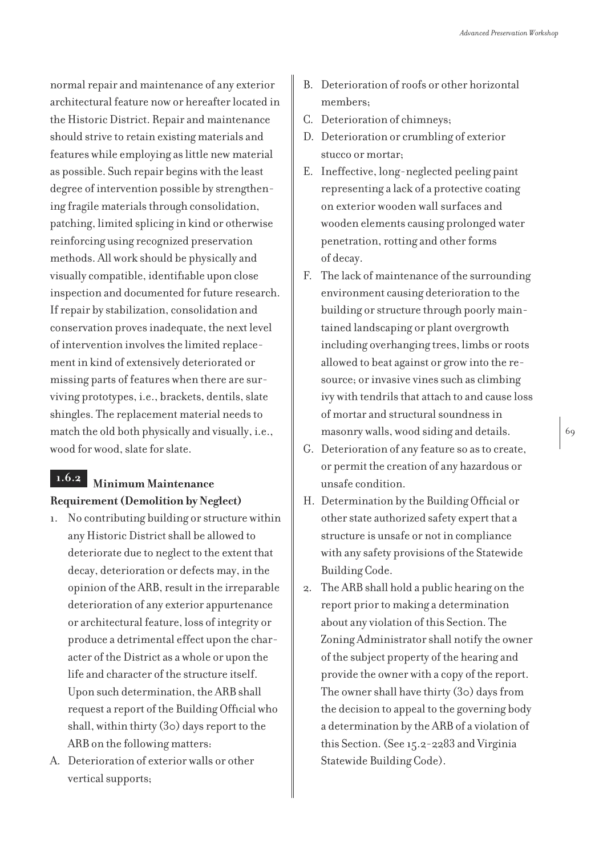normal repair and maintenance of any exterior architectural feature now or hereafterlocated in the Historic District. Repair and maintenance should strive to retain existing materials and features while employing aslittle new material as possible. Such repair begins with the least degree of intervention possible by strengthening fragile materials through consolidation, patching, limited splicing in kind or otherwise reinforcing using recognized preservation methods. All work should be physically and visually compatible, identifiable upon close inspection and documented for future research. Ifrepair by stabilization, consolidation and conservation provesinadequate, the next level of intervention involves the limited replacement in kind of extensively deteriorated or missing parts of features when there are surviving prototypes, i.e., brackets, dentils, slate shingles. The replacement material needs to match the old both physically and visually, i.e., wood for wood, slate for slate.

### **Minimum Maintenance Requirement(Demolition byNeglect) 1.6.2**

- 1. No contributing building or structure within any Historic District shall be allowed to deteriorate due to neglect to the extent that decay, deterioration or defects may, in the opinion of the ARB, result in the irreparable deterioration of any exterior appurtenance or architectural feature, loss of integrity or produce a detrimental effect upon the character of the District as a whole or upon the life and character of the structure itself. Upon such determination, the ARB shall request a report of the Building Official who shall, within thirty  $(3\circ)$  days report to the ARB on the following matters:
- A. Deterioration of exterior walls or other vertical supports;
- B. Deterioration of roofs or other horizontal members;
- C. Deterioration of chimneys;
- D. Deterioration or crumbling of exterior stucco or mortar;
- E. Ineffective, long-neglected peeling paint representing a lack of a protective coating on exterior wooden wall surfaces and wooden elements causing prolonged water penetration, rotting and other forms of decay.
- F. The lack of maintenance of the surrounding environment causing deterioration to the building or structure through poorly maintained landscaping or plant overgrowth including overhanging trees, limbs or roots allowed to beat against or grow into the resource; or invasive vines such as climbing ivy with tendrils that attach to and cause loss of mortar and structuralsoundnessin masonry walls, wood siding and details.
- G. Deterioration of any feature so asto create, or permit the creation of any hazardous or unsafe condition.
- H. Determination by the Building Official or other state authorized safety expert that a structure is unsafe or not in compliance with any safety provisions of the Statewide Building Code.
- 2. The ARB shall hold a public hearing on the report priorto making a determination about any violation of this Section. The Zoning Administratorshall notify the owner of the subject property of the hearing and provide the owner with a copy of the report. The owner shall have thirty  $(3o)$  days from the decision to appeal to the governing body a determination by the ARB of a violation of this Section.(See 15.2-2283 and Virginia Statewide Building Code).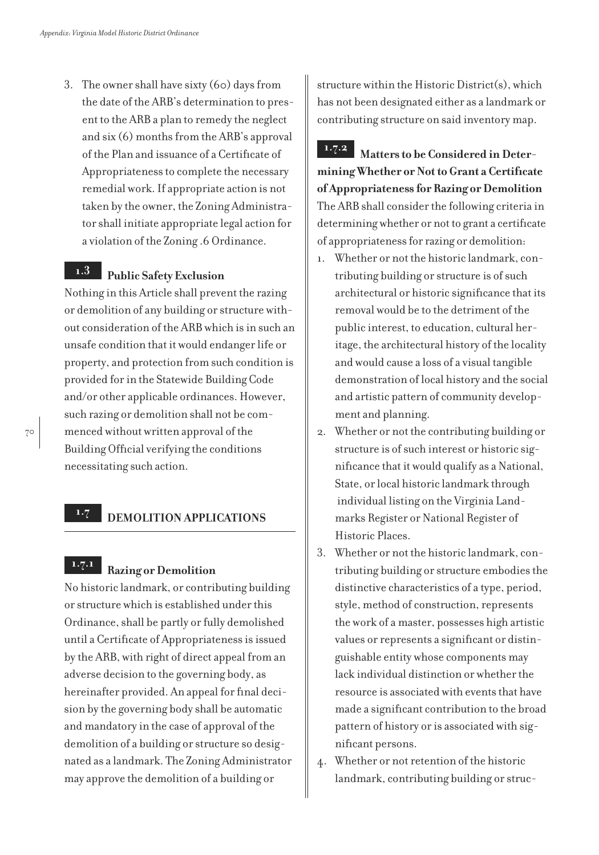3. The owner shall have sixty  $(60)$  days from the date of the ARB's determination to present to the ARB a plan to remedy the neglect and  $six(6)$  months from the ARB's approval of the Plan and issuance of a Certificate of Appropriatenessto complete the necessary remedial work.If appropriate action is not taken by the owner, the Zoning Administratorshall initiate appropriate legal action for a violation of the Zoning .6 Ordinance.

#### **Public Safety Exclusion 1.3**

Nothing in this Article shall prevent the razing or demolition of any building orstructure without consideration of the ARB which is in such an unsafe condition that it would endangerlife or property, and protection from such condition is provided forin the Statewide Building Code and/or other applicable ordinances. However, such razing or demolition shall not be commenced without written approval of the Building Official verifying the conditions necessitating such action.

### **DEMOLITIONAPPLICATIONS 1.7**

#### **Razing or Demolition 1.7.1**

No historic landmark, or contributing building orstructure which is established underthis Ordinance, shall be partly or fully demolished until a Certificate of Appropriatenessisissued by the ARB, with right of direct appeal from an adverse decision to the governing body, as hereinafter provided. An appeal for final decision by the governing body shall be automatic and mandatory in the case of approval of the demolition of a building or structure so designated as a landmark. The Zoning Administrator may approve the demolition of a building or

structure within the Historic District(s), which has not been designated either as a landmark or contributing structure on said inventory map.

**Mattersto be Considered in Determining** Whether or Not to Grant a Certificate **of Appropriatenessfor Razing or Demolition** The ARB shall consider the following criteria in determining whether or not to grant a certificate of appropriatenessforrazing or demolition: **1.7.2**

- 1. Whether or not the historic landmark, contributing building or structure is of such architectural or historic significance that its removal would be to the detriment of the public interest, to education, cultural heritage, the architectural history of the locality and would cause a loss of a visual tangible demonstration of local history and the social and artistic pattern of community development and planning.
- 2. Whether or not the contributing building or structure is of such interest or historic significance that it would qualify as a National, State, or local historic landmark through individual listing on the Virginia Landmarks Register or National Register of Historic Places.
- 3. Whether or not the historic landmark, contributing building or structure embodies the distinctive characteristics of a type, period, style, method of construction, represents the work of a master, possesses high artistic values or represents a significant or distinguishable entity whose components may lack individual distinction or whether the resource is associated with events that have made a significant contribution to the broad pattern of history or is associated with significant persons.
- 4. Whether or not retention of the historic landmark, contributing building orstruc-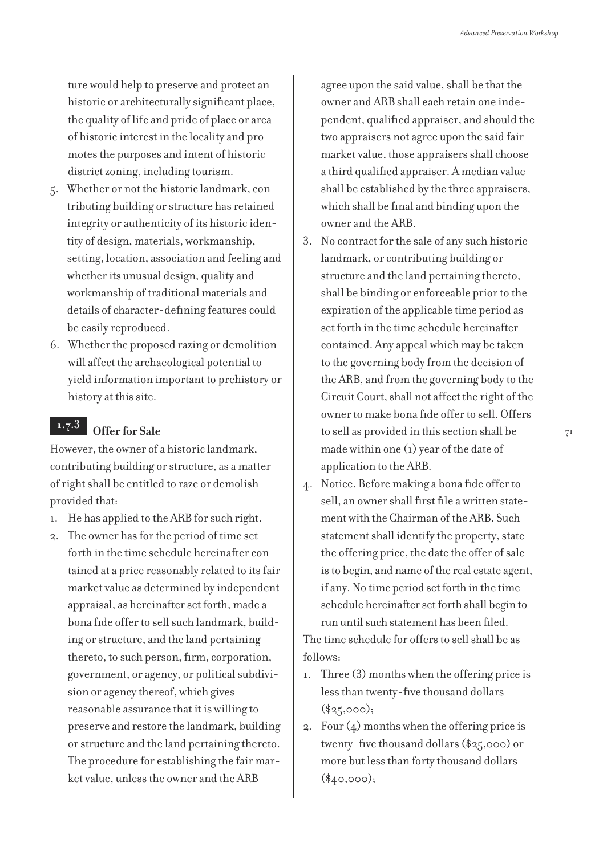ture would help to preserve and protect an historic or architecturally significant place, the quality of life and pride of place or area of historic interest in the locality and promotes the purposes and intent of historic district zoning, including tourism.

- 5. Whether or not the historic landmark, contributing building or structure has retained integrity or authenticity of its historic identity of design, materials, workmanship, setting, location, association and feeling and whether its unusual design, quality and workmanship of traditional materials and details of character-defining features could be easily reproduced.
- 6. Whether the proposed razing or demolition will affect the archaeological potential to yield information important to prehistory or history at this site.

## **Offer for Sale 1.7.3**

However, the owner of a historic landmark, contributing building or structure, as a matter of right shall be entitled to raze or demolish provided that:

- 1. He has applied to the ARB for such right.
- 2. The owner has for the period of time set forth in the time schedule hereinafter contained at a price reasonably related to its fair market value as determined by independent appraisal, as hereinafter set forth, made a bona fide offer to sell such landmark, building orstructure, and the land pertaining thereto, to such person, firm, corporation, government, or agency, or political subdivision or agency thereof, which gives reasonable assurance that it is willing to preserve and restore the landmark, building orstructure and the land pertaining thereto. The procedure for establishing the fair market value, unless the owner and the ARB

agree upon the said value, shall be that the owner and ARB shall each retain one independent, qualified appraiser, and should the two appraisers not agree upon the said fair market value, those appraisers shall choose a third qualified appraiser. A median value shall be established by the three appraisers, which shall be final and binding upon the owner and the ARB.

- 3. No contract forthe sale of any such historic landmark, or contributing building or structure and the land pertaining thereto, shall be binding or enforceable prior to the expiration of the applicable time period as set forth in the time schedule hereinafter contained. Any appeal which may be taken to the governing body from the decision of the ARB, and from the governing body to the Circuit Court, shall not affect the right of the ownerto make bona fide offerto sell. Offers to sell as provided in this section shall be made within one (1) year of the date of application to the ARB.
- 4. Notice. Before making a bona fide offerto sell, an owner shall first file a written statement with the Chairman of the ARB. Such statement shall identify the property, state the offering price, the date the offer of sale is to begin, and name of the real estate agent, if any. No time period set forth in the time schedule hereinafter set forth shall begin to run untilsuch statement has been filed.

The time schedule for offersto sellshall be as follows:

- 1. Three (3) months when the offering price is lessthan twenty-five thousand dollars  $(*25,000);$
- 2. Four  $(4)$  months when the offering price is twenty-five thousand dollars(\$25,000) or more but lessthan forty thousand dollars  $(*40,000);$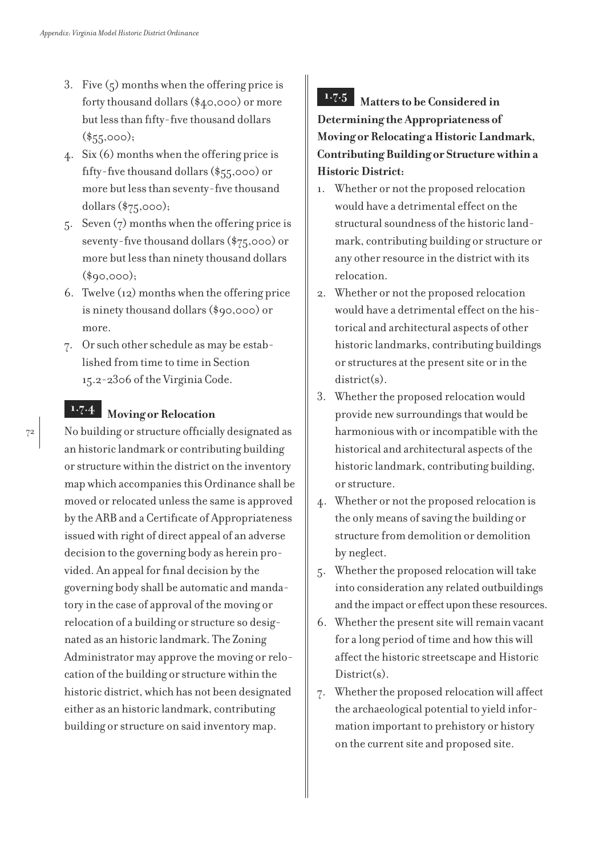- 3. Five  $(5)$  months when the offering price is forty thousand dollars(\$40,000) or more but lessthan fifty-five thousand dollars  $(*55,000);$
- 4. Six (6) months when the offering price is fifty-five thousand dollars(\$55,000) or more but less than seventy-five thousand dollars(\$75,000);
- 5. Seven  $(7)$  months when the offering price is seventy-five thousand dollars(\$75,000) or more but less than ninety thousand dollars (\$90,000);
- 6. Twelve (12) months when the offering price is ninety thousand dollars(\$90,000) or more.
- 7. Orsuch otherschedule as may be established from time to time in Section 15.2-2306 of the Virginia Code.

#### **Moving or Relocation 1.7.4**

No building or structure officially designated as an historic landmark or contributing building orstructure within the district on the inventory map which accompaniesthis Ordinance shall be moved or relocated unless the same is approved by the ARB and a Certificate of Appropriateness issued with right of direct appeal of an adverse decision to the governing body as herein provided. An appeal for final decision by the governing body shall be automatic and mandatory in the case of approval of the moving or relocation of a building or structure so designated as an historic landmark. The Zoning Administrator may approve the moving or relocation of the building orstructure within the historic district, which has not been designated either as an historic landmark, contributing building or structure on said inventory map.

**Mattersto be Considered in Determining the Appropriateness of Moving or Relocating a Historic Landmark, Contributing Building or Structure within a Historic District: 1.7.5**

- 1. Whether or not the proposed relocation would have a detrimental effect on the structural soundness of the historic landmark, contributing building orstructure or any other resource in the district with its relocation.
- 2. Whether or not the proposed relocation would have a detrimental effect on the historical and architectural aspects of other historic landmarks, contributing buildings or structures at the present site or in the district(s).
- 3. Whether the proposed relocation would provide new surroundings that would be harmonious with orincompatible with the historical and architectural aspects of the historic landmark, contributing building, orstructure.
- 4. Whether or not the proposed relocation is the only means of saving the building or structure from demolition or demolition by neglect.
- 5. Whether the proposed relocation will take into consideration any related outbuildings and the impact or effect upon these resources.
- 6. Whether the present site will remain vacant for a long period of time and how this will affect the historic streetscape and Historic District(s).
- 7. Whether the proposed relocation will affect the archaeological potential to yield information important to prehistory or history on the current site and proposed site.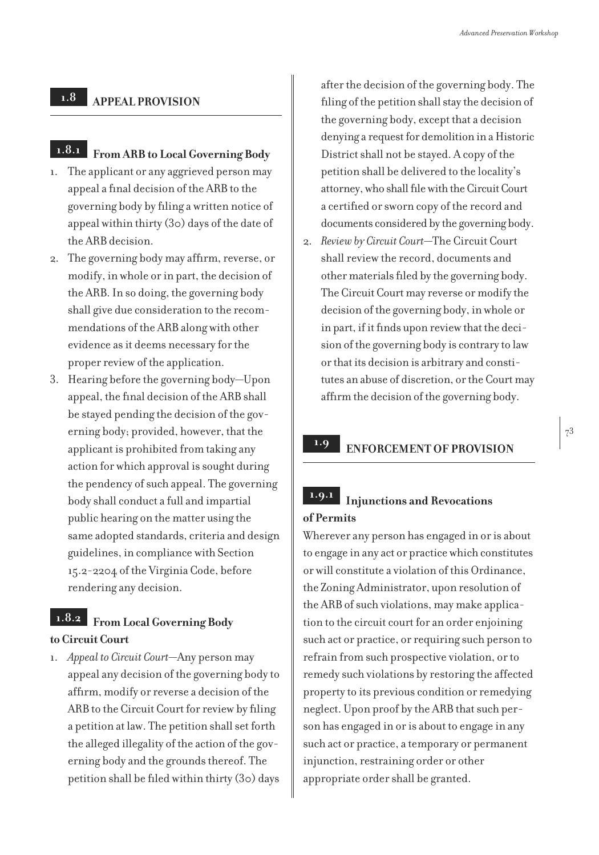73

#### **APPEAL PROVISION 1.8**

#### **From ARB to Local Governing Body 1.8.1**

- The applicant or any aggrieved person may appeal a final decision of the ARB to the governing body by filing a written notice of appeal within thirty (30) days of the date of the ARB decision.
- 2. The governing body may affirm, reverse, or modify, in whole or in part, the decision of the ARB.In so doing, the governing body shall give due consideration to the recommendations of the ARB along with other evidence as it deems necessary for the proper review of the application.
- 3. Hearing before the governing body—Upon appeal, the final decision of the ARB shall be stayed pending the decision of the governing body; provided, however, that the applicant is prohibited from taking any action for which approval is sought during the pendency of such appeal. The governing body shall conduct a full and impartial public hearing on the matter using the same adopted standards, criteria and design guidelines, in compliance with Section 15.2-2204 of the Virginia Code, before rendering any decision.

## **From Local Governing Body to Circuit Court 1.8.2**

1. *Appeal to Circuit Court—*Any person may appeal any decision of the governing body to affirm, modify or reverse a decision of the ARB to the Circuit Court for review by filing a petition at law. The petition shall set forth the alleged illegality of the action of the governing body and the grounds thereof. The petition shall be filed within thirty (30) days

after the decision of the governing body. The filing of the petition shall stay the decision of the governing body, except that a decision denying a request for demolition in a Historic District shall not be stayed. A copy of the petition shall be delivered to the locality's attorney, who shall file with the Circuit Court a certified orsworn copy of the record and documents considered by the governing body.

2. *Reviewby Circuit Court—*The Circuit Court shall review the record, documents and othermaterials filed by the governing body. The Circuit Court may reverse or modify the decision of the governing body, in whole or in part, if it finds upon review that the decision of the governing body is contrary to law orthat its decision is arbitrary and constitutes an abuse of discretion, or the Court may affirm the decision of the governing body.

### **ENFORCEMENTOF PROVISION 1.9**

# **Injunctions and Revocations of Permits 1.9.1**

Wherever any person has engaged in or is about to engage in any act or practice which constitutes or will constitute a violation of this Ordinance, the Zoning Administrator, upon resolution of the ARB of such violations, may make application to the circuit court for an order enjoining such act or practice, or requiring such person to refrain from such prospective violation, orto remedy such violations by restoring the affected property to its previous condition or remedying neglect. Upon proof by the ARB that such person has engaged in or is about to engage in any such act or practice, a temporary or permanent injunction, restraining order or other appropriate order shall be granted.